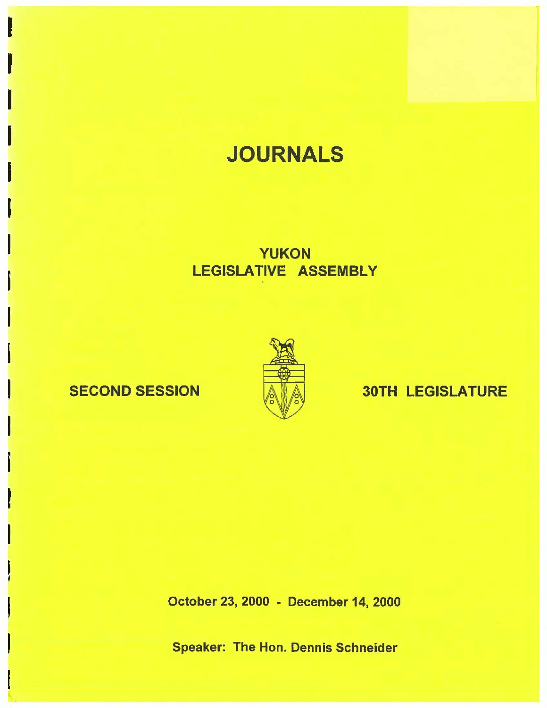# **JOURNALS**

## YUKON LEGISLATIVE ASSEMBLY

I

I

I

I

I

I

I

I

I

i

I

I

i

t

I



## SECOND SESSION A A 30TH LEGISLATURE

October 23, 2000 • December 14, 2000

Speaker: The Hon. Dennis Schneider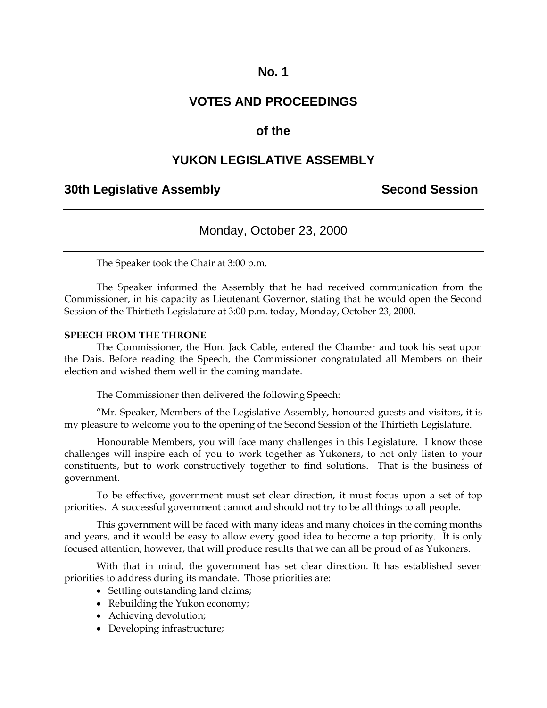### **VOTES AND PROCEEDINGS**

### **of the**

### **YUKON LEGISLATIVE ASSEMBLY**

### **30th Legislative Assembly Second Session**

### Monday, October 23, 2000

The Speaker took the Chair at 3:00 p.m.

 The Speaker informed the Assembly that he had received communication from the Commissioner, in his capacity as Lieutenant Governor, stating that he would open the Second Session of the Thirtieth Legislature at 3:00 p.m. today, Monday, October 23, 2000.

#### **SPEECH FROM THE THRONE**

 The Commissioner, the Hon. Jack Cable, entered the Chamber and took his seat upon the Dais. Before reading the Speech, the Commissioner congratulated all Members on their election and wished them well in the coming mandate.

The Commissioner then delivered the following Speech:

 "Mr. Speaker, Members of the Legislative Assembly, honoured guests and visitors, it is my pleasure to welcome you to the opening of the Second Session of the Thirtieth Legislature.

Honourable Members, you will face many challenges in this Legislature. I know those challenges will inspire each of you to work together as Yukoners, to not only listen to your constituents, but to work constructively together to find solutions. That is the business of government.

To be effective, government must set clear direction, it must focus upon a set of top priorities. A successful government cannot and should not try to be all things to all people.

This government will be faced with many ideas and many choices in the coming months and years, and it would be easy to allow every good idea to become a top priority. It is only focused attention, however, that will produce results that we can all be proud of as Yukoners.

With that in mind, the government has set clear direction. It has established seven priorities to address during its mandate. Those priorities are:

- Settling outstanding land claims;
- Rebuilding the Yukon economy;
- Achieving devolution;
- Developing infrastructure;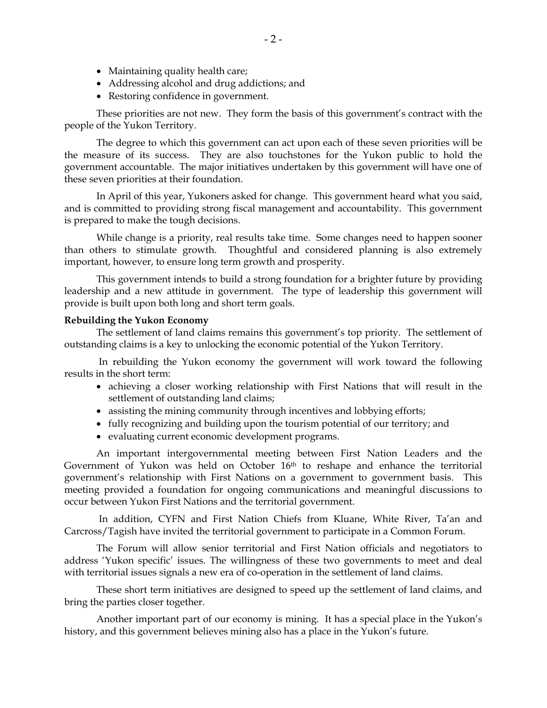- Maintaining quality health care;
- Addressing alcohol and drug addictions; and
- Restoring confidence in government.

These priorities are not new. They form the basis of this government's contract with the people of the Yukon Territory.

The degree to which this government can act upon each of these seven priorities will be the measure of its success. They are also touchstones for the Yukon public to hold the government accountable. The major initiatives undertaken by this government will have one of these seven priorities at their foundation.

In April of this year, Yukoners asked for change. This government heard what you said, and is committed to providing strong fiscal management and accountability. This government is prepared to make the tough decisions.

While change is a priority, real results take time. Some changes need to happen sooner than others to stimulate growth. Thoughtful and considered planning is also extremely important, however, to ensure long term growth and prosperity.

This government intends to build a strong foundation for a brighter future by providing leadership and a new attitude in government. The type of leadership this government will provide is built upon both long and short term goals.

#### **Rebuilding the Yukon Economy**

The settlement of land claims remains this government's top priority. The settlement of outstanding claims is a key to unlocking the economic potential of the Yukon Territory.

 In rebuilding the Yukon economy the government will work toward the following results in the short term:

- achieving a closer working relationship with First Nations that will result in the settlement of outstanding land claims;
- assisting the mining community through incentives and lobbying efforts;
- fully recognizing and building upon the tourism potential of our territory; and
- evaluating current economic development programs.

An important intergovernmental meeting between First Nation Leaders and the Government of Yukon was held on October 16<sup>th</sup> to reshape and enhance the territorial government's relationship with First Nations on a government to government basis. This meeting provided a foundation for ongoing communications and meaningful discussions to occur between Yukon First Nations and the territorial government.

 In addition, CYFN and First Nation Chiefs from Kluane, White River, Ta'an and Carcross/Tagish have invited the territorial government to participate in a Common Forum.

The Forum will allow senior territorial and First Nation officials and negotiators to address 'Yukon specific' issues. The willingness of these two governments to meet and deal with territorial issues signals a new era of co-operation in the settlement of land claims.

These short term initiatives are designed to speed up the settlement of land claims, and bring the parties closer together.

Another important part of our economy is mining. It has a special place in the Yukon's history, and this government believes mining also has a place in the Yukon's future.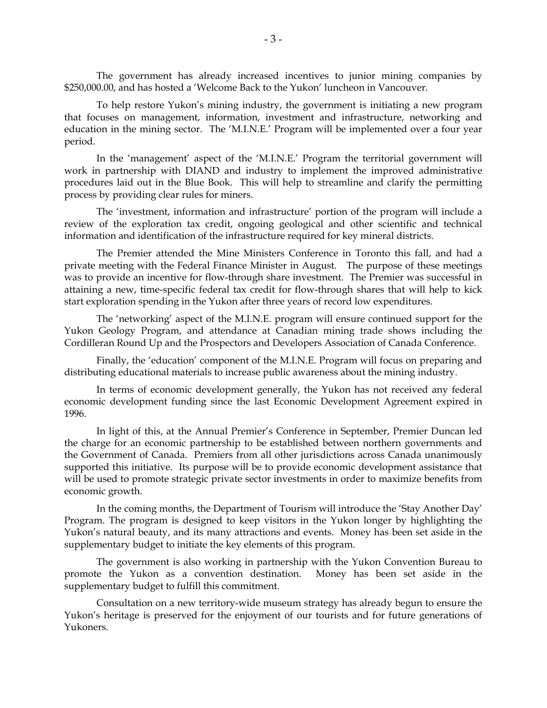The government has already increased incentives to junior mining companies by \$250,000.00, and has hosted a 'Welcome Back to the Yukon' luncheon in Vancouver.

To help restore Yukon's mining industry, the government is initiating a new program that focuses on management, information, investment and infrastructure, networking and education in the mining sector. The 'M.I.N.E.' Program will be implemented over a four year period.

In the 'management' aspect of the 'M.I.N.E.' Program the territorial government will work in partnership with DIAND and industry to implement the improved administrative procedures laid out in the Blue Book. This will help to streamline and clarify the permitting process by providing clear rules for miners.

The 'investment, information and infrastructure' portion of the program will include a review of the exploration tax credit, ongoing geological and other scientific and technical information and identification of the infrastructure required for key mineral districts.

The Premier attended the Mine Ministers Conference in Toronto this fall, and had a private meeting with the Federal Finance Minister in August. The purpose of these meetings was to provide an incentive for flow-through share investment. The Premier was successful in attaining a new, time-specific federal tax credit for flow-through shares that will help to kick start exploration spending in the Yukon after three years of record low expenditures.

The 'networking' aspect of the M.I.N.E. program will ensure continued support for the Yukon Geology Program, and attendance at Canadian mining trade shows including the Cordilleran Round Up and the Prospectors and Developers Association of Canada Conference.

Finally, the 'education' component of the M.I.N.E. Program will focus on preparing and distributing educational materials to increase public awareness about the mining industry.

In terms of economic development generally, the Yukon has not received any federal economic development funding since the last Economic Development Agreement expired in 1996.

In light of this, at the Annual Premier's Conference in September, Premier Duncan led the charge for an economic partnership to be established between northern governments and the Government of Canada. Premiers from all other jurisdictions across Canada unanimously supported this initiative. Its purpose will be to provide economic development assistance that will be used to promote strategic private sector investments in order to maximize benefits from economic growth.

In the coming months, the Department of Tourism will introduce the 'Stay Another Day' Program. The program is designed to keep visitors in the Yukon longer by highlighting the Yukon's natural beauty, and its many attractions and events. Money has been set aside in the supplementary budget to initiate the key elements of this program.

The government is also working in partnership with the Yukon Convention Bureau to promote the Yukon as a convention destination. Money has been set aside in the supplementary budget to fulfill this commitment.

Consultation on a new territory-wide museum strategy has already begun to ensure the Yukon's heritage is preserved for the enjoyment of our tourists and for future generations of Yukoners.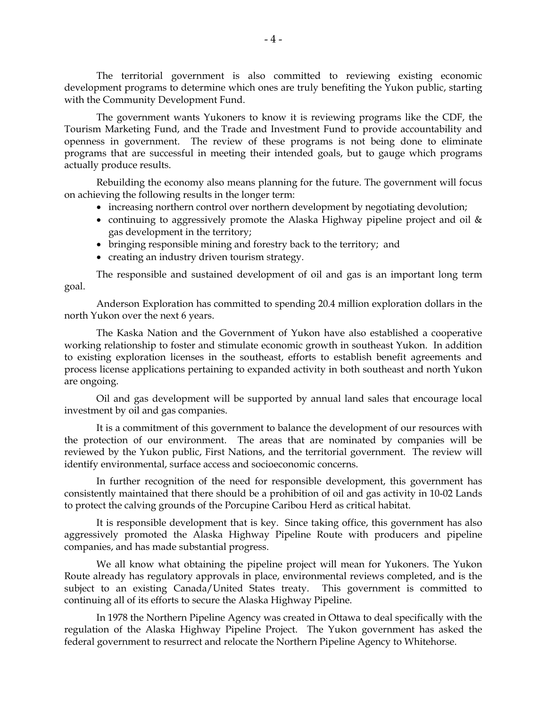The territorial government is also committed to reviewing existing economic development programs to determine which ones are truly benefiting the Yukon public, starting with the Community Development Fund.

The government wants Yukoners to know it is reviewing programs like the CDF, the Tourism Marketing Fund, and the Trade and Investment Fund to provide accountability and openness in government. The review of these programs is not being done to eliminate programs that are successful in meeting their intended goals, but to gauge which programs actually produce results.

Rebuilding the economy also means planning for the future. The government will focus on achieving the following results in the longer term:

- increasing northern control over northern development by negotiating devolution;
- continuing to aggressively promote the Alaska Highway pipeline project and oil & gas development in the territory;
- bringing responsible mining and forestry back to the territory; and
- creating an industry driven tourism strategy.

The responsible and sustained development of oil and gas is an important long term goal.

Anderson Exploration has committed to spending 20.4 million exploration dollars in the north Yukon over the next 6 years.

The Kaska Nation and the Government of Yukon have also established a cooperative working relationship to foster and stimulate economic growth in southeast Yukon. In addition to existing exploration licenses in the southeast, efforts to establish benefit agreements and process license applications pertaining to expanded activity in both southeast and north Yukon are ongoing.

Oil and gas development will be supported by annual land sales that encourage local investment by oil and gas companies.

It is a commitment of this government to balance the development of our resources with the protection of our environment. The areas that are nominated by companies will be reviewed by the Yukon public, First Nations, and the territorial government. The review will identify environmental, surface access and socioeconomic concerns.

In further recognition of the need for responsible development, this government has consistently maintained that there should be a prohibition of oil and gas activity in 10-02 Lands to protect the calving grounds of the Porcupine Caribou Herd as critical habitat.

It is responsible development that is key. Since taking office, this government has also aggressively promoted the Alaska Highway Pipeline Route with producers and pipeline companies, and has made substantial progress.

We all know what obtaining the pipeline project will mean for Yukoners. The Yukon Route already has regulatory approvals in place, environmental reviews completed, and is the subject to an existing Canada/United States treaty. This government is committed to continuing all of its efforts to secure the Alaska Highway Pipeline.

In 1978 the Northern Pipeline Agency was created in Ottawa to deal specifically with the regulation of the Alaska Highway Pipeline Project. The Yukon government has asked the federal government to resurrect and relocate the Northern Pipeline Agency to Whitehorse.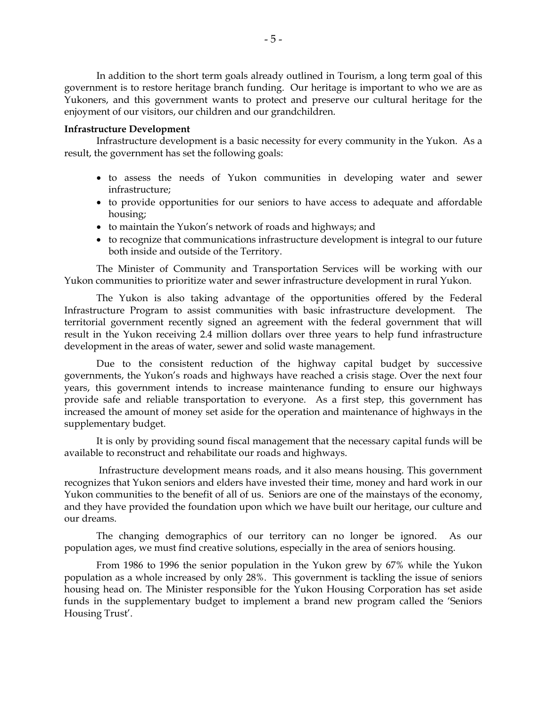In addition to the short term goals already outlined in Tourism, a long term goal of this government is to restore heritage branch funding. Our heritage is important to who we are as Yukoners, and this government wants to protect and preserve our cultural heritage for the enjoyment of our visitors, our children and our grandchildren.

#### **Infrastructure Development**

Infrastructure development is a basic necessity for every community in the Yukon. As a result, the government has set the following goals:

- to assess the needs of Yukon communities in developing water and sewer infrastructure;
- to provide opportunities for our seniors to have access to adequate and affordable housing;
- to maintain the Yukon's network of roads and highways; and
- to recognize that communications infrastructure development is integral to our future both inside and outside of the Territory.

The Minister of Community and Transportation Services will be working with our Yukon communities to prioritize water and sewer infrastructure development in rural Yukon.

The Yukon is also taking advantage of the opportunities offered by the Federal Infrastructure Program to assist communities with basic infrastructure development. The territorial government recently signed an agreement with the federal government that will result in the Yukon receiving 2.4 million dollars over three years to help fund infrastructure development in the areas of water, sewer and solid waste management.

Due to the consistent reduction of the highway capital budget by successive governments, the Yukon's roads and highways have reached a crisis stage. Over the next four years, this government intends to increase maintenance funding to ensure our highways provide safe and reliable transportation to everyone. As a first step, this government has increased the amount of money set aside for the operation and maintenance of highways in the supplementary budget.

It is only by providing sound fiscal management that the necessary capital funds will be available to reconstruct and rehabilitate our roads and highways.

 Infrastructure development means roads, and it also means housing. This government recognizes that Yukon seniors and elders have invested their time, money and hard work in our Yukon communities to the benefit of all of us. Seniors are one of the mainstays of the economy, and they have provided the foundation upon which we have built our heritage, our culture and our dreams.

The changing demographics of our territory can no longer be ignored. As our population ages, we must find creative solutions, especially in the area of seniors housing.

From 1986 to 1996 the senior population in the Yukon grew by 67% while the Yukon population as a whole increased by only 28%. This government is tackling the issue of seniors housing head on. The Minister responsible for the Yukon Housing Corporation has set aside funds in the supplementary budget to implement a brand new program called the 'Seniors Housing Trust'.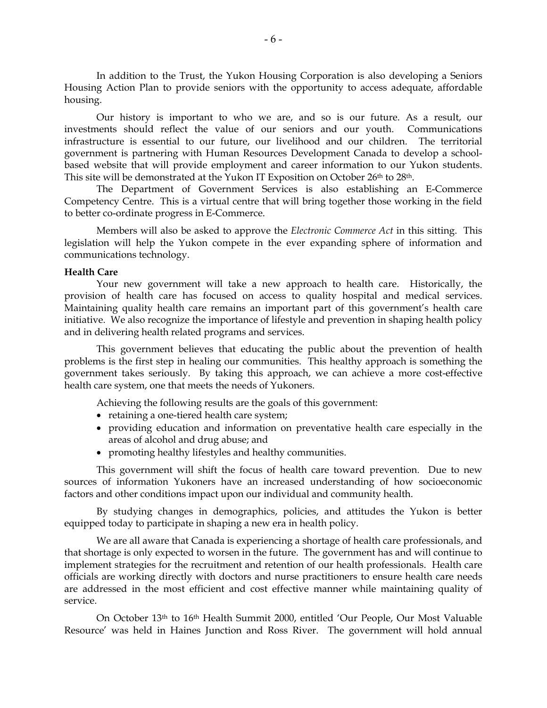In addition to the Trust, the Yukon Housing Corporation is also developing a Seniors Housing Action Plan to provide seniors with the opportunity to access adequate, affordable housing.

Our history is important to who we are, and so is our future. As a result, our investments should reflect the value of our seniors and our youth. Communications infrastructure is essential to our future, our livelihood and our children. The territorial government is partnering with Human Resources Development Canada to develop a schoolbased website that will provide employment and career information to our Yukon students. This site will be demonstrated at the Yukon IT Exposition on October 26th to 28th.

 The Department of Government Services is also establishing an E-Commerce Competency Centre. This is a virtual centre that will bring together those working in the field to better co-ordinate progress in E-Commerce.

Members will also be asked to approve the *Electronic Commerce Act* in this sitting. This legislation will help the Yukon compete in the ever expanding sphere of information and communications technology.

#### **Health Care**

Your new government will take a new approach to health care. Historically, the provision of health care has focused on access to quality hospital and medical services. Maintaining quality health care remains an important part of this government's health care initiative. We also recognize the importance of lifestyle and prevention in shaping health policy and in delivering health related programs and services.

This government believes that educating the public about the prevention of health problems is the first step in healing our communities. This healthy approach is something the government takes seriously. By taking this approach, we can achieve a more cost-effective health care system, one that meets the needs of Yukoners.

Achieving the following results are the goals of this government:

- retaining a one-tiered health care system;
- providing education and information on preventative health care especially in the areas of alcohol and drug abuse; and
- promoting healthy lifestyles and healthy communities.

This government will shift the focus of health care toward prevention. Due to new sources of information Yukoners have an increased understanding of how socioeconomic factors and other conditions impact upon our individual and community health.

By studying changes in demographics, policies, and attitudes the Yukon is better equipped today to participate in shaping a new era in health policy.

We are all aware that Canada is experiencing a shortage of health care professionals, and that shortage is only expected to worsen in the future. The government has and will continue to implement strategies for the recruitment and retention of our health professionals. Health care officials are working directly with doctors and nurse practitioners to ensure health care needs are addressed in the most efficient and cost effective manner while maintaining quality of service.

On October 13th to 16th Health Summit 2000, entitled 'Our People, Our Most Valuable Resource' was held in Haines Junction and Ross River. The government will hold annual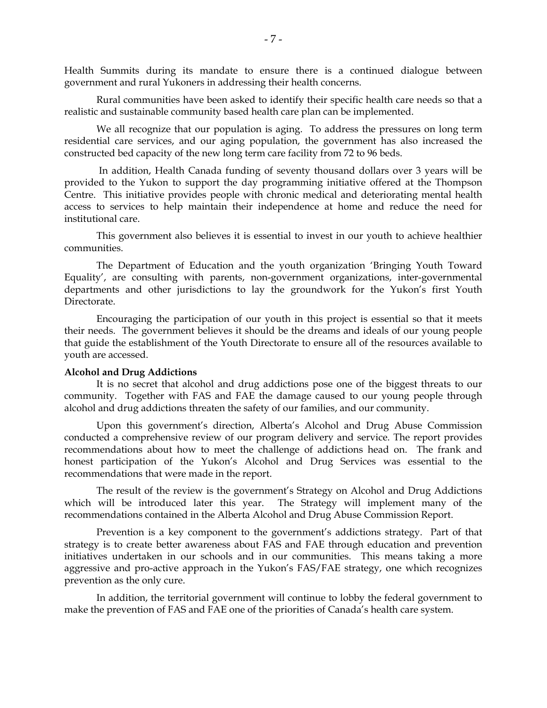Health Summits during its mandate to ensure there is a continued dialogue between government and rural Yukoners in addressing their health concerns.

Rural communities have been asked to identify their specific health care needs so that a realistic and sustainable community based health care plan can be implemented.

We all recognize that our population is aging. To address the pressures on long term residential care services, and our aging population, the government has also increased the constructed bed capacity of the new long term care facility from 72 to 96 beds.

 In addition, Health Canada funding of seventy thousand dollars over 3 years will be provided to the Yukon to support the day programming initiative offered at the Thompson Centre. This initiative provides people with chronic medical and deteriorating mental health access to services to help maintain their independence at home and reduce the need for institutional care.

This government also believes it is essential to invest in our youth to achieve healthier communities.

The Department of Education and the youth organization 'Bringing Youth Toward Equality', are consulting with parents, non-government organizations, inter-governmental departments and other jurisdictions to lay the groundwork for the Yukon's first Youth Directorate.

Encouraging the participation of our youth in this project is essential so that it meets their needs. The government believes it should be the dreams and ideals of our young people that guide the establishment of the Youth Directorate to ensure all of the resources available to youth are accessed.

#### **Alcohol and Drug Addictions**

It is no secret that alcohol and drug addictions pose one of the biggest threats to our community. Together with FAS and FAE the damage caused to our young people through alcohol and drug addictions threaten the safety of our families, and our community.

Upon this government's direction, Alberta's Alcohol and Drug Abuse Commission conducted a comprehensive review of our program delivery and service. The report provides recommendations about how to meet the challenge of addictions head on. The frank and honest participation of the Yukon's Alcohol and Drug Services was essential to the recommendations that were made in the report.

The result of the review is the government's Strategy on Alcohol and Drug Addictions which will be introduced later this year. The Strategy will implement many of the recommendations contained in the Alberta Alcohol and Drug Abuse Commission Report.

Prevention is a key component to the government's addictions strategy. Part of that strategy is to create better awareness about FAS and FAE through education and prevention initiatives undertaken in our schools and in our communities. This means taking a more aggressive and pro-active approach in the Yukon's FAS/FAE strategy, one which recognizes prevention as the only cure.

In addition, the territorial government will continue to lobby the federal government to make the prevention of FAS and FAE one of the priorities of Canada's health care system.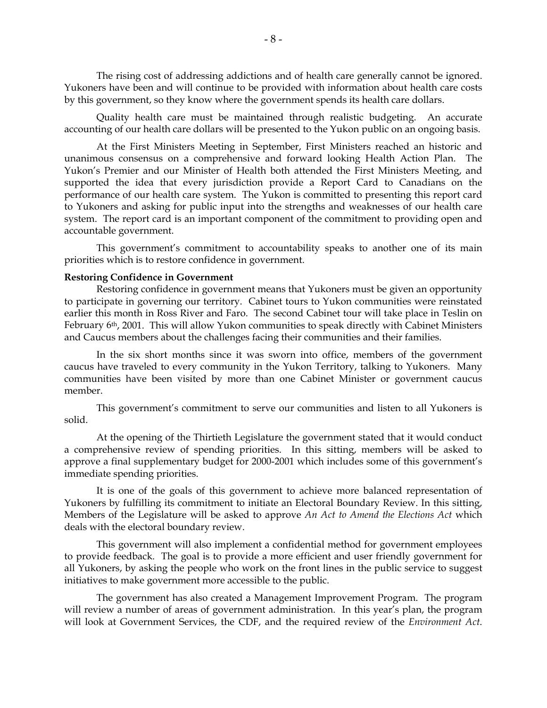The rising cost of addressing addictions and of health care generally cannot be ignored. Yukoners have been and will continue to be provided with information about health care costs by this government, so they know where the government spends its health care dollars.

Quality health care must be maintained through realistic budgeting. An accurate accounting of our health care dollars will be presented to the Yukon public on an ongoing basis.

At the First Ministers Meeting in September, First Ministers reached an historic and unanimous consensus on a comprehensive and forward looking Health Action Plan. The Yukon's Premier and our Minister of Health both attended the First Ministers Meeting, and supported the idea that every jurisdiction provide a Report Card to Canadians on the performance of our health care system. The Yukon is committed to presenting this report card to Yukoners and asking for public input into the strengths and weaknesses of our health care system. The report card is an important component of the commitment to providing open and accountable government.

This government's commitment to accountability speaks to another one of its main priorities which is to restore confidence in government.

#### **Restoring Confidence in Government**

Restoring confidence in government means that Yukoners must be given an opportunity to participate in governing our territory. Cabinet tours to Yukon communities were reinstated earlier this month in Ross River and Faro. The second Cabinet tour will take place in Teslin on February 6th, 2001. This will allow Yukon communities to speak directly with Cabinet Ministers and Caucus members about the challenges facing their communities and their families.

In the six short months since it was sworn into office, members of the government caucus have traveled to every community in the Yukon Territory, talking to Yukoners. Many communities have been visited by more than one Cabinet Minister or government caucus member.

This government's commitment to serve our communities and listen to all Yukoners is solid.

At the opening of the Thirtieth Legislature the government stated that it would conduct a comprehensive review of spending priorities. In this sitting, members will be asked to approve a final supplementary budget for 2000-2001 which includes some of this government's immediate spending priorities.

It is one of the goals of this government to achieve more balanced representation of Yukoners by fulfilling its commitment to initiate an Electoral Boundary Review. In this sitting, Members of the Legislature will be asked to approve *An Act to Amend the Elections Act* which deals with the electoral boundary review.

This government will also implement a confidential method for government employees to provide feedback. The goal is to provide a more efficient and user friendly government for all Yukoners, by asking the people who work on the front lines in the public service to suggest initiatives to make government more accessible to the public.

The government has also created a Management Improvement Program. The program will review a number of areas of government administration. In this year's plan, the program will look at Government Services, the CDF, and the required review of the *Environment Act*.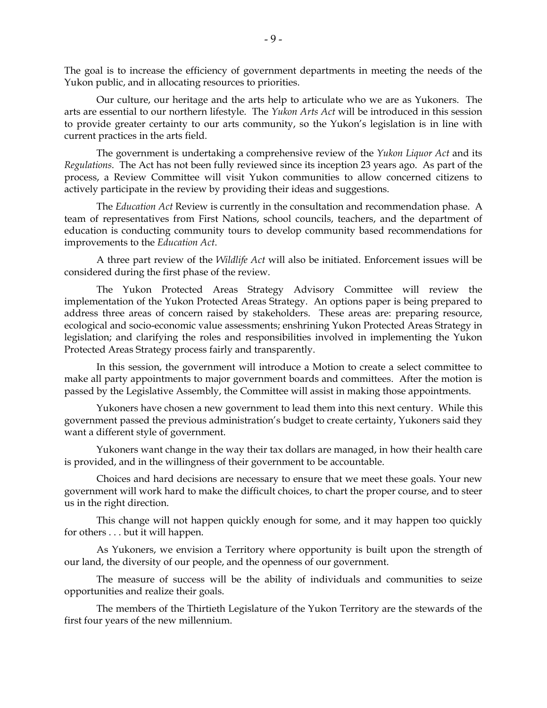The goal is to increase the efficiency of government departments in meeting the needs of the Yukon public, and in allocating resources to priorities.

Our culture, our heritage and the arts help to articulate who we are as Yukoners. The arts are essential to our northern lifestyle. The *Yukon Arts Act* will be introduced in this session to provide greater certainty to our arts community, so the Yukon's legislation is in line with current practices in the arts field.

The government is undertaking a comprehensive review of the *Yukon Liquor Act* and its *Regulations*. The Act has not been fully reviewed since its inception 23 years ago. As part of the process, a Review Committee will visit Yukon communities to allow concerned citizens to actively participate in the review by providing their ideas and suggestions.

The *Education Act* Review is currently in the consultation and recommendation phase. A team of representatives from First Nations, school councils, teachers, and the department of education is conducting community tours to develop community based recommendations for improvements to the *Education Act*.

A three part review of the *Wildlife Act* will also be initiated. Enforcement issues will be considered during the first phase of the review.

The Yukon Protected Areas Strategy Advisory Committee will review the implementation of the Yukon Protected Areas Strategy. An options paper is being prepared to address three areas of concern raised by stakeholders. These areas are: preparing resource, ecological and socio-economic value assessments; enshrining Yukon Protected Areas Strategy in legislation; and clarifying the roles and responsibilities involved in implementing the Yukon Protected Areas Strategy process fairly and transparently.

In this session, the government will introduce a Motion to create a select committee to make all party appointments to major government boards and committees. After the motion is passed by the Legislative Assembly, the Committee will assist in making those appointments.

Yukoners have chosen a new government to lead them into this next century. While this government passed the previous administration's budget to create certainty, Yukoners said they want a different style of government.

Yukoners want change in the way their tax dollars are managed, in how their health care is provided, and in the willingness of their government to be accountable.

Choices and hard decisions are necessary to ensure that we meet these goals. Your new government will work hard to make the difficult choices, to chart the proper course, and to steer us in the right direction.

This change will not happen quickly enough for some, and it may happen too quickly for others . . . but it will happen.

As Yukoners, we envision a Territory where opportunity is built upon the strength of our land, the diversity of our people, and the openness of our government.

The measure of success will be the ability of individuals and communities to seize opportunities and realize their goals.

The members of the Thirtieth Legislature of the Yukon Territory are the stewards of the first four years of the new millennium.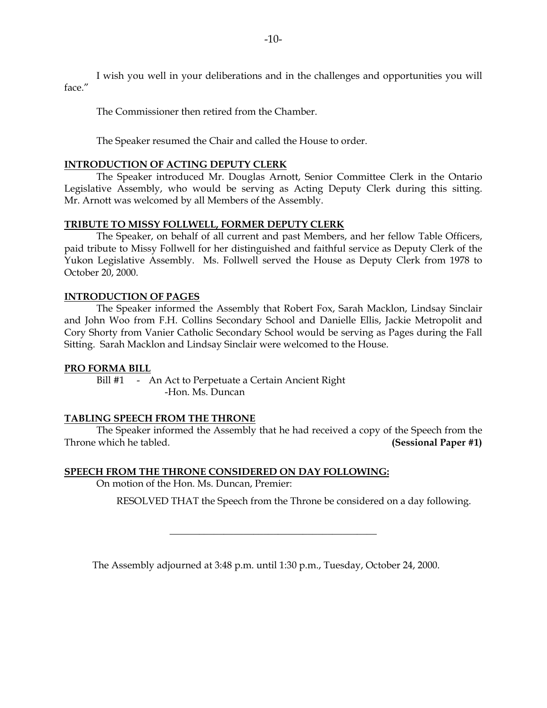I wish you well in your deliberations and in the challenges and opportunities you will face."

The Commissioner then retired from the Chamber.

The Speaker resumed the Chair and called the House to order.

#### **INTRODUCTION OF ACTING DEPUTY CLERK**

The Speaker introduced Mr. Douglas Arnott, Senior Committee Clerk in the Ontario Legislative Assembly, who would be serving as Acting Deputy Clerk during this sitting. Mr. Arnott was welcomed by all Members of the Assembly.

#### **TRIBUTE TO MISSY FOLLWELL, FORMER DEPUTY CLERK**

The Speaker, on behalf of all current and past Members, and her fellow Table Officers, paid tribute to Missy Follwell for her distinguished and faithful service as Deputy Clerk of the Yukon Legislative Assembly. Ms. Follwell served the House as Deputy Clerk from 1978 to October 20, 2000.

#### **INTRODUCTION OF PAGES**

 The Speaker informed the Assembly that Robert Fox, Sarah Macklon, Lindsay Sinclair and John Woo from F.H. Collins Secondary School and Danielle Ellis, Jackie Metropolit and Cory Shorty from Vanier Catholic Secondary School would be serving as Pages during the Fall Sitting. Sarah Macklon and Lindsay Sinclair were welcomed to the House.

#### **PRO FORMA BILL**

Bill #1 - An Act to Perpetuate a Certain Ancient Right -Hon. Ms. Duncan

#### **TABLING SPEECH FROM THE THRONE**

 The Speaker informed the Assembly that he had received a copy of the Speech from the Throne which he tabled. **(Sessional Paper #1)** 

#### **SPEECH FROM THE THRONE CONSIDERED ON DAY FOLLOWING:**

On motion of the Hon. Ms. Duncan, Premier:

RESOLVED THAT the Speech from the Throne be considered on a day following.

The Assembly adjourned at 3:48 p.m. until 1:30 p.m., Tuesday, October 24, 2000.

\_\_\_\_\_\_\_\_\_\_\_\_\_\_\_\_\_\_\_\_\_\_\_\_\_\_\_\_\_\_\_\_\_\_\_\_\_\_\_\_\_\_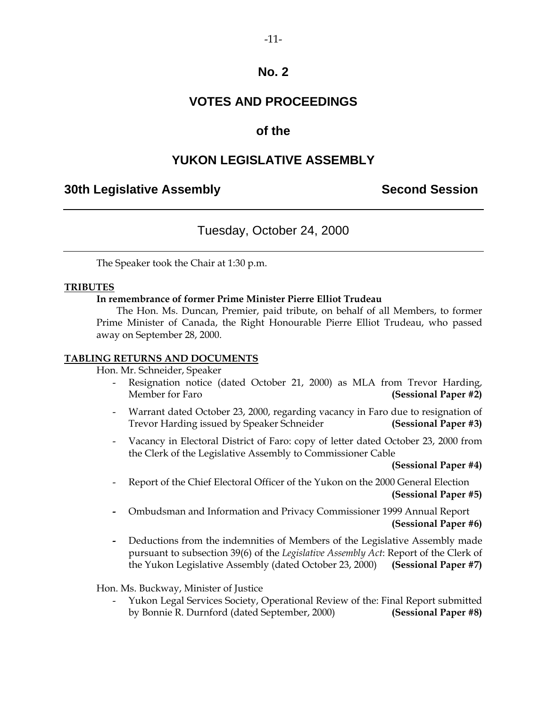### **VOTES AND PROCEEDINGS**

### **of the**

### **YUKON LEGISLATIVE ASSEMBLY**

### **30th Legislative Assembly Second Session**

### Tuesday, October 24, 2000

The Speaker took the Chair at 1:30 p.m.

#### **TRIBUTES**

#### **In remembrance of former Prime Minister Pierre Elliot Trudeau**

 The Hon. Ms. Duncan, Premier, paid tribute, on behalf of all Members, to former Prime Minister of Canada, the Right Honourable Pierre Elliot Trudeau, who passed away on September 28, 2000.

#### **TABLING RETURNS AND DOCUMENTS**

Hon. Mr. Schneider, Speaker

- Resignation notice (dated October 21, 2000) as MLA from Trevor Harding, Member for Faro **(Sessional Paper #2)**
- Warrant dated October 23, 2000, regarding vacancy in Faro due to resignation of Trevor Harding issued by Speaker Schneider **(Sessional Paper #3)**
- Vacancy in Electoral District of Faro: copy of letter dated October 23, 2000 from the Clerk of the Legislative Assembly to Commissioner Cable

**(Sessional Paper #4)** 

- Report of the Chief Electoral Officer of the Yukon on the 2000 General Election **(Sessional Paper #5)**
- Ombudsman and Information and Privacy Commissioner 1999 Annual Report **(Sessional Paper #6)**
- Deductions from the indemnities of Members of the Legislative Assembly made pursuant to subsection 39(6) of the *Legislative Assembly Act*: Report of the Clerk of the Yukon Legislative Assembly (dated October 23, 2000) **(Sessional Paper #7)**

Hon. Ms. Buckway, Minister of Justice

 - Yukon Legal Services Society, Operational Review of the: Final Report submitted by Bonnie R. Durnford (dated September, 2000) **(Sessional Paper #8)**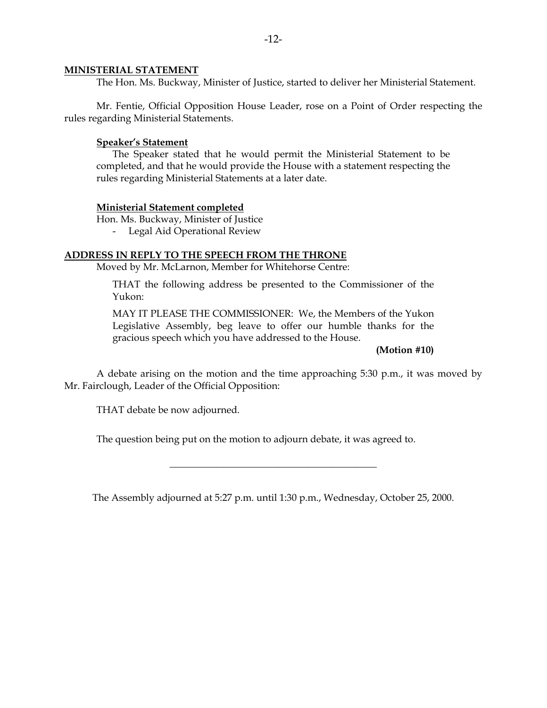#### **MINISTERIAL STATEMENT**

The Hon. Ms. Buckway, Minister of Justice, started to deliver her Ministerial Statement.

 Mr. Fentie, Official Opposition House Leader, rose on a Point of Order respecting the rules regarding Ministerial Statements.

#### **Speaker's Statement**

 The Speaker stated that he would permit the Ministerial Statement to be completed, and that he would provide the House with a statement respecting the rules regarding Ministerial Statements at a later date.

#### **Ministerial Statement completed**

Hon. Ms. Buckway, Minister of Justice

- Legal Aid Operational Review

#### **ADDRESS IN REPLY TO THE SPEECH FROM THE THRONE**

Moved by Mr. McLarnon, Member for Whitehorse Centre:

 THAT the following address be presented to the Commissioner of the Yukon:

 MAY IT PLEASE THE COMMISSIONER: We, the Members of the Yukon Legislative Assembly, beg leave to offer our humble thanks for the gracious speech which you have addressed to the House.

**(Motion #10)** 

 A debate arising on the motion and the time approaching 5:30 p.m., it was moved by Mr. Fairclough, Leader of the Official Opposition:

THAT debate be now adjourned.

The question being put on the motion to adjourn debate, it was agreed to.

The Assembly adjourned at 5:27 p.m. until 1:30 p.m., Wednesday, October 25, 2000.

\_\_\_\_\_\_\_\_\_\_\_\_\_\_\_\_\_\_\_\_\_\_\_\_\_\_\_\_\_\_\_\_\_\_\_\_\_\_\_\_\_\_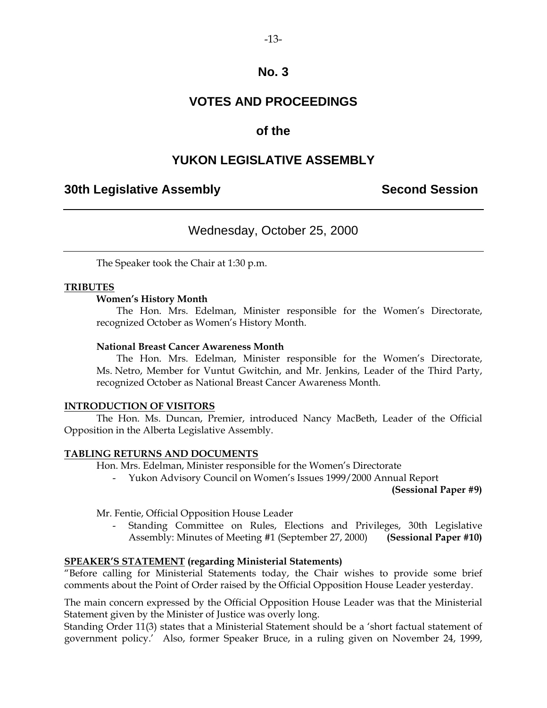### **VOTES AND PROCEEDINGS**

### **of the**

### **YUKON LEGISLATIVE ASSEMBLY**

### **30th Legislative Assembly Second Session**

### Wednesday, October 25, 2000

The Speaker took the Chair at 1:30 p.m.

#### **TRIBUTES**

#### **Women's History Month**

 The Hon. Mrs. Edelman, Minister responsible for the Women's Directorate, recognized October as Women's History Month.

#### **National Breast Cancer Awareness Month**

 The Hon. Mrs. Edelman, Minister responsible for the Women's Directorate, Ms. Netro, Member for Vuntut Gwitchin, and Mr. Jenkins, Leader of the Third Party, recognized October as National Breast Cancer Awareness Month.

#### **INTRODUCTION OF VISITORS**

 The Hon. Ms. Duncan, Premier, introduced Nancy MacBeth, Leader of the Official Opposition in the Alberta Legislative Assembly.

#### **TABLING RETURNS AND DOCUMENTS**

Hon. Mrs. Edelman, Minister responsible for the Women's Directorate

- Yukon Advisory Council on Women's Issues 1999/2000 Annual Report

**(Sessional Paper #9)** 

Mr. Fentie, Official Opposition House Leader

 - Standing Committee on Rules, Elections and Privileges, 30th Legislative Assembly: Minutes of Meeting #1 (September 27, 2000) **(Sessional Paper #10)** 

#### **SPEAKER'S STATEMENT (regarding Ministerial Statements)**

"Before calling for Ministerial Statements today, the Chair wishes to provide some brief comments about the Point of Order raised by the Official Opposition House Leader yesterday.

The main concern expressed by the Official Opposition House Leader was that the Ministerial Statement given by the Minister of Justice was overly long.

Standing Order 11(3) states that a Ministerial Statement should be a 'short factual statement of government policy.' Also, former Speaker Bruce, in a ruling given on November 24, 1999,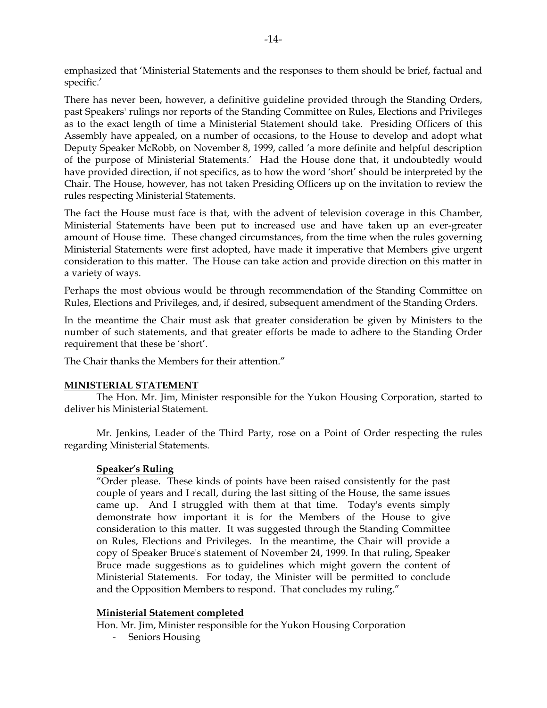emphasized that 'Ministerial Statements and the responses to them should be brief, factual and specific.'

There has never been, however, a definitive guideline provided through the Standing Orders, past Speakers' rulings nor reports of the Standing Committee on Rules, Elections and Privileges as to the exact length of time a Ministerial Statement should take. Presiding Officers of this Assembly have appealed, on a number of occasions, to the House to develop and adopt what Deputy Speaker McRobb, on November 8, 1999, called 'a more definite and helpful description of the purpose of Ministerial Statements.' Had the House done that, it undoubtedly would have provided direction, if not specifics, as to how the word 'short' should be interpreted by the Chair. The House, however, has not taken Presiding Officers up on the invitation to review the rules respecting Ministerial Statements.

The fact the House must face is that, with the advent of television coverage in this Chamber, Ministerial Statements have been put to increased use and have taken up an ever-greater amount of House time. These changed circumstances, from the time when the rules governing Ministerial Statements were first adopted, have made it imperative that Members give urgent consideration to this matter. The House can take action and provide direction on this matter in a variety of ways.

Perhaps the most obvious would be through recommendation of the Standing Committee on Rules, Elections and Privileges, and, if desired, subsequent amendment of the Standing Orders.

In the meantime the Chair must ask that greater consideration be given by Ministers to the number of such statements, and that greater efforts be made to adhere to the Standing Order requirement that these be 'short'.

The Chair thanks the Members for their attention."

#### **MINISTERIAL STATEMENT**

 The Hon. Mr. Jim, Minister responsible for the Yukon Housing Corporation, started to deliver his Ministerial Statement.

 Mr. Jenkins, Leader of the Third Party, rose on a Point of Order respecting the rules regarding Ministerial Statements.

#### **Speaker's Ruling**

 "Order please. These kinds of points have been raised consistently for the past couple of years and I recall, during the last sitting of the House, the same issues came up. And I struggled with them at that time. Today's events simply demonstrate how important it is for the Members of the House to give consideration to this matter. It was suggested through the Standing Committee on Rules, Elections and Privileges. In the meantime, the Chair will provide a copy of Speaker Bruce's statement of November 24, 1999. In that ruling, Speaker Bruce made suggestions as to guidelines which might govern the content of Ministerial Statements. For today, the Minister will be permitted to conclude and the Opposition Members to respond. That concludes my ruling."

#### **Ministerial Statement completed**

Hon. Mr. Jim, Minister responsible for the Yukon Housing Corporation

- Seniors Housing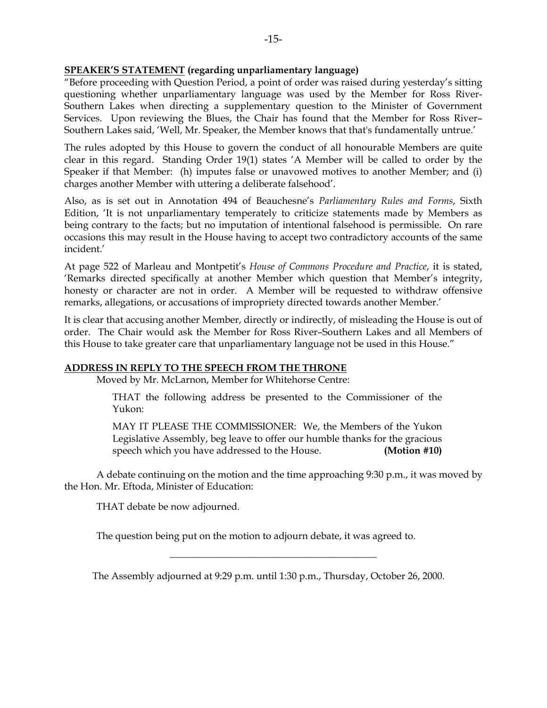#### **SPEAKER'S STATEMENT (regarding unparliamentary language)**

"Before proceeding with Question Period, a point of order was raised during yesterday's sitting questioning whether unparliamentary language was used by the Member for Ross River-Southern Lakes when directing a supplementary question to the Minister of Government Services. Upon reviewing the Blues, the Chair has found that the Member for Ross River– Southern Lakes said, 'Well, Mr. Speaker, the Member knows that that's fundamentally untrue.'

The rules adopted by this House to govern the conduct of all honourable Members are quite clear in this regard. Standing Order 19(1) states 'A Member will be called to order by the Speaker if that Member: (h) imputes false or unavowed motives to another Member; and (i) charges another Member with uttering a deliberate falsehood'.

Also, as is set out in Annotation 494 of Beauchesne's *Parliamentary Rules and Forms*, Sixth Edition, 'It is not unparliamentary temperately to criticize statements made by Members as being contrary to the facts; but no imputation of intentional falsehood is permissible. On rare occasions this may result in the House having to accept two contradictory accounts of the same incident.'

At page 522 of Marleau and Montpetit's *House of Commons Procedure and Practice*, it is stated, 'Remarks directed specifically at another Member which question that Member's integrity, honesty or character are not in order. A Member will be requested to withdraw offensive remarks, allegations, or accusations of impropriety directed towards another Member.'

It is clear that accusing another Member, directly or indirectly, of misleading the House is out of order. The Chair would ask the Member for Ross River–Southern Lakes and all Members of this House to take greater care that unparliamentary language not be used in this House."

#### **ADDRESS IN REPLY TO THE SPEECH FROM THE THRONE**

Moved by Mr. McLarnon, Member for Whitehorse Centre:

 THAT the following address be presented to the Commissioner of the Yukon:

 MAY IT PLEASE THE COMMISSIONER: We, the Members of the Yukon Legislative Assembly, beg leave to offer our humble thanks for the gracious speech which you have addressed to the House. **(Motion #10)** 

 A debate continuing on the motion and the time approaching 9:30 p.m., it was moved by the Hon. Mr. Eftoda, Minister of Education:

THAT debate be now adjourned.

The question being put on the motion to adjourn debate, it was agreed to.

The Assembly adjourned at 9:29 p.m. until 1:30 p.m., Thursday, October 26, 2000.

\_\_\_\_\_\_\_\_\_\_\_\_\_\_\_\_\_\_\_\_\_\_\_\_\_\_\_\_\_\_\_\_\_\_\_\_\_\_\_\_\_\_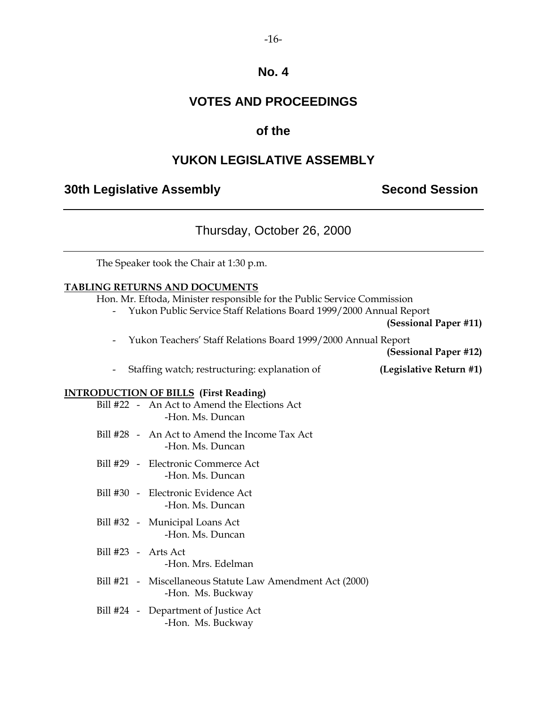### **VOTES AND PROCEEDINGS**

### **of the**

### **YUKON LEGISLATIVE ASSEMBLY**

### **30th Legislative Assembly Second Session**

### Thursday, October 26, 2000

The Speaker took the Chair at 1:30 p.m.

### **TABLING RETURNS AND DOCUMENTS**

Hon. Mr. Eftoda, Minister responsible for the Public Service Commission

- Yukon Public Service Staff Relations Board 1999/2000 Annual Report

**(Sessional Paper #11)** 

- Yukon Teachers' Staff Relations Board 1999/2000 Annual Report

**(Sessional Paper #12)** 

- Staffing watch; restructuring: explanation of **(Legislative Return #1)** 

#### **INTRODUCTION OF BILLS (First Reading)**

|  | Bill #22 - An Act to Amend the Elections Act<br>-Hon. Ms. Duncan               |
|--|--------------------------------------------------------------------------------|
|  | Bill #28 - An Act to Amend the Income Tax Act<br>-Hon. Ms. Duncan              |
|  | Bill #29 - Electronic Commerce Act<br>-Hon. Ms. Duncan                         |
|  | Bill #30 - Electronic Evidence Act<br>-Hon. Ms. Duncan                         |
|  | Bill #32 - Municipal Loans Act<br>-Hon. Ms. Duncan                             |
|  | $Bill #23 - Arts Act$<br>-Hon. Mrs. Edelman                                    |
|  | Bill #21 - Miscellaneous Statute Law Amendment Act (2000)<br>-Hon. Ms. Buckway |
|  | Bill #24 - Department of Justice Act<br>-Hon. Ms. Buckway                      |
|  |                                                                                |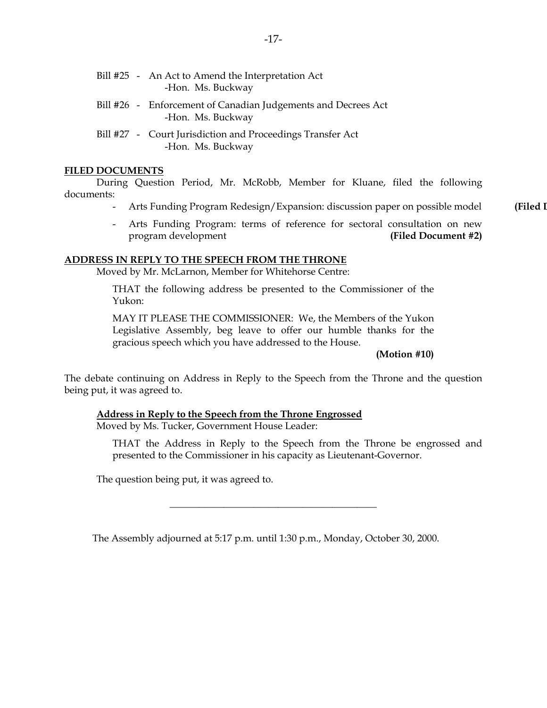| Bill #25 - An Act to Amend the Interpretation Act<br>-Hon. Ms. Buckway             |
|------------------------------------------------------------------------------------|
| Bill #26 - Enforcement of Canadian Judgements and Decrees Act<br>-Hon. Ms. Buckway |
| Bill #27 - Court Jurisdiction and Proceedings Transfer Act<br>-Hon. Ms. Buckway    |

#### **FILED DOCUMENTS**

 During Question Period, Mr. McRobb, Member for Kluane, filed the following documents:

- Arts Funding Program Redesign/Expansion: discussion paper on possible model **(Filed D**
- Arts Funding Program: terms of reference for sectoral consultation on new program development **(Filed Document #2)**

#### **ADDRESS IN REPLY TO THE SPEECH FROM THE THRONE**

Moved by Mr. McLarnon, Member for Whitehorse Centre:

 THAT the following address be presented to the Commissioner of the Yukon:

 MAY IT PLEASE THE COMMISSIONER: We, the Members of the Yukon Legislative Assembly, beg leave to offer our humble thanks for the gracious speech which you have addressed to the House.

**(Motion #10)** 

The debate continuing on Address in Reply to the Speech from the Throne and the question being put, it was agreed to.

#### **Address in Reply to the Speech from the Throne Engrossed**

Moved by Ms. Tucker, Government House Leader:

 THAT the Address in Reply to the Speech from the Throne be engrossed and presented to the Commissioner in his capacity as Lieutenant-Governor.

The question being put, it was agreed to.

The Assembly adjourned at 5:17 p.m. until 1:30 p.m., Monday, October 30, 2000.

\_\_\_\_\_\_\_\_\_\_\_\_\_\_\_\_\_\_\_\_\_\_\_\_\_\_\_\_\_\_\_\_\_\_\_\_\_\_\_\_\_\_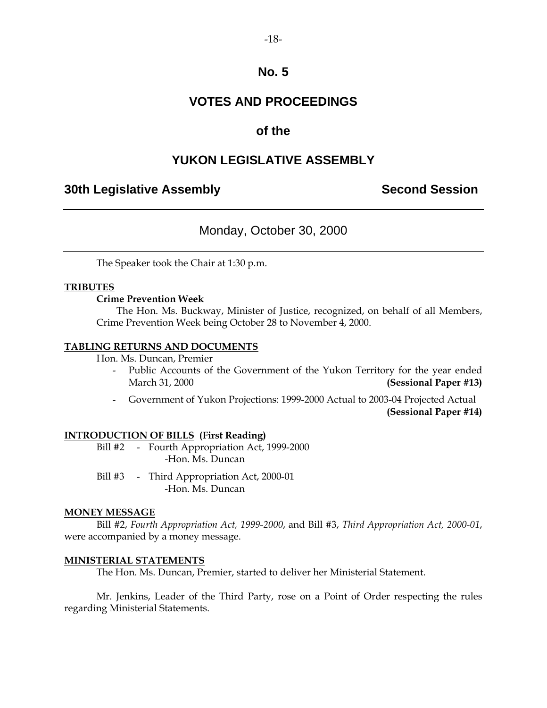### **VOTES AND PROCEEDINGS**

### **of the**

### **YUKON LEGISLATIVE ASSEMBLY**

### **30th Legislative Assembly Second Session**

### Monday, October 30, 2000

The Speaker took the Chair at 1:30 p.m.

#### **TRIBUTES**

#### **Crime Prevention Week**

 The Hon. Ms. Buckway, Minister of Justice, recognized, on behalf of all Members, Crime Prevention Week being October 28 to November 4, 2000.

#### **TABLING RETURNS AND DOCUMENTS**

Hon. Ms. Duncan, Premier

- Public Accounts of the Government of the Yukon Territory for the year ended March 31, 2000 **(Sessional Paper #13)**
- Government of Yukon Projections: 1999-2000 Actual to 2003-04 Projected Actual **(Sessional Paper #14)**

#### **INTRODUCTION OF BILLS (First Reading)**

Bill #2 - Fourth Appropriation Act, 1999-2000 -Hon. Ms. Duncan

Bill #3 - Third Appropriation Act, 2000-01 -Hon. Ms. Duncan

#### **MONEY MESSAGE**

 Bill #2, *Fourth Appropriation Act, 1999-2000*, and Bill #3, *Third Appropriation Act, 2000-01*, were accompanied by a money message.

#### **MINISTERIAL STATEMENTS**

The Hon. Ms. Duncan, Premier, started to deliver her Ministerial Statement.

 Mr. Jenkins, Leader of the Third Party, rose on a Point of Order respecting the rules regarding Ministerial Statements.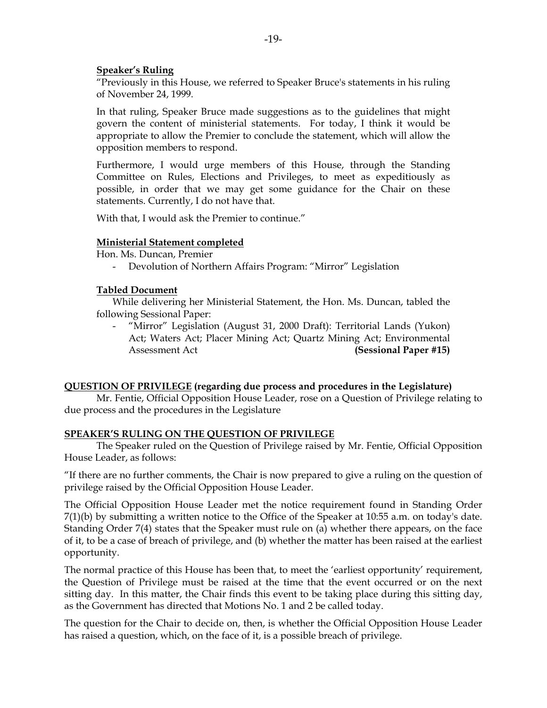#### **Speaker's Ruling**

 "Previously in this House, we referred to Speaker Bruce's statements in his ruling of November 24, 1999.

 In that ruling, Speaker Bruce made suggestions as to the guidelines that might govern the content of ministerial statements. For today, I think it would be appropriate to allow the Premier to conclude the statement, which will allow the opposition members to respond.

 Furthermore, I would urge members of this House, through the Standing Committee on Rules, Elections and Privileges, to meet as expeditiously as possible, in order that we may get some guidance for the Chair on these statements. Currently, I do not have that.

With that, I would ask the Premier to continue."

#### **Ministerial Statement completed**

Hon. Ms. Duncan, Premier

- Devolution of Northern Affairs Program: "Mirror" Legislation

#### **Tabled Document**

 While delivering her Ministerial Statement, the Hon. Ms. Duncan, tabled the following Sessional Paper:

 - "Mirror" Legislation (August 31, 2000 Draft): Territorial Lands (Yukon) Act; Waters Act; Placer Mining Act; Quartz Mining Act; Environmental Assessment Act **(Sessional Paper #15)** 

#### **QUESTION OF PRIVILEGE (regarding due process and procedures in the Legislature)**

 Mr. Fentie, Official Opposition House Leader, rose on a Question of Privilege relating to due process and the procedures in the Legislature

#### **SPEAKER'S RULING ON THE QUESTION OF PRIVILEGE**

 The Speaker ruled on the Question of Privilege raised by Mr. Fentie, Official Opposition House Leader, as follows:

"If there are no further comments, the Chair is now prepared to give a ruling on the question of privilege raised by the Official Opposition House Leader.

The Official Opposition House Leader met the notice requirement found in Standing Order 7(1)(b) by submitting a written notice to the Office of the Speaker at 10:55 a.m. on today's date. Standing Order 7(4) states that the Speaker must rule on (a) whether there appears, on the face of it, to be a case of breach of privilege, and (b) whether the matter has been raised at the earliest opportunity.

The normal practice of this House has been that, to meet the 'earliest opportunity' requirement, the Question of Privilege must be raised at the time that the event occurred or on the next sitting day. In this matter, the Chair finds this event to be taking place during this sitting day, as the Government has directed that Motions No. 1 and 2 be called today.

The question for the Chair to decide on, then, is whether the Official Opposition House Leader has raised a question, which, on the face of it, is a possible breach of privilege.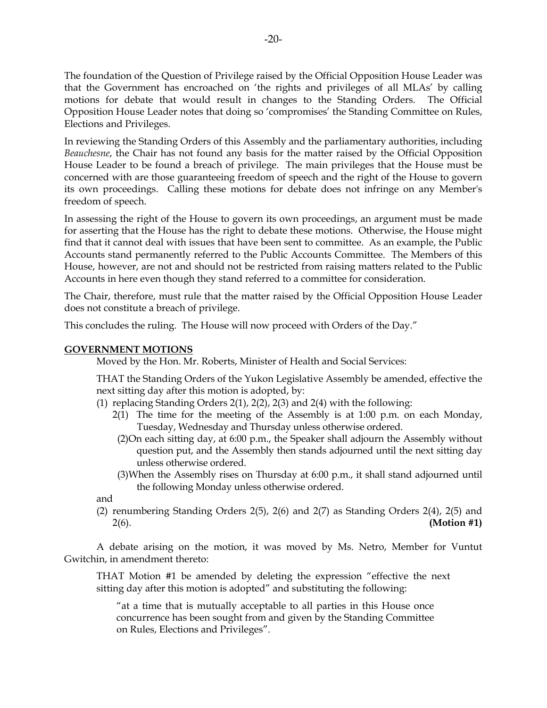The foundation of the Question of Privilege raised by the Official Opposition House Leader was that the Government has encroached on 'the rights and privileges of all MLAs' by calling motions for debate that would result in changes to the Standing Orders. The Official Opposition House Leader notes that doing so 'compromises' the Standing Committee on Rules, Elections and Privileges.

In reviewing the Standing Orders of this Assembly and the parliamentary authorities, including *Beauchesne*, the Chair has not found any basis for the matter raised by the Official Opposition House Leader to be found a breach of privilege. The main privileges that the House must be concerned with are those guaranteeing freedom of speech and the right of the House to govern its own proceedings. Calling these motions for debate does not infringe on any Member's freedom of speech.

In assessing the right of the House to govern its own proceedings, an argument must be made for asserting that the House has the right to debate these motions. Otherwise, the House might find that it cannot deal with issues that have been sent to committee. As an example, the Public Accounts stand permanently referred to the Public Accounts Committee. The Members of this House, however, are not and should not be restricted from raising matters related to the Public Accounts in here even though they stand referred to a committee for consideration.

The Chair, therefore, must rule that the matter raised by the Official Opposition House Leader does not constitute a breach of privilege.

This concludes the ruling. The House will now proceed with Orders of the Day."

#### **GOVERNMENT MOTIONS**

Moved by the Hon. Mr. Roberts, Minister of Health and Social Services:

 THAT the Standing Orders of the Yukon Legislative Assembly be amended, effective the next sitting day after this motion is adopted, by:

- (1) replacing Standing Orders 2(1), 2(2), 2(3) and 2(4) with the following:
	- $2(1)$  The time for the meeting of the Assembly is at 1:00 p.m. on each Monday, Tuesday, Wednesday and Thursday unless otherwise ordered.
	- (2) On each sitting day, at 6:00 p.m., the Speaker shall adjourn the Assembly without question put, and the Assembly then stands adjourned until the next sitting day unless otherwise ordered.
	- (3) When the Assembly rises on Thursday at 6:00 p.m., it shall stand adjourned until the following Monday unless otherwise ordered.

and

 (2) renumbering Standing Orders 2(5), 2(6) and 2(7) as Standing Orders 2(4), 2(5) and 2(6). **(Motion #1)** 

 A debate arising on the motion, it was moved by Ms. Netro, Member for Vuntut Gwitchin, in amendment thereto:

 THAT Motion #1 be amended by deleting the expression "effective the next sitting day after this motion is adopted" and substituting the following:

 "at a time that is mutually acceptable to all parties in this House once concurrence has been sought from and given by the Standing Committee on Rules, Elections and Privileges".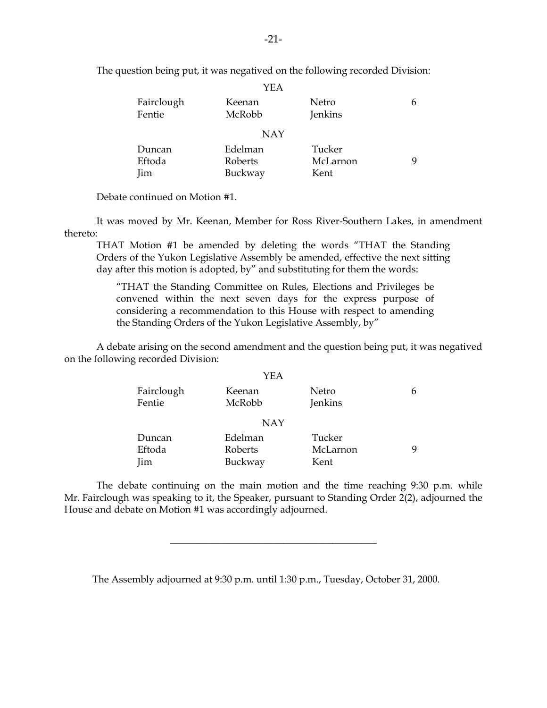|            | YEA        |          |   |
|------------|------------|----------|---|
| Fairclough | Keenan     | Netro    | 6 |
| Fentie     | McRobb     | Jenkins  |   |
|            | <b>NAY</b> |          |   |
| Duncan     | Edelman    | Tucker   |   |
| Eftoda     | Roberts    | McLarnon | q |
| Jim        | Buckway    | Kent     |   |

The question being put, it was negatived on the following recorded Division:

Debate continued on Motion #1.

 It was moved by Mr. Keenan, Member for Ross River-Southern Lakes, in amendment thereto:

 THAT Motion #1 be amended by deleting the words "THAT the Standing Orders of the Yukon Legislative Assembly be amended, effective the next sitting day after this motion is adopted, by" and substituting for them the words:

 "THAT the Standing Committee on Rules, Elections and Privileges be convened within the next seven days for the express purpose of considering a recommendation to this House with respect to amending the Standing Orders of the Yukon Legislative Assembly, by"

 A debate arising on the second amendment and the question being put, it was negatived on the following recorded Division:

|                      | YEA              |                  |   |
|----------------------|------------------|------------------|---|
| Fairclough<br>Fentie | Keenan<br>McRobb | Netro<br>Jenkins | h |
|                      | <b>NAY</b>       |                  |   |
| Duncan               | Edelman          | Tucker           |   |
| Eftoda               | Roberts          | McLarnon         | q |
| Jim                  | Buckway          | Kent             |   |

 The debate continuing on the main motion and the time reaching 9:30 p.m. while Mr. Fairclough was speaking to it, the Speaker, pursuant to Standing Order 2(2), adjourned the House and debate on Motion #1 was accordingly adjourned.

\_\_\_\_\_\_\_\_\_\_\_\_\_\_\_\_\_\_\_\_\_\_\_\_\_\_\_\_\_\_\_\_\_\_\_\_\_\_\_\_\_\_

The Assembly adjourned at 9:30 p.m. until 1:30 p.m., Tuesday, October 31, 2000.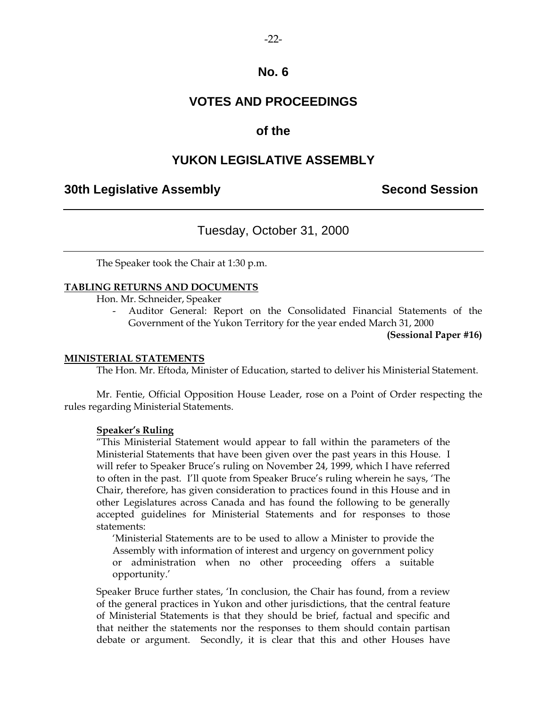### **VOTES AND PROCEEDINGS**

### **of the**

### **YUKON LEGISLATIVE ASSEMBLY**

### **30th Legislative Assembly Second Session**

### Tuesday, October 31, 2000

The Speaker took the Chair at 1:30 p.m.

#### **TABLING RETURNS AND DOCUMENTS**

Hon. Mr. Schneider, Speaker

 - Auditor General: Report on the Consolidated Financial Statements of the Government of the Yukon Territory for the year ended March 31, 2000

**(Sessional Paper #16)** 

#### **MINISTERIAL STATEMENTS**

The Hon. Mr. Eftoda, Minister of Education, started to deliver his Ministerial Statement.

 Mr. Fentie, Official Opposition House Leader, rose on a Point of Order respecting the rules regarding Ministerial Statements.

#### **Speaker's Ruling**

 "This Ministerial Statement would appear to fall within the parameters of the Ministerial Statements that have been given over the past years in this House. I will refer to Speaker Bruce's ruling on November 24, 1999, which I have referred to often in the past. I'll quote from Speaker Bruce's ruling wherein he says, 'The Chair, therefore, has given consideration to practices found in this House and in other Legislatures across Canada and has found the following to be generally accepted guidelines for Ministerial Statements and for responses to those statements:

 'Ministerial Statements are to be used to allow a Minister to provide the Assembly with information of interest and urgency on government policy or administration when no other proceeding offers a suitable opportunity.'

 Speaker Bruce further states, 'In conclusion, the Chair has found, from a review of the general practices in Yukon and other jurisdictions, that the central feature of Ministerial Statements is that they should be brief, factual and specific and that neither the statements nor the responses to them should contain partisan debate or argument. Secondly, it is clear that this and other Houses have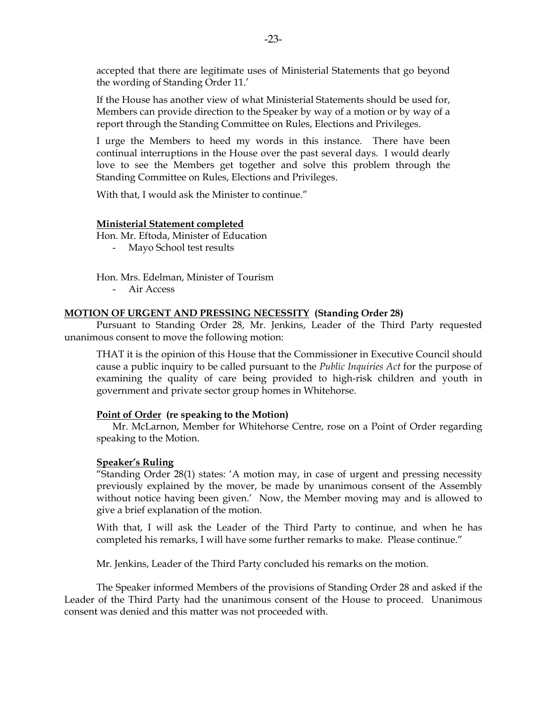accepted that there are legitimate uses of Ministerial Statements that go beyond the wording of Standing Order 11.'

 If the House has another view of what Ministerial Statements should be used for, Members can provide direction to the Speaker by way of a motion or by way of a report through the Standing Committee on Rules, Elections and Privileges.

 I urge the Members to heed my words in this instance. There have been continual interruptions in the House over the past several days. I would dearly love to see the Members get together and solve this problem through the Standing Committee on Rules, Elections and Privileges.

With that, I would ask the Minister to continue."

#### **Ministerial Statement completed**

Hon. Mr. Eftoda, Minister of Education

- Mayo School test results

Hon. Mrs. Edelman, Minister of Tourism

- Air Access

#### **MOTION OF URGENT AND PRESSING NECESSITY (Standing Order 28)**

 Pursuant to Standing Order 28, Mr. Jenkins, Leader of the Third Party requested unanimous consent to move the following motion:

 THAT it is the opinion of this House that the Commissioner in Executive Council should cause a public inquiry to be called pursuant to the *Public Inquiries Act* for the purpose of examining the quality of care being provided to high-risk children and youth in government and private sector group homes in Whitehorse.

#### **Point of Order (re speaking to the Motion)**

 Mr. McLarnon, Member for Whitehorse Centre, rose on a Point of Order regarding speaking to the Motion.

#### **Speaker's Ruling**

 "Standing Order 28(1) states: 'A motion may, in case of urgent and pressing necessity previously explained by the mover, be made by unanimous consent of the Assembly without notice having been given.' Now, the Member moving may and is allowed to give a brief explanation of the motion.

 With that, I will ask the Leader of the Third Party to continue, and when he has completed his remarks, I will have some further remarks to make. Please continue."

Mr. Jenkins, Leader of the Third Party concluded his remarks on the motion.

 The Speaker informed Members of the provisions of Standing Order 28 and asked if the Leader of the Third Party had the unanimous consent of the House to proceed. Unanimous consent was denied and this matter was not proceeded with.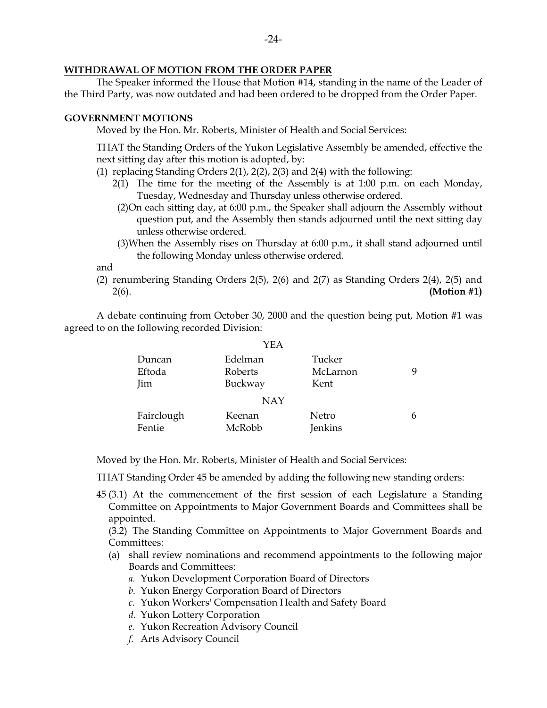#### **WITHDRAWAL OF MOTION FROM THE ORDER PAPER**

 The Speaker informed the House that Motion #14, standing in the name of the Leader of the Third Party, was now outdated and had been ordered to be dropped from the Order Paper.

#### **GOVERNMENT MOTIONS**

Moved by the Hon. Mr. Roberts, Minister of Health and Social Services:

 THAT the Standing Orders of the Yukon Legislative Assembly be amended, effective the next sitting day after this motion is adopted, by:

- (1) replacing Standing Orders 2(1), 2(2), 2(3) and 2(4) with the following:
	- 2(1) The time for the meeting of the Assembly is at 1:00 p.m. on each Monday, Tuesday, Wednesday and Thursday unless otherwise ordered.
		- (2) On each sitting day, at 6:00 p.m., the Speaker shall adjourn the Assembly without question put, and the Assembly then stands adjourned until the next sitting day unless otherwise ordered.
		- (3) When the Assembly rises on Thursday at 6:00 p.m., it shall stand adjourned until the following Monday unless otherwise ordered.

and

 (2) renumbering Standing Orders 2(5), 2(6) and 2(7) as Standing Orders 2(4), 2(5) and 2(6). **(Motion #1)** 

 A debate continuing from October 30, 2000 and the question being put, Motion #1 was agreed to on the following recorded Division:

|            | YEA        |          |   |
|------------|------------|----------|---|
| Duncan     | Edelman    | Tucker   | q |
| Eftoda     | Roberts    | McLarnon |   |
| Jim        | Buckway    | Kent     |   |
|            | <b>NAY</b> |          |   |
| Fairclough | Keenan     | Netro    | 6 |
| Fentie     | McRobb     | Jenkins  |   |

Moved by the Hon. Mr. Roberts, Minister of Health and Social Services:

THAT Standing Order 45 be amended by adding the following new standing orders:

 45 (3.1) At the commencement of the first session of each Legislature a Standing Committee on Appointments to Major Government Boards and Committees shall be appointed.

 (3.2) The Standing Committee on Appointments to Major Government Boards and Committees:

- (a) shall review nominations and recommend appointments to the following major Boards and Committees:
	- *a.* Yukon Development Corporation Board of Directors
	- *b.* Yukon Energy Corporation Board of Directors
	- *c.* Yukon Workers' Compensation Health and Safety Board
	- *d.* Yukon Lottery Corporation
	- *e.* Yukon Recreation Advisory Council
	- *f.* Arts Advisory Council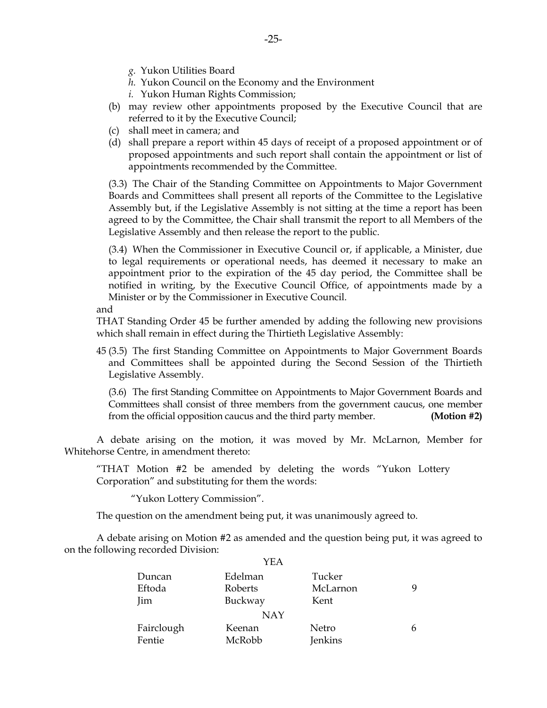- *g.* Yukon Utilities Board
- *h.* Yukon Council on the Economy and the Environment
- *i.* Yukon Human Rights Commission;
- (b) may review other appointments proposed by the Executive Council that are referred to it by the Executive Council;
- (c) shall meet in camera; and
- (d) shall prepare a report within 45 days of receipt of a proposed appointment or of proposed appointments and such report shall contain the appointment or list of appointments recommended by the Committee.

 (3.3) The Chair of the Standing Committee on Appointments to Major Government Boards and Committees shall present all reports of the Committee to the Legislative Assembly but, if the Legislative Assembly is not sitting at the time a report has been agreed to by the Committee, the Chair shall transmit the report to all Members of the Legislative Assembly and then release the report to the public.

 (3.4) When the Commissioner in Executive Council or, if applicable, a Minister, due to legal requirements or operational needs, has deemed it necessary to make an appointment prior to the expiration of the 45 day period, the Committee shall be notified in writing, by the Executive Council Office, of appointments made by a Minister or by the Commissioner in Executive Council.

and

 THAT Standing Order 45 be further amended by adding the following new provisions which shall remain in effect during the Thirtieth Legislative Assembly:

 45 (3.5) The first Standing Committee on Appointments to Major Government Boards and Committees shall be appointed during the Second Session of the Thirtieth Legislative Assembly.

 (3.6) The first Standing Committee on Appointments to Major Government Boards and Committees shall consist of three members from the government caucus, one member from the official opposition caucus and the third party member. **(Motion #2)** 

 A debate arising on the motion, it was moved by Mr. McLarnon, Member for Whitehorse Centre, in amendment thereto:

 "THAT Motion #2 be amended by deleting the words "Yukon Lottery Corporation" and substituting for them the words:

"Yukon Lottery Commission".

The question on the amendment being put, it was unanimously agreed to.

 A debate arising on Motion #2 as amended and the question being put, it was agreed to on the following recorded Division:  $Y_{\text{E}}$ 

|            | YEA     |          |   |
|------------|---------|----------|---|
| Duncan     | Edelman | Tucker   |   |
| Eftoda     | Roberts | McLarnon | q |
| <b>Jim</b> | Buckway | Kent     |   |
|            | NAY     |          |   |
| Fairclough | Keenan  | Netro    | 6 |
| Fentie     | McRobb  | Jenkins  |   |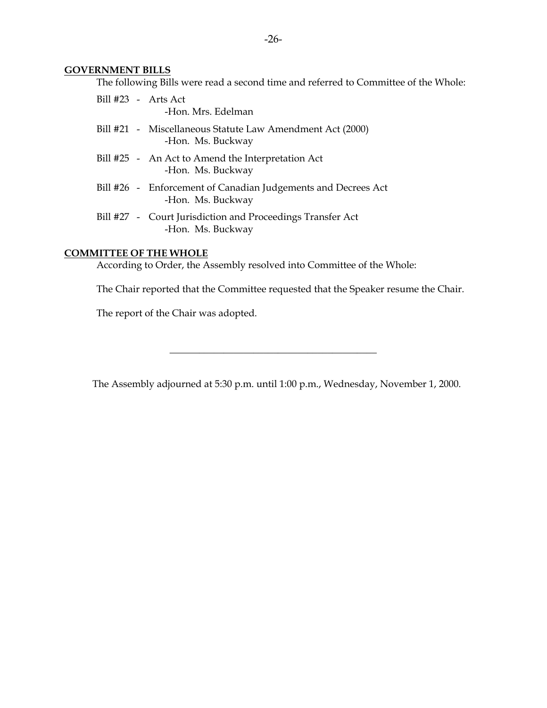#### **GOVERNMENT BILLS**

The following Bills were read a second time and referred to Committee of the Whole:

| Bill $#23$ - Arts Act | -Hon. Mrs. Edelman                                                                 |
|-----------------------|------------------------------------------------------------------------------------|
|                       | Bill #21 - Miscellaneous Statute Law Amendment Act (2000)<br>-Hon. Ms. Buckway     |
|                       | Bill #25 - An Act to Amend the Interpretation Act<br>-Hon. Ms. Buckway             |
|                       | Bill #26 - Enforcement of Canadian Judgements and Decrees Act<br>-Hon. Ms. Buckway |
|                       | Bill #27 - Court Jurisdiction and Proceedings Transfer Act<br>-Hon. Ms. Buckway    |

### **COMMITTEE OF THE WHOLE**

According to Order, the Assembly resolved into Committee of the Whole:

The Chair reported that the Committee requested that the Speaker resume the Chair.

The report of the Chair was adopted.

The Assembly adjourned at 5:30 p.m. until 1:00 p.m., Wednesday, November 1, 2000.

\_\_\_\_\_\_\_\_\_\_\_\_\_\_\_\_\_\_\_\_\_\_\_\_\_\_\_\_\_\_\_\_\_\_\_\_\_\_\_\_\_\_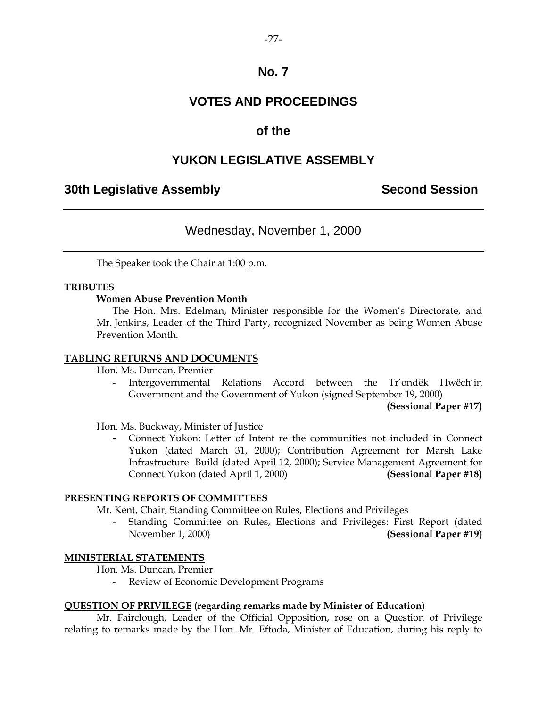### **VOTES AND PROCEEDINGS**

### **of the**

### **YUKON LEGISLATIVE ASSEMBLY**

### **30th Legislative Assembly Second Session**

### Wednesday, November 1, 2000

The Speaker took the Chair at 1:00 p.m.

#### **TRIBUTES**

#### **Women Abuse Prevention Month**

 The Hon. Mrs. Edelman, Minister responsible for the Women's Directorate, and Mr. Jenkins, Leader of the Third Party, recognized November as being Women Abuse Prevention Month.

#### **TABLING RETURNS AND DOCUMENTS**

Hon. Ms. Duncan, Premier

 - Intergovernmental Relations Accord between the Tr'ondëk Hwëch'in Government and the Government of Yukon (signed September 19, 2000)

**(Sessional Paper #17)** 

Hon. Ms. Buckway, Minister of Justice

Connect Yukon: Letter of Intent re the communities not included in Connect Yukon (dated March 31, 2000); Contribution Agreement for Marsh Lake Infrastructure Build (dated April 12, 2000); Service Management Agreement for Connect Yukon (dated April 1, 2000) **(Sessional Paper #18)** 

#### **PRESENTING REPORTS OF COMMITTEES**

Mr. Kent, Chair, Standing Committee on Rules, Elections and Privileges

 - Standing Committee on Rules, Elections and Privileges: First Report (dated November 1, 2000) **(Sessional Paper #19)**

#### **MINISTERIAL STATEMENTS**

Hon. Ms. Duncan, Premier

- Review of Economic Development Programs

#### **QUESTION OF PRIVILEGE (regarding remarks made by Minister of Education)**

 Mr. Fairclough, Leader of the Official Opposition, rose on a Question of Privilege relating to remarks made by the Hon. Mr. Eftoda, Minister of Education, during his reply to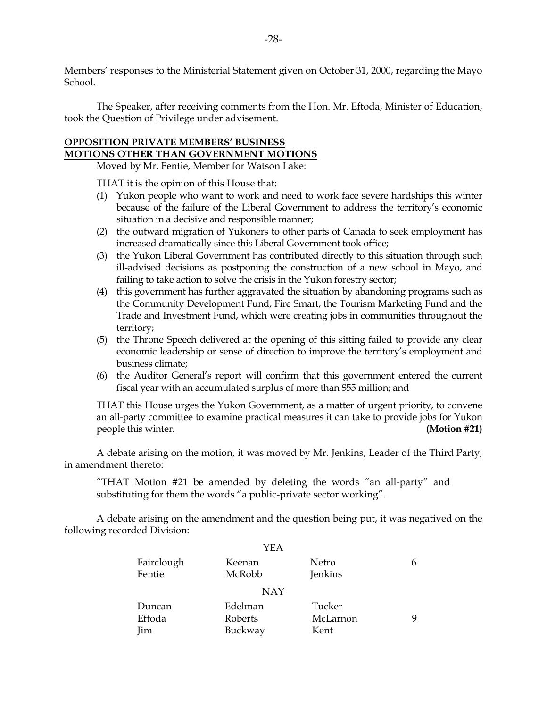Members' responses to the Ministerial Statement given on October 31, 2000, regarding the Mayo School.

 The Speaker, after receiving comments from the Hon. Mr. Eftoda, Minister of Education, took the Question of Privilege under advisement.

### **OPPOSITION PRIVATE MEMBERS' BUSINESS MOTIONS OTHER THAN GOVERNMENT MOTIONS**

Moved by Mr. Fentie, Member for Watson Lake:

THAT it is the opinion of this House that:

- (1) Yukon people who want to work and need to work face severe hardships this winter because of the failure of the Liberal Government to address the territory's economic situation in a decisive and responsible manner;
- (2) the outward migration of Yukoners to other parts of Canada to seek employment has increased dramatically since this Liberal Government took office;
- (3) the Yukon Liberal Government has contributed directly to this situation through such ill-advised decisions as postponing the construction of a new school in Mayo, and failing to take action to solve the crisis in the Yukon forestry sector;
- (4) this government has further aggravated the situation by abandoning programs such as the Community Development Fund, Fire Smart, the Tourism Marketing Fund and the Trade and Investment Fund, which were creating jobs in communities throughout the territory;
- (5) the Throne Speech delivered at the opening of this sitting failed to provide any clear economic leadership or sense of direction to improve the territory's employment and business climate;
- (6) the Auditor General's report will confirm that this government entered the current fiscal year with an accumulated surplus of more than \$55 million; and

 THAT this House urges the Yukon Government, as a matter of urgent priority, to convene an all-party committee to examine practical measures it can take to provide jobs for Yukon people this winter. **(Motion #21)** 

 A debate arising on the motion, it was moved by Mr. Jenkins, Leader of the Third Party, in amendment thereto:

 "THAT Motion #21 be amended by deleting the words "an all-party" and substituting for them the words "a public-private sector working".

 A debate arising on the amendment and the question being put, it was negatived on the following recorded Division:

|            | YEA     |          |   |
|------------|---------|----------|---|
| Fairclough | Keenan  | Netro    | 6 |
| Fentie     | McRobb  | Jenkins  |   |
| <b>NAY</b> |         |          |   |
| Duncan     | Edelman | Tucker   | 9 |
| Eftoda     | Roberts | McLarnon |   |
| Jim        | Buckway | Kent     |   |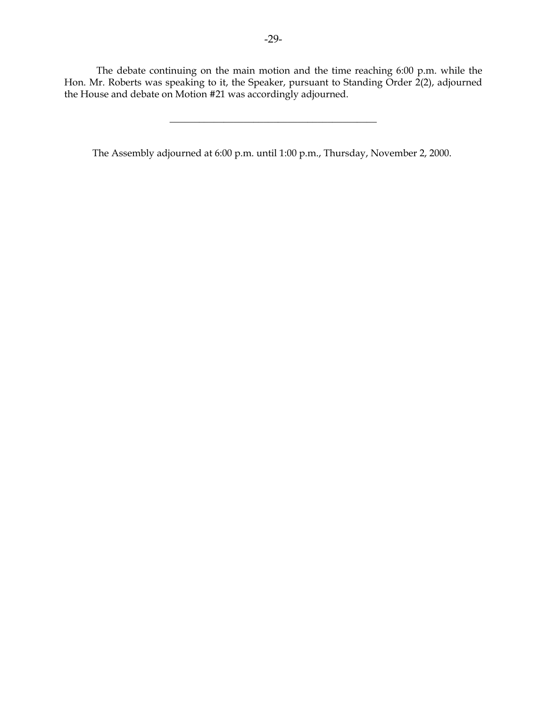The debate continuing on the main motion and the time reaching 6:00 p.m. while the Hon. Mr. Roberts was speaking to it, the Speaker, pursuant to Standing Order 2(2), adjourned the House and debate on Motion #21 was accordingly adjourned.

\_\_\_\_\_\_\_\_\_\_\_\_\_\_\_\_\_\_\_\_\_\_\_\_\_\_\_\_\_\_\_\_\_\_\_\_\_\_\_\_\_\_

The Assembly adjourned at 6:00 p.m. until 1:00 p.m., Thursday, November 2, 2000.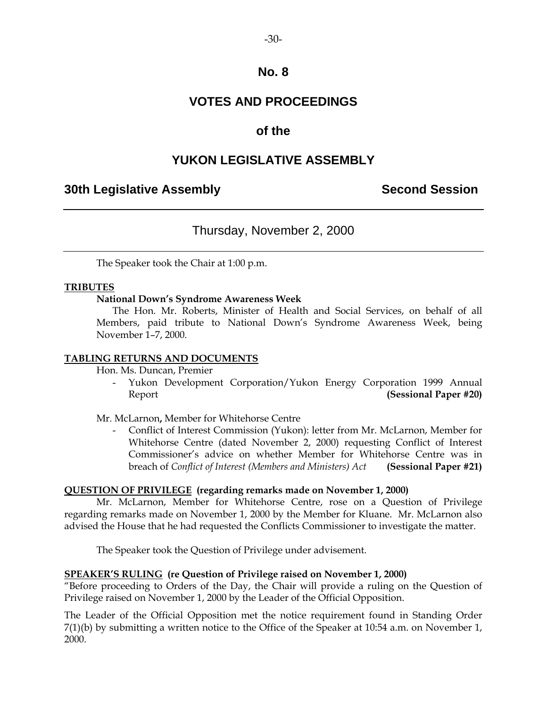### **VOTES AND PROCEEDINGS**

### **of the**

### **YUKON LEGISLATIVE ASSEMBLY**

### **30th Legislative Assembly Second Session**

### Thursday, November 2, 2000

The Speaker took the Chair at 1:00 p.m.

#### **TRIBUTES**

#### **National Down's Syndrome Awareness Week**

 The Hon. Mr. Roberts, Minister of Health and Social Services, on behalf of all Members, paid tribute to National Down's Syndrome Awareness Week, being November 1–7, 2000.

#### **TABLING RETURNS AND DOCUMENTS**

Hon. Ms. Duncan, Premier

Yukon Development Corporation/Yukon Energy Corporation 1999 Annual Report **(Sessional Paper #20)** 

Mr. McLarnon**,** Member for Whitehorse Centre

 - Conflict of Interest Commission (Yukon): letter from Mr. McLarnon, Member for Whitehorse Centre (dated November 2, 2000) requesting Conflict of Interest Commissioner's advice on whether Member for Whitehorse Centre was in breach of *Conflict of Interest (Members and Ministers) Act* **(Sessional Paper #21)** 

#### **QUESTION OF PRIVILEGE (regarding remarks made on November 1, 2000)**

 Mr. McLarnon, Member for Whitehorse Centre, rose on a Question of Privilege regarding remarks made on November 1, 2000 by the Member for Kluane. Mr. McLarnon also advised the House that he had requested the Conflicts Commissioner to investigate the matter.

The Speaker took the Question of Privilege under advisement.

#### **SPEAKER'S RULING (re Question of Privilege raised on November 1, 2000)**

"Before proceeding to Orders of the Day, the Chair will provide a ruling on the Question of Privilege raised on November 1, 2000 by the Leader of the Official Opposition.

The Leader of the Official Opposition met the notice requirement found in Standing Order 7(1)(b) by submitting a written notice to the Office of the Speaker at 10:54 a.m. on November 1, 2000.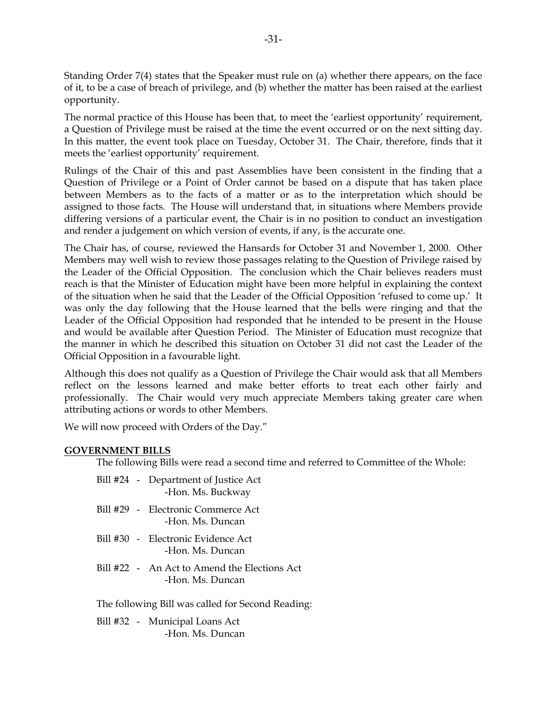Standing Order 7(4) states that the Speaker must rule on (a) whether there appears, on the face of it, to be a case of breach of privilege, and (b) whether the matter has been raised at the earliest opportunity.

The normal practice of this House has been that, to meet the 'earliest opportunity' requirement, a Question of Privilege must be raised at the time the event occurred or on the next sitting day. In this matter, the event took place on Tuesday, October 31. The Chair, therefore, finds that it meets the 'earliest opportunity' requirement.

Rulings of the Chair of this and past Assemblies have been consistent in the finding that a Question of Privilege or a Point of Order cannot be based on a dispute that has taken place between Members as to the facts of a matter or as to the interpretation which should be assigned to those facts. The House will understand that, in situations where Members provide differing versions of a particular event, the Chair is in no position to conduct an investigation and render a judgement on which version of events, if any, is the accurate one.

The Chair has, of course, reviewed the Hansards for October 31 and November 1, 2000. Other Members may well wish to review those passages relating to the Question of Privilege raised by the Leader of the Official Opposition. The conclusion which the Chair believes readers must reach is that the Minister of Education might have been more helpful in explaining the context of the situation when he said that the Leader of the Official Opposition 'refused to come up.' It was only the day following that the House learned that the bells were ringing and that the Leader of the Official Opposition had responded that he intended to be present in the House and would be available after Question Period. The Minister of Education must recognize that the manner in which he described this situation on October 31 did not cast the Leader of the Official Opposition in a favourable light.

Although this does not qualify as a Question of Privilege the Chair would ask that all Members reflect on the lessons learned and make better efforts to treat each other fairly and professionally. The Chair would very much appreciate Members taking greater care when attributing actions or words to other Members.

We will now proceed with Orders of the Day."

#### **GOVERNMENT BILLS**

The following Bills were read a second time and referred to Committee of the Whole:

- Bill #24 Department of Justice Act -Hon. Ms. Buckway
- Bill #29 Electronic Commerce Act -Hon. Ms. Duncan
- Bill #30 Electronic Evidence Act -Hon. Ms. Duncan
- Bill #22 An Act to Amend the Elections Act -Hon. Ms. Duncan

The following Bill was called for Second Reading:

 Bill #32 - Municipal Loans Act -Hon. Ms. Duncan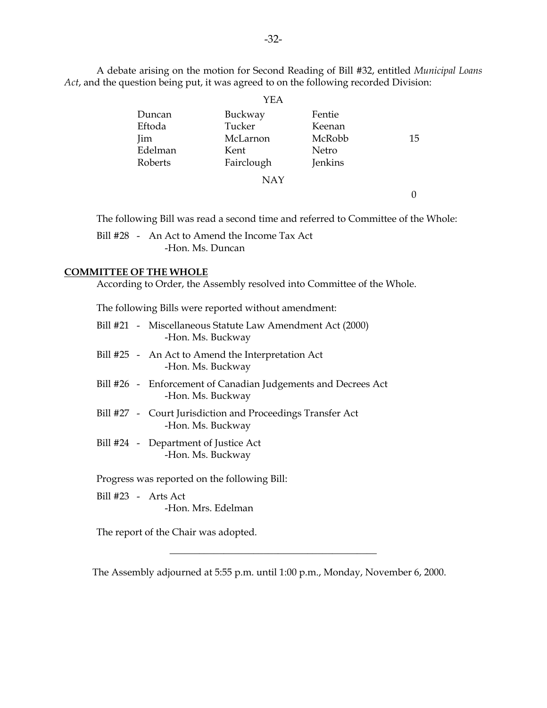A debate arising on the motion for Second Reading of Bill #32, entitled *Municipal Loans Act*, and the question being put, it was agreed to on the following recorded Division:

|                                               | YEA                                                 |                                                |    |
|-----------------------------------------------|-----------------------------------------------------|------------------------------------------------|----|
| Duncan<br>Eftoda<br>Jim<br>Edelman<br>Roberts | Buckway<br>Tucker<br>McLarnon<br>Kent<br>Fairclough | Fentie<br>Keenan<br>McRobb<br>Netro<br>Jenkins | 15 |
|                                               | <b>NAY</b>                                          |                                                |    |

The following Bill was read a second time and referred to Committee of the Whole:

 Bill #28 - An Act to Amend the Income Tax Act -Hon. Ms. Duncan

#### **COMMITTEE OF THE WHOLE**

According to Order, the Assembly resolved into Committee of the Whole.

The following Bills were reported without amendment:

|                     | Bill #21 - Miscellaneous Statute Law Amendment Act (2000)<br>-Hon. Ms. Buckway     |
|---------------------|------------------------------------------------------------------------------------|
|                     | Bill #25 - An Act to Amend the Interpretation Act<br>-Hon. Ms. Buckway             |
|                     | Bill #26 - Enforcement of Canadian Judgements and Decrees Act<br>-Hon. Ms. Buckway |
|                     | Bill #27 - Court Jurisdiction and Proceedings Transfer Act<br>-Hon. Ms. Buckway    |
|                     | Bill #24 - Department of Justice Act<br>-Hon. Ms. Buckway                          |
|                     | Progress was reported on the following Bill:                                       |
| Bill #23 - Arts Act |                                                                                    |
|                     | -Hon. Mrs. Edelman                                                                 |

The report of the Chair was adopted.

The Assembly adjourned at 5:55 p.m. until 1:00 p.m., Monday, November 6, 2000.

\_\_\_\_\_\_\_\_\_\_\_\_\_\_\_\_\_\_\_\_\_\_\_\_\_\_\_\_\_\_\_\_\_\_\_\_\_\_\_\_\_\_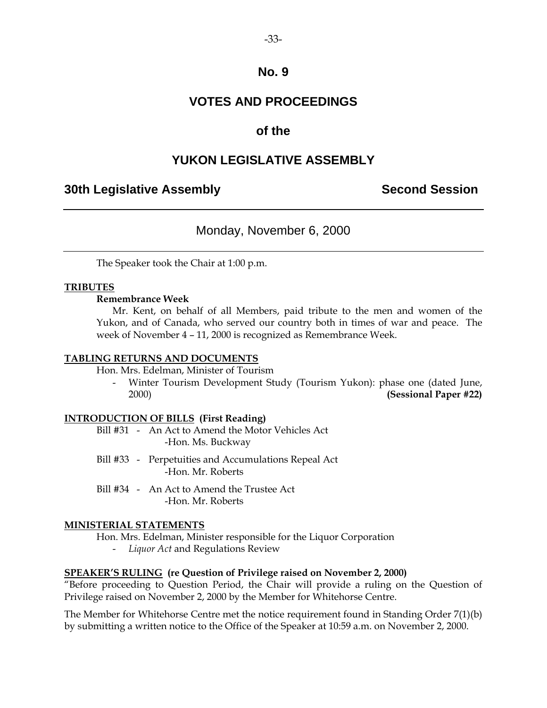### **VOTES AND PROCEEDINGS**

### **of the**

### **YUKON LEGISLATIVE ASSEMBLY**

### **30th Legislative Assembly Second Session**

### Monday, November 6, 2000

The Speaker took the Chair at 1:00 p.m.

#### **TRIBUTES**

#### **Remembrance Week**

 Mr. Kent, on behalf of all Members, paid tribute to the men and women of the Yukon, and of Canada, who served our country both in times of war and peace. The week of November 4 – 11, 2000 is recognized as Remembrance Week.

#### **TABLING RETURNS AND DOCUMENTS**

Hon. Mrs. Edelman, Minister of Tourism

 - Winter Tourism Development Study (Tourism Yukon): phase one (dated June, 2000) **(Sessional Paper #22)** 

#### **INTRODUCTION OF BILLS (First Reading)**

 Bill #31 - An Act to Amend the Motor Vehicles Act -Hon. Ms. Buckway

- Bill #33 Perpetuities and Accumulations Repeal Act -Hon. Mr. Roberts
- Bill #34 An Act to Amend the Trustee Act -Hon. Mr. Roberts

#### **MINISTERIAL STATEMENTS**

Hon. Mrs. Edelman, Minister responsible for the Liquor Corporation

- *Liquor Act* and Regulations Review

#### **SPEAKER'S RULING (re Question of Privilege raised on November 2, 2000)**

"Before proceeding to Question Period, the Chair will provide a ruling on the Question of Privilege raised on November 2, 2000 by the Member for Whitehorse Centre.

The Member for Whitehorse Centre met the notice requirement found in Standing Order 7(1)(b) by submitting a written notice to the Office of the Speaker at 10:59 a.m. on November 2, 2000.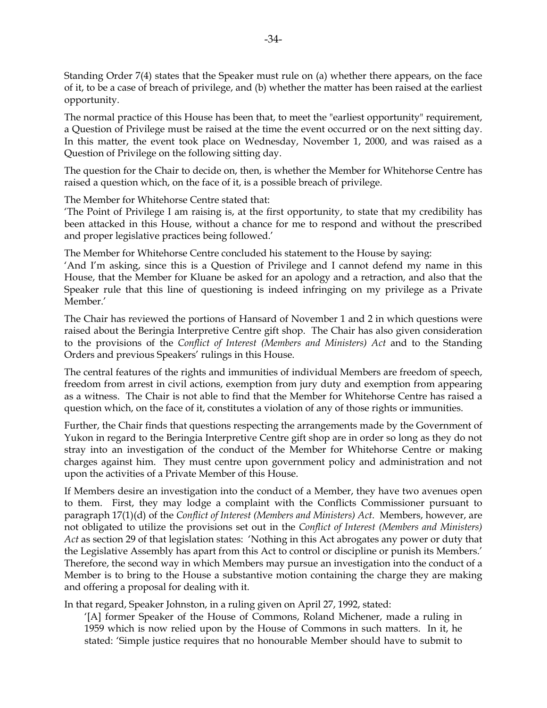Standing Order 7(4) states that the Speaker must rule on (a) whether there appears, on the face of it, to be a case of breach of privilege, and (b) whether the matter has been raised at the earliest opportunity.

The normal practice of this House has been that, to meet the "earliest opportunity" requirement, a Question of Privilege must be raised at the time the event occurred or on the next sitting day. In this matter, the event took place on Wednesday, November 1, 2000, and was raised as a Question of Privilege on the following sitting day.

The question for the Chair to decide on, then, is whether the Member for Whitehorse Centre has raised a question which, on the face of it, is a possible breach of privilege.

The Member for Whitehorse Centre stated that:

'The Point of Privilege I am raising is, at the first opportunity, to state that my credibility has been attacked in this House, without a chance for me to respond and without the prescribed and proper legislative practices being followed.'

The Member for Whitehorse Centre concluded his statement to the House by saying:

'And I'm asking, since this is a Question of Privilege and I cannot defend my name in this House, that the Member for Kluane be asked for an apology and a retraction, and also that the Speaker rule that this line of questioning is indeed infringing on my privilege as a Private Member.'

The Chair has reviewed the portions of Hansard of November 1 and 2 in which questions were raised about the Beringia Interpretive Centre gift shop. The Chair has also given consideration to the provisions of the *Conflict of Interest (Members and Ministers) Act* and to the Standing Orders and previous Speakers' rulings in this House.

The central features of the rights and immunities of individual Members are freedom of speech, freedom from arrest in civil actions, exemption from jury duty and exemption from appearing as a witness. The Chair is not able to find that the Member for Whitehorse Centre has raised a question which, on the face of it, constitutes a violation of any of those rights or immunities.

Further, the Chair finds that questions respecting the arrangements made by the Government of Yukon in regard to the Beringia Interpretive Centre gift shop are in order so long as they do not stray into an investigation of the conduct of the Member for Whitehorse Centre or making charges against him. They must centre upon government policy and administration and not upon the activities of a Private Member of this House.

If Members desire an investigation into the conduct of a Member, they have two avenues open to them. First, they may lodge a complaint with the Conflicts Commissioner pursuant to paragraph 17(1)(d) of the *Conflict of Interest (Members and Ministers) Act*. Members, however, are not obligated to utilize the provisions set out in the *Conflict of Interest (Members and Ministers) Act* as section 29 of that legislation states: 'Nothing in this Act abrogates any power or duty that the Legislative Assembly has apart from this Act to control or discipline or punish its Members.' Therefore, the second way in which Members may pursue an investigation into the conduct of a Member is to bring to the House a substantive motion containing the charge they are making and offering a proposal for dealing with it.

In that regard, Speaker Johnston, in a ruling given on April 27, 1992, stated:

'[A] former Speaker of the House of Commons, Roland Michener, made a ruling in 1959 which is now relied upon by the House of Commons in such matters. In it, he stated: 'Simple justice requires that no honourable Member should have to submit to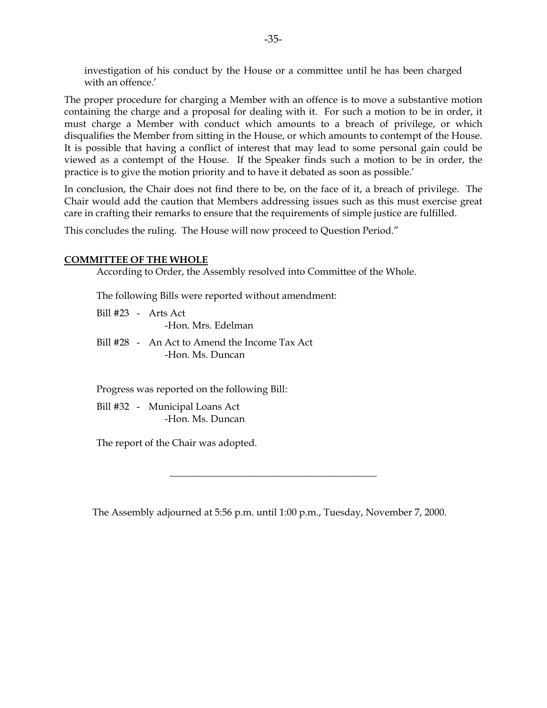investigation of his conduct by the House or a committee until he has been charged with an offence.'

The proper procedure for charging a Member with an offence is to move a substantive motion containing the charge and a proposal for dealing with it. For such a motion to be in order, it must charge a Member with conduct which amounts to a breach of privilege, or which disqualifies the Member from sitting in the House, or which amounts to contempt of the House. It is possible that having a conflict of interest that may lead to some personal gain could be viewed as a contempt of the House. If the Speaker finds such a motion to be in order, the practice is to give the motion priority and to have it debated as soon as possible.'

In conclusion, the Chair does not find there to be, on the face of it, a breach of privilege. The Chair would add the caution that Members addressing issues such as this must exercise great care in crafting their remarks to ensure that the requirements of simple justice are fulfilled.

This concludes the ruling. The House will now proceed to Question Period."

#### **COMMITTEE OF THE WHOLE**

According to Order, the Assembly resolved into Committee of the Whole.

The following Bills were reported without amendment:

- Bill #23 Arts Act -Hon. Mrs. Edelman
- Bill #28 An Act to Amend the Income Tax Act -Hon. Ms. Duncan

Progress was reported on the following Bill:

 Bill #32 - Municipal Loans Act -Hon. Ms. Duncan

The report of the Chair was adopted.

The Assembly adjourned at 5:56 p.m. until 1:00 p.m., Tuesday, November 7, 2000.

\_\_\_\_\_\_\_\_\_\_\_\_\_\_\_\_\_\_\_\_\_\_\_\_\_\_\_\_\_\_\_\_\_\_\_\_\_\_\_\_\_\_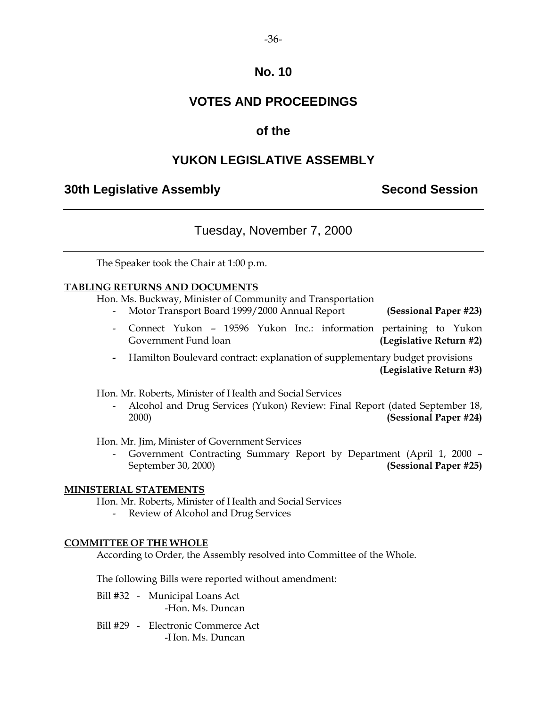# **VOTES AND PROCEEDINGS**

# **of the**

# **YUKON LEGISLATIVE ASSEMBLY**

## **30th Legislative Assembly Second Session**

# Tuesday, November 7, 2000

The Speaker took the Chair at 1:00 p.m.

### **TABLING RETURNS AND DOCUMENTS**

Hon. Ms. Buckway, Minister of Community and Transportation

- Motor Transport Board 1999/2000 Annual Report **(Sessional Paper #23)**
- Connect Yukon 19596 Yukon Inc.: information pertaining to Yukon Government Fund loan **(Legislative Return #2)**
- Hamilton Boulevard contract: explanation of supplementary budget provisions **(Legislative Return #3)**

Hon. Mr. Roberts, Minister of Health and Social Services

 - Alcohol and Drug Services (Yukon) Review: Final Report (dated September 18, 2000) **(Sessional Paper #24)** 

Hon. Mr. Jim, Minister of Government Services

 - Government Contracting Summary Report by Department (April 1, 2000 – September 30, 2000) **(Sessional Paper #25)**

### **MINISTERIAL STATEMENTS**

Hon. Mr. Roberts, Minister of Health and Social Services

Review of Alcohol and Drug Services

### **COMMITTEE OF THE WHOLE**

According to Order, the Assembly resolved into Committee of the Whole.

The following Bills were reported without amendment:

- Bill #32 Municipal Loans Act -Hon. Ms. Duncan
- Bill #29 Electronic Commerce Act -Hon. Ms. Duncan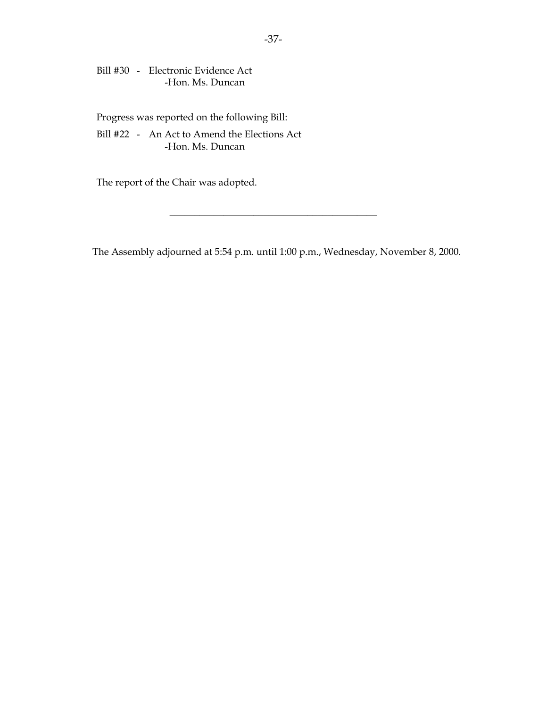Bill #30 - Electronic Evidence Act -Hon. Ms. Duncan

Progress was reported on the following Bill:

 Bill #22 - An Act to Amend the Elections Act -Hon. Ms. Duncan

The report of the Chair was adopted.

The Assembly adjourned at 5:54 p.m. until 1:00 p.m., Wednesday, November 8, 2000.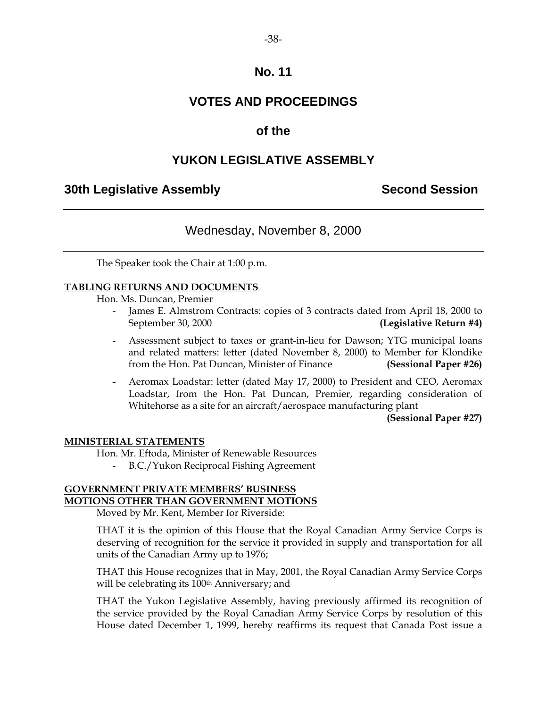# **VOTES AND PROCEEDINGS**

## **of the**

# **YUKON LEGISLATIVE ASSEMBLY**

### **30th Legislative Assembly Second Session**

# Wednesday, November 8, 2000

The Speaker took the Chair at 1:00 p.m.

### **TABLING RETURNS AND DOCUMENTS**

Hon. Ms. Duncan, Premier

- James E. Almstrom Contracts: copies of 3 contracts dated from April 18, 2000 to September 30, 2000 **(Legislative Return #4)**
- Assessment subject to taxes or grant-in-lieu for Dawson; YTG municipal loans and related matters: letter (dated November 8, 2000) to Member for Klondike from the Hon. Pat Duncan, Minister of Finance **(Sessional Paper #26)**
- Aeromax Loadstar: letter (dated May 17, 2000) to President and CEO, Aeromax Loadstar, from the Hon. Pat Duncan, Premier, regarding consideration of Whitehorse as a site for an aircraft/aerospace manufacturing plant

**(Sessional Paper #27)** 

### **MINISTERIAL STATEMENTS**

Hon. Mr. Eftoda, Minister of Renewable Resources

- B.C./Yukon Reciprocal Fishing Agreement

### **GOVERNMENT PRIVATE MEMBERS' BUSINESS MOTIONS OTHER THAN GOVERNMENT MOTIONS**

Moved by Mr. Kent, Member for Riverside:

THAT it is the opinion of this House that the Royal Canadian Army Service Corps is deserving of recognition for the service it provided in supply and transportation for all units of the Canadian Army up to 1976;

THAT this House recognizes that in May, 2001, the Royal Canadian Army Service Corps will be celebrating its 100<sup>th</sup> Anniversary; and

THAT the Yukon Legislative Assembly, having previously affirmed its recognition of the service provided by the Royal Canadian Army Service Corps by resolution of this House dated December 1, 1999, hereby reaffirms its request that Canada Post issue a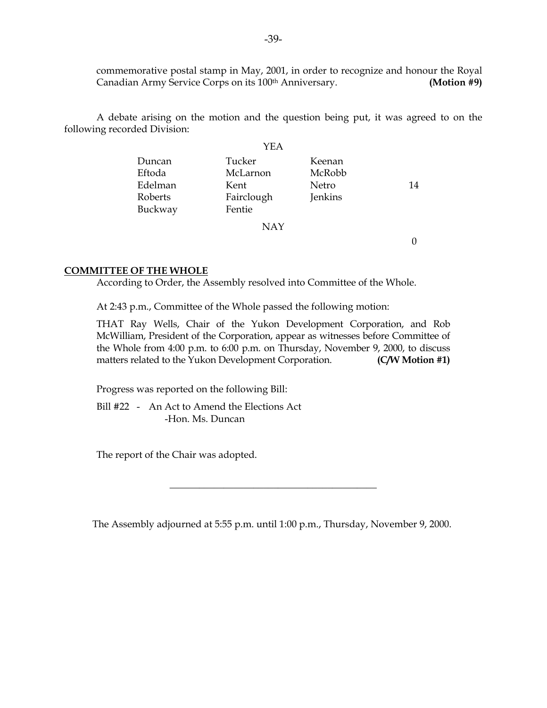commemorative postal stamp in May, 2001, in order to recognize and honour the Royal Canadian Army Service Corps on its 100<sup>th</sup> Anniversary. **(Motion #9)** 

 A debate arising on the motion and the question being put, it was agreed to on the following recorded Division:

|         | YEA        |         |    |
|---------|------------|---------|----|
| Duncan  | Tucker     | Keenan  |    |
| Eftoda  | McLarnon   | McRobb  |    |
| Edelman | Kent       | Netro   | 14 |
| Roberts | Fairclough | Jenkins |    |
| Buckway | Fentie     |         |    |
|         | <b>NAY</b> |         |    |

0

### **COMMITTEE OF THE WHOLE**

According to Order, the Assembly resolved into Committee of the Whole.

At 2:43 p.m., Committee of the Whole passed the following motion:

THAT Ray Wells, Chair of the Yukon Development Corporation, and Rob McWilliam, President of the Corporation, appear as witnesses before Committee of the Whole from 4:00 p.m. to 6:00 p.m. on Thursday, November 9, 2000, to discuss matters related to the Yukon Development Corporation. **(C/W Motion #1)** 

Progress was reported on the following Bill:

 Bill #22 - An Act to Amend the Elections Act -Hon. Ms. Duncan

The report of the Chair was adopted.

The Assembly adjourned at 5:55 p.m. until 1:00 p.m., Thursday, November 9, 2000.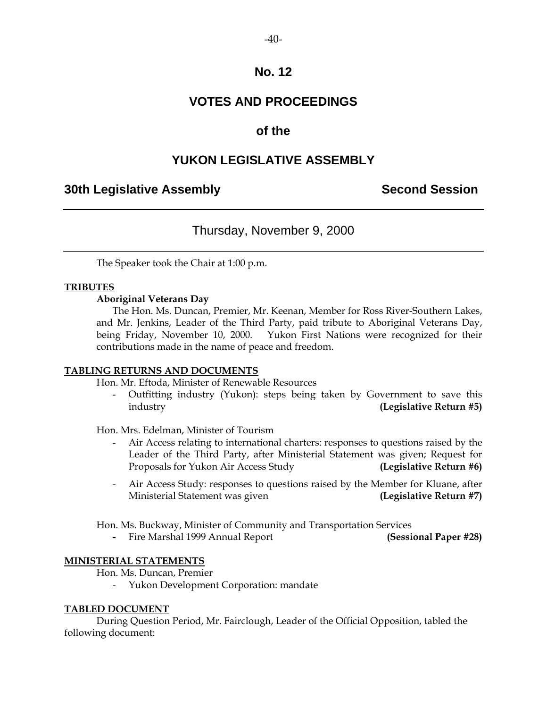# **VOTES AND PROCEEDINGS**

# **of the**

# **YUKON LEGISLATIVE ASSEMBLY**

## **30th Legislative Assembly Second Session**

# Thursday, November 9, 2000

The Speaker took the Chair at 1:00 p.m.

### **TRIBUTES**

### **Aboriginal Veterans Day**

 The Hon. Ms. Duncan, Premier, Mr. Keenan, Member for Ross River-Southern Lakes, and Mr. Jenkins, Leader of the Third Party, paid tribute to Aboriginal Veterans Day, being Friday, November 10, 2000. Yukon First Nations were recognized for their contributions made in the name of peace and freedom.

### **TABLING RETURNS AND DOCUMENTS**

Hon. Mr. Eftoda, Minister of Renewable Resources

Outfitting industry (Yukon): steps being taken by Government to save this industry **(Legislative Return #5)** 

Hon. Mrs. Edelman, Minister of Tourism

- Air Access relating to international charters: responses to questions raised by the Leader of the Third Party, after Ministerial Statement was given; Request for Proposals for Yukon Air Access Study **(Legislative Return #6)**
- Air Access Study: responses to questions raised by the Member for Kluane, after Ministerial Statement was given **(Legislative Return #7)**

Hon. Ms. Buckway, Minister of Community and Transportation Services

 **-** Fire Marshal 1999 Annual Report **(Sessional Paper #28)** 

### **MINISTERIAL STATEMENTS**

- Hon. Ms. Duncan, Premier
	- Yukon Development Corporation: mandate

### **TABLED DOCUMENT**

 During Question Period, Mr. Fairclough, Leader of the Official Opposition, tabled the following document: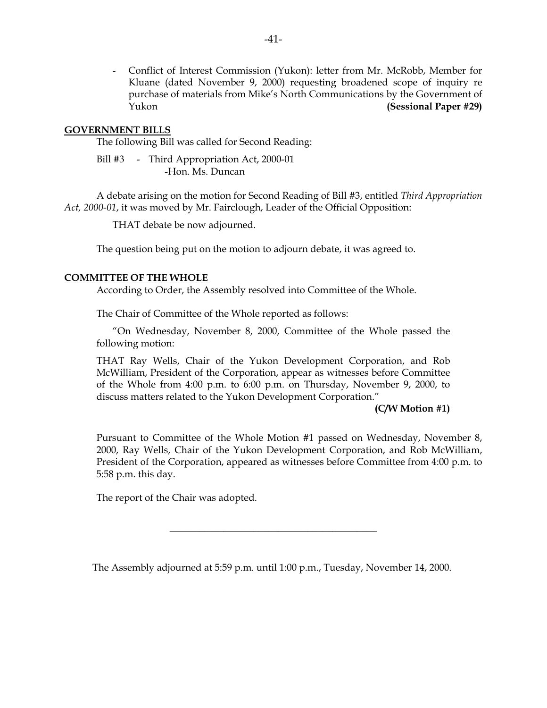- Conflict of Interest Commission (Yukon): letter from Mr. McRobb, Member for Kluane (dated November 9, 2000) requesting broadened scope of inquiry re purchase of materials from Mike's North Communications by the Government of Yukon **(Sessional Paper #29)** 

### **GOVERNMENT BILLS**

The following Bill was called for Second Reading:

Bill #3 - Third Appropriation Act, 2000-01 -Hon. Ms. Duncan

 A debate arising on the motion for Second Reading of Bill #3, entitled *Third Appropriation Act, 2000-01*, it was moved by Mr. Fairclough, Leader of the Official Opposition:

THAT debate be now adjourned.

The question being put on the motion to adjourn debate, it was agreed to.

#### **COMMITTEE OF THE WHOLE**

According to Order, the Assembly resolved into Committee of the Whole.

The Chair of Committee of the Whole reported as follows:

 "On Wednesday, November 8, 2000, Committee of the Whole passed the following motion:

THAT Ray Wells, Chair of the Yukon Development Corporation, and Rob McWilliam, President of the Corporation, appear as witnesses before Committee of the Whole from 4:00 p.m. to 6:00 p.m. on Thursday, November 9, 2000, to discuss matters related to the Yukon Development Corporation."

### **(C/W Motion #1)**

Pursuant to Committee of the Whole Motion #1 passed on Wednesday, November 8, 2000, Ray Wells, Chair of the Yukon Development Corporation, and Rob McWilliam, President of the Corporation, appeared as witnesses before Committee from 4:00 p.m. to 5:58 p.m. this day.

The report of the Chair was adopted.

The Assembly adjourned at 5:59 p.m. until 1:00 p.m., Tuesday, November 14, 2000.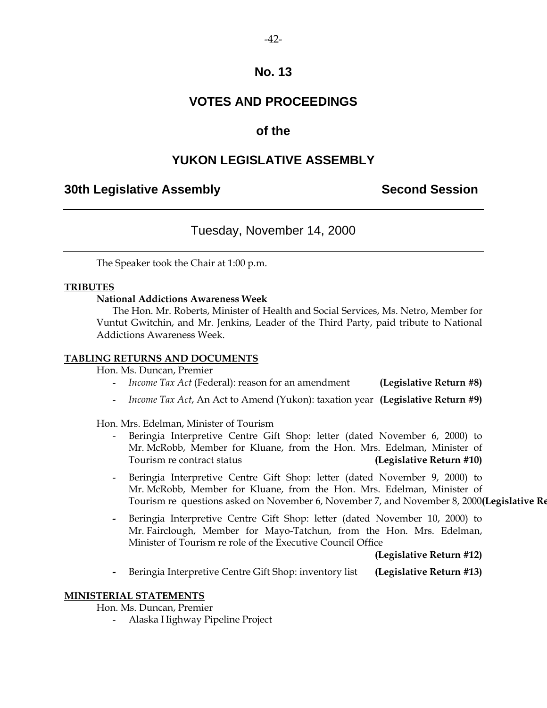# **VOTES AND PROCEEDINGS**

# **of the**

# **YUKON LEGISLATIVE ASSEMBLY**

# **30th Legislative Assembly Second Session**

# Tuesday, November 14, 2000

The Speaker took the Chair at 1:00 p.m.

### **TRIBUTES**

### **National Addictions Awareness Week**

 The Hon. Mr. Roberts, Minister of Health and Social Services, Ms. Netro, Member for Vuntut Gwitchin, and Mr. Jenkins, Leader of the Third Party, paid tribute to National Addictions Awareness Week.

### **TABLING RETURNS AND DOCUMENTS**

Hon. Ms. Duncan, Premier

- *Income Tax Act* (Federal): reason for an amendment **(Legislative Return #8)**
- *Income Tax Act*, An Act to Amend (Yukon): taxation year **(Legislative Return #9)**

Hon. Mrs. Edelman, Minister of Tourism

- Beringia Interpretive Centre Gift Shop: letter (dated November 6, 2000) to Mr. McRobb, Member for Kluane, from the Hon. Mrs. Edelman, Minister of Tourism re contract status **(Legislative Return #10)**
- Beringia Interpretive Centre Gift Shop: letter (dated November 9, 2000) to Mr. McRobb, Member for Kluane, from the Hon. Mrs. Edelman, Minister of Tourism re questions asked on November 6, November 7, and November 8, 2000**(Legislative Re**
- Beringia Interpretive Centre Gift Shop: letter (dated November 10, 2000) to Mr. Fairclough, Member for Mayo-Tatchun, from the Hon. Mrs. Edelman, Minister of Tourism re role of the Executive Council Office

**(Legislative Return #12)** 

 **-** Beringia Interpretive Centre Gift Shop: inventory list **(Legislative Return #13)** 

### **MINISTERIAL STATEMENTS**

Hon. Ms. Duncan, Premier

- Alaska Highway Pipeline Project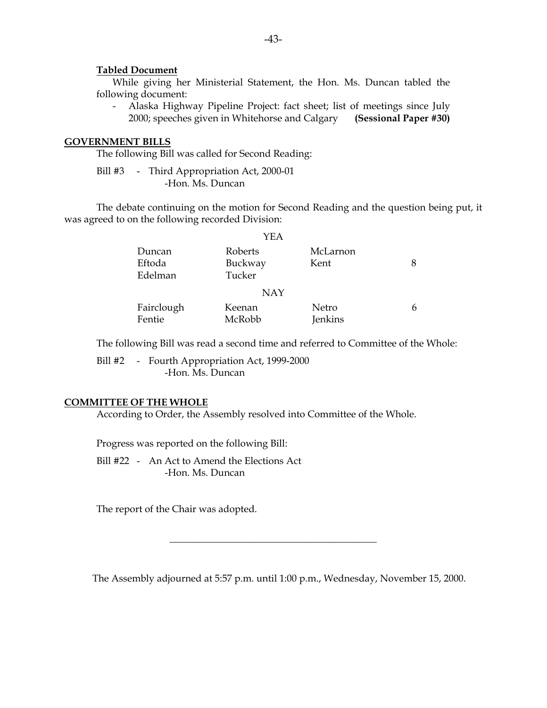#### **Tabled Document**

 While giving her Ministerial Statement, the Hon. Ms. Duncan tabled the following document:

 - Alaska Highway Pipeline Project: fact sheet; list of meetings since July 2000; speeches given in Whitehorse and Calgary **(Sessional Paper #30)** 

### **GOVERNMENT BILLS**

The following Bill was called for Second Reading:

Bill #3 - Third Appropriation Act, 2000-01 -Hon. Ms. Duncan

 The debate continuing on the motion for Second Reading and the question being put, it was agreed to on the following recorded Division:

|            | YEA        |          |  |
|------------|------------|----------|--|
| Duncan     | Roberts    | McLarnon |  |
| Eftoda     | Buckway    | Kent     |  |
| Edelman    | Tucker     |          |  |
|            | <b>NAY</b> |          |  |
| Fairclough | Keenan     | Netro    |  |
| Fentie     | McRobb     | Jenkins  |  |

The following Bill was read a second time and referred to Committee of the Whole:

Bill #2 - Fourth Appropriation Act, 1999-2000 -Hon. Ms. Duncan

### **COMMITTEE OF THE WHOLE**

According to Order, the Assembly resolved into Committee of the Whole.

Progress was reported on the following Bill:

 Bill #22 - An Act to Amend the Elections Act -Hon. Ms. Duncan

The report of the Chair was adopted.

The Assembly adjourned at 5:57 p.m. until 1:00 p.m., Wednesday, November 15, 2000.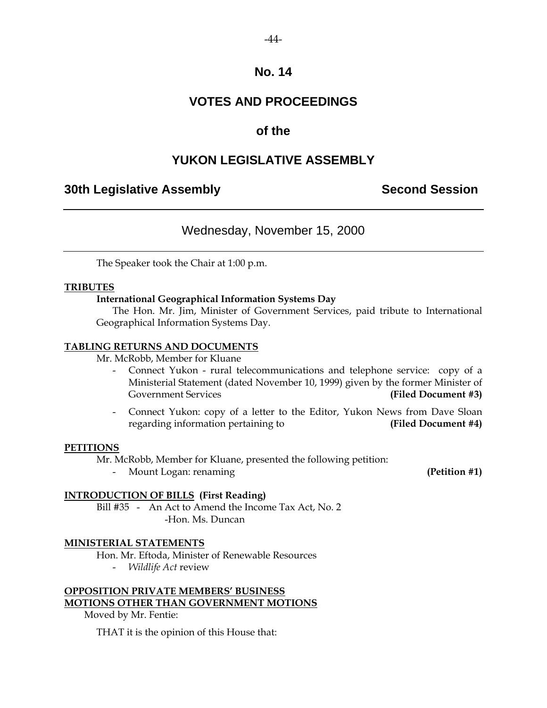# **VOTES AND PROCEEDINGS**

# **of the**

# **YUKON LEGISLATIVE ASSEMBLY**

## **30th Legislative Assembly Second Session**

# Wednesday, November 15, 2000

The Speaker took the Chair at 1:00 p.m.

### **TRIBUTES**

### **International Geographical Information Systems Day**

 The Hon. Mr. Jim, Minister of Government Services, paid tribute to International Geographical Information Systems Day.

### **TABLING RETURNS AND DOCUMENTS**

Mr. McRobb, Member for Kluane

- Connect Yukon rural telecommunications and telephone service: copy of a Ministerial Statement (dated November 10, 1999) given by the former Minister of Government Services **(Filed Document #3)**
- Connect Yukon: copy of a letter to the Editor, Yukon News from Dave Sloan regarding information pertaining to **(Filed Document #4)**

### **PETITIONS**

Mr. McRobb, Member for Kluane, presented the following petition:

Mount Logan: renaming **(Petition #1)** 

### **INTRODUCTION OF BILLS (First Reading)**

Bill #35 - An Act to Amend the Income Tax Act, No. 2 -Hon. Ms. Duncan

### **MINISTERIAL STATEMENTS**

Hon. Mr. Eftoda, Minister of Renewable Resources

- *Wildlife Act* review

### **OPPOSITION PRIVATE MEMBERS' BUSINESS MOTIONS OTHER THAN GOVERNMENT MOTIONS**

Moved by Mr. Fentie:

THAT it is the opinion of this House that: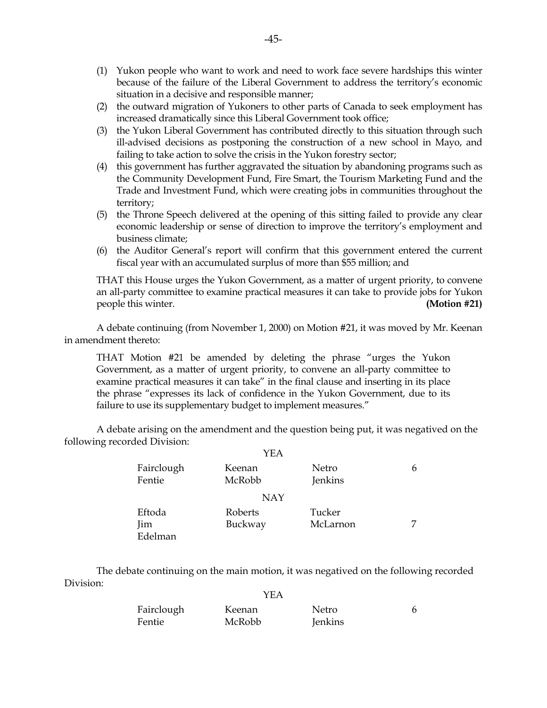- (1) Yukon people who want to work and need to work face severe hardships this winter because of the failure of the Liberal Government to address the territory's economic situation in a decisive and responsible manner;
- (2) the outward migration of Yukoners to other parts of Canada to seek employment has increased dramatically since this Liberal Government took office;
- (3) the Yukon Liberal Government has contributed directly to this situation through such ill-advised decisions as postponing the construction of a new school in Mayo, and failing to take action to solve the crisis in the Yukon forestry sector;
- (4) this government has further aggravated the situation by abandoning programs such as the Community Development Fund, Fire Smart, the Tourism Marketing Fund and the Trade and Investment Fund, which were creating jobs in communities throughout the territory;
- (5) the Throne Speech delivered at the opening of this sitting failed to provide any clear economic leadership or sense of direction to improve the territory's employment and business climate;
- (6) the Auditor General's report will confirm that this government entered the current fiscal year with an accumulated surplus of more than \$55 million; and

 THAT this House urges the Yukon Government, as a matter of urgent priority, to convene an all-party committee to examine practical measures it can take to provide jobs for Yukon people this winter. **(Motion #21)** 

 A debate continuing (from November 1, 2000) on Motion #21, it was moved by Mr. Keenan in amendment thereto:

 THAT Motion #21 be amended by deleting the phrase "urges the Yukon Government, as a matter of urgent priority, to convene an all-party committee to examine practical measures it can take" in the final clause and inserting in its place the phrase "expresses its lack of confidence in the Yukon Government, due to its failure to use its supplementary budget to implement measures."

 A debate arising on the amendment and the question being put, it was negatived on the following recorded Division:

|                          | YEA                |                    |   |  |
|--------------------------|--------------------|--------------------|---|--|
| Fairclough<br>Fentie     | Keenan<br>McRobb   | Netro<br>Jenkins   | 6 |  |
| <b>NAY</b>               |                    |                    |   |  |
| Eftoda<br>Jim<br>Edelman | Roberts<br>Buckway | Tucker<br>McLarnon |   |  |

 The debate continuing on the main motion, it was negatived on the following recorded Division:  $\sim$ 

|            | YEA    |         |  |
|------------|--------|---------|--|
| Fairclough | Keenan | Netro   |  |
| Fentie     | McRobb | Jenkins |  |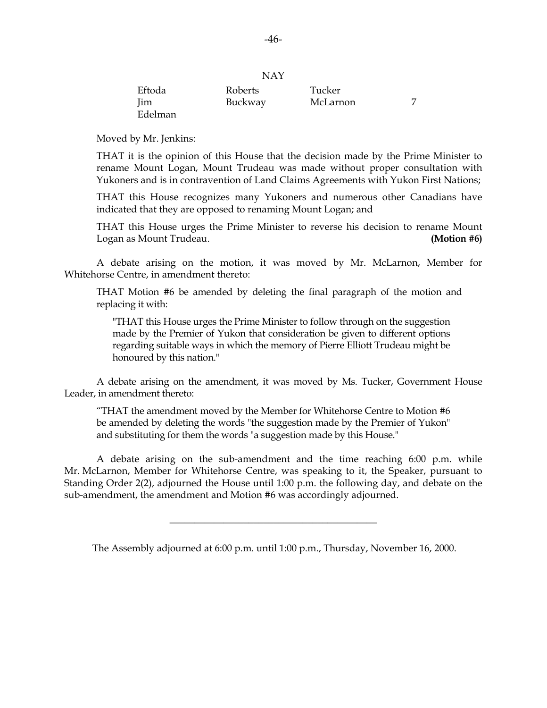|            | .       |          |  |
|------------|---------|----------|--|
| Eftoda     | Roberts | Tucker   |  |
| <b>Jim</b> | Buckway | McLarnon |  |
| Edelman    |         |          |  |

NAY

Moved by Mr. Jenkins:

 THAT it is the opinion of this House that the decision made by the Prime Minister to rename Mount Logan, Mount Trudeau was made without proper consultation with Yukoners and is in contravention of Land Claims Agreements with Yukon First Nations;

 THAT this House recognizes many Yukoners and numerous other Canadians have indicated that they are opposed to renaming Mount Logan; and

 THAT this House urges the Prime Minister to reverse his decision to rename Mount Logan as Mount Trudeau. **(Motion #6)**

 A debate arising on the motion, it was moved by Mr. McLarnon, Member for Whitehorse Centre, in amendment thereto:

THAT Motion #6 be amended by deleting the final paragraph of the motion and replacing it with:

 "THAT this House urges the Prime Minister to follow through on the suggestion made by the Premier of Yukon that consideration be given to different options regarding suitable ways in which the memory of Pierre Elliott Trudeau might be honoured by this nation."

 A debate arising on the amendment, it was moved by Ms. Tucker, Government House Leader, in amendment thereto:

"THAT the amendment moved by the Member for Whitehorse Centre to Motion #6 be amended by deleting the words "the suggestion made by the Premier of Yukon" and substituting for them the words "a suggestion made by this House."

 A debate arising on the sub-amendment and the time reaching 6:00 p.m. while Mr. McLarnon, Member for Whitehorse Centre, was speaking to it, the Speaker, pursuant to Standing Order 2(2), adjourned the House until 1:00 p.m. the following day, and debate on the sub-amendment, the amendment and Motion #6 was accordingly adjourned.

The Assembly adjourned at 6:00 p.m. until 1:00 p.m., Thursday, November 16, 2000.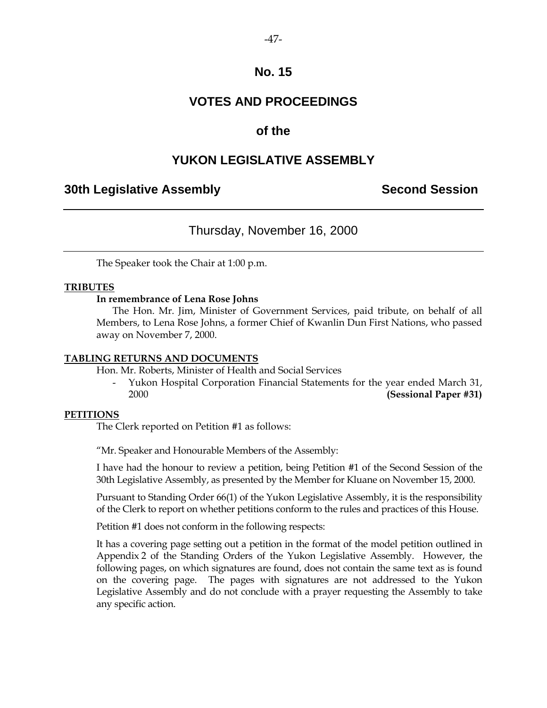# **VOTES AND PROCEEDINGS**

### **of the**

### **YUKON LEGISLATIVE ASSEMBLY**

### **30th Legislative Assembly Second Session**

### Thursday, November 16, 2000

The Speaker took the Chair at 1:00 p.m.

#### **TRIBUTES**

#### **In remembrance of Lena Rose Johns**

 The Hon. Mr. Jim, Minister of Government Services, paid tribute, on behalf of all Members, to Lena Rose Johns, a former Chief of Kwanlin Dun First Nations, who passed away on November 7, 2000.

#### **TABLING RETURNS AND DOCUMENTS**

Hon. Mr. Roberts, Minister of Health and Social Services

 - Yukon Hospital Corporation Financial Statements for the year ended March 31, 2000 **(Sessional Paper #31)** 

#### **PETITIONS**

The Clerk reported on Petition #1 as follows:

"Mr. Speaker and Honourable Members of the Assembly:

 I have had the honour to review a petition, being Petition #1 of the Second Session of the 30th Legislative Assembly, as presented by the Member for Kluane on November 15, 2000.

 Pursuant to Standing Order 66(1) of the Yukon Legislative Assembly, it is the responsibility of the Clerk to report on whether petitions conform to the rules and practices of this House.

Petition #1 does not conform in the following respects:

 It has a covering page setting out a petition in the format of the model petition outlined in Appendix 2 of the Standing Orders of the Yukon Legislative Assembly. However, the following pages, on which signatures are found, does not contain the same text as is found on the covering page. The pages with signatures are not addressed to the Yukon Legislative Assembly and do not conclude with a prayer requesting the Assembly to take any specific action.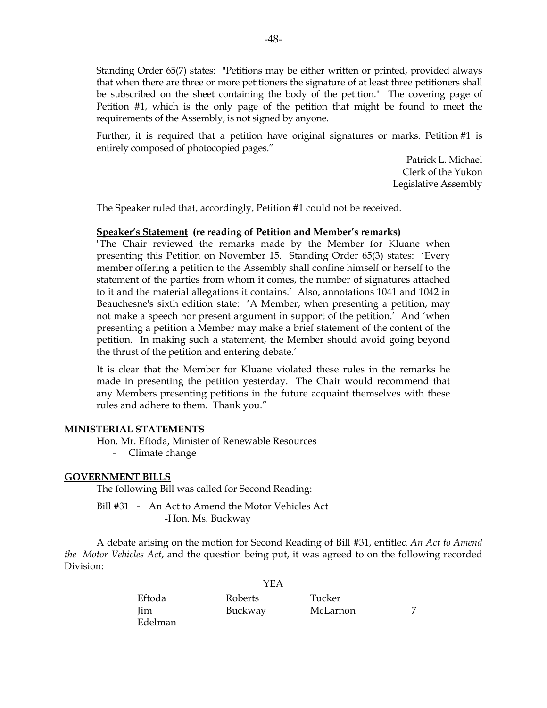Standing Order 65(7) states: "Petitions may be either written or printed, provided always that when there are three or more petitioners the signature of at least three petitioners shall be subscribed on the sheet containing the body of the petition." The covering page of Petition #1, which is the only page of the petition that might be found to meet the requirements of the Assembly, is not signed by anyone.

 Further, it is required that a petition have original signatures or marks. Petition #1 is entirely composed of photocopied pages."

> Patrick L. Michael Clerk of the Yukon Legislative Assembly

The Speaker ruled that, accordingly, Petition #1 could not be received.

#### **Speaker's Statement (re reading of Petition and Member's remarks)**

 "The Chair reviewed the remarks made by the Member for Kluane when presenting this Petition on November 15. Standing Order 65(3) states: 'Every member offering a petition to the Assembly shall confine himself or herself to the statement of the parties from whom it comes, the number of signatures attached to it and the material allegations it contains.' Also, annotations 1041 and 1042 in Beauchesne's sixth edition state: 'A Member, when presenting a petition, may not make a speech nor present argument in support of the petition.' And 'when presenting a petition a Member may make a brief statement of the content of the petition. In making such a statement, the Member should avoid going beyond the thrust of the petition and entering debate.'

It is clear that the Member for Kluane violated these rules in the remarks he made in presenting the petition yesterday. The Chair would recommend that any Members presenting petitions in the future acquaint themselves with these rules and adhere to them. Thank you."

#### **MINISTERIAL STATEMENTS**

Hon. Mr. Eftoda, Minister of Renewable Resources

- Climate change

#### **GOVERNMENT BILLS**

The following Bill was called for Second Reading:

 Bill #31 - An Act to Amend the Motor Vehicles Act -Hon. Ms. Buckway

 A debate arising on the motion for Second Reading of Bill #31, entitled *An Act to Amend the Motor Vehicles Act*, and the question being put, it was agreed to on the following recorded Division:

YEA

| Eftoda     | Roberts | Tucker   |  |
|------------|---------|----------|--|
| <b>lim</b> | Buckway | McLarnon |  |
| Edelman    |         |          |  |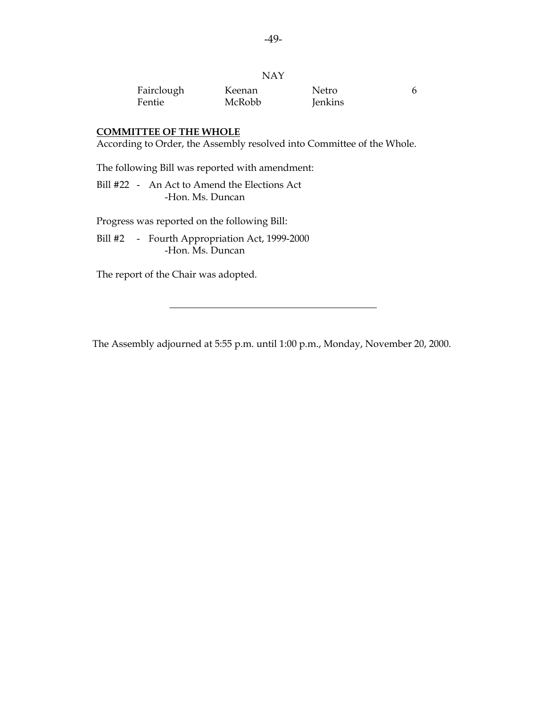|            | <b>NAY</b> |         |    |
|------------|------------|---------|----|
| Fairclough | Keenan     | Netro   | 6. |
| Fentie     | McRobb     | Jenkins |    |

#### **COMMITTEE OF THE WHOLE**

According to Order, the Assembly resolved into Committee of the Whole.

The following Bill was reported with amendment:

 Bill #22 - An Act to Amend the Elections Act -Hon. Ms. Duncan

Progress was reported on the following Bill:

 Bill #2 - Fourth Appropriation Act, 1999-2000 -Hon. Ms. Duncan

The report of the Chair was adopted.

The Assembly adjourned at 5:55 p.m. until 1:00 p.m., Monday, November 20, 2000.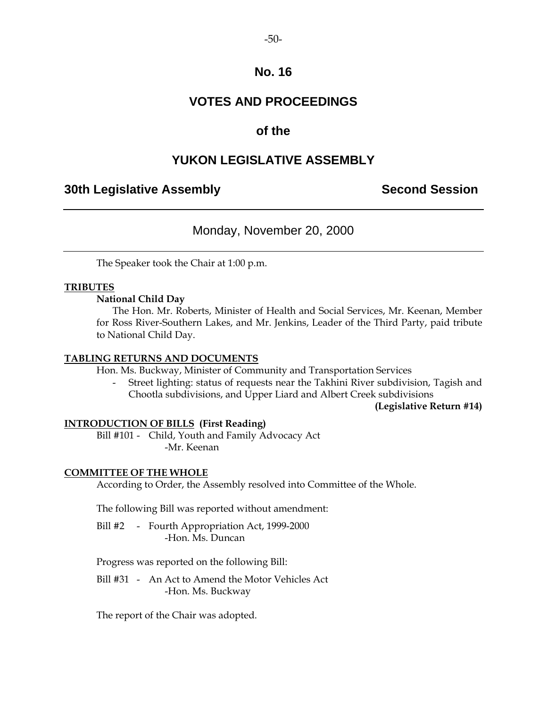# **VOTES AND PROCEEDINGS**

# **of the**

# **YUKON LEGISLATIVE ASSEMBLY**

### **30th Legislative Assembly Second Session**

# Monday, November 20, 2000

The Speaker took the Chair at 1:00 p.m.

### **TRIBUTES**

### **National Child Day**

 The Hon. Mr. Roberts, Minister of Health and Social Services, Mr. Keenan, Member for Ross River-Southern Lakes, and Mr. Jenkins, Leader of the Third Party, paid tribute to National Child Day.

### **TABLING RETURNS AND DOCUMENTS**

Hon. Ms. Buckway, Minister of Community and Transportation Services

 - Street lighting: status of requests near the Takhini River subdivision, Tagish and Chootla subdivisions, and Upper Liard and Albert Creek subdivisions

### **(Legislative Return #14)**

### **INTRODUCTION OF BILLS (First Reading)**

 Bill #101 - Child, Youth and Family Advocacy Act -Mr. Keenan

### **COMMITTEE OF THE WHOLE**

According to Order, the Assembly resolved into Committee of the Whole.

The following Bill was reported without amendment:

 Bill #2 - Fourth Appropriation Act, 1999-2000 -Hon. Ms. Duncan

Progress was reported on the following Bill:

 Bill #31 - An Act to Amend the Motor Vehicles Act -Hon. Ms. Buckway

The report of the Chair was adopted.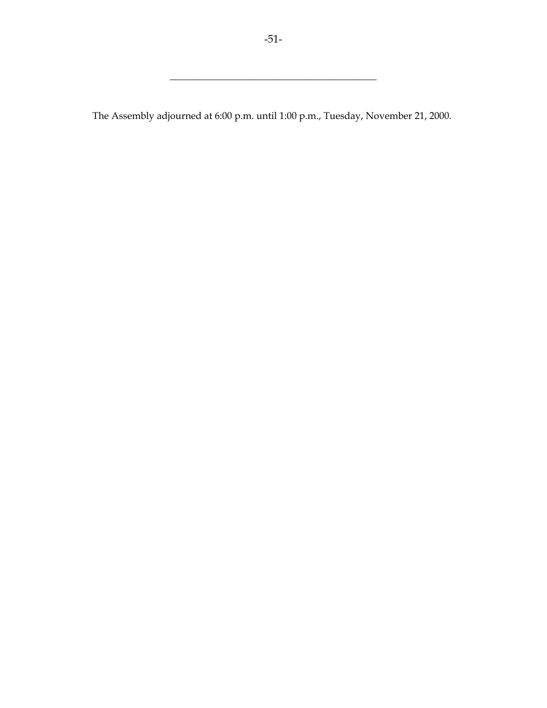\_\_\_\_\_\_\_\_\_\_\_\_\_\_\_\_\_\_\_\_\_\_\_\_\_\_\_\_\_\_\_\_\_\_\_\_\_\_\_\_\_\_

The Assembly adjourned at 6:00 p.m. until 1:00 p.m., Tuesday, November 21, 2000.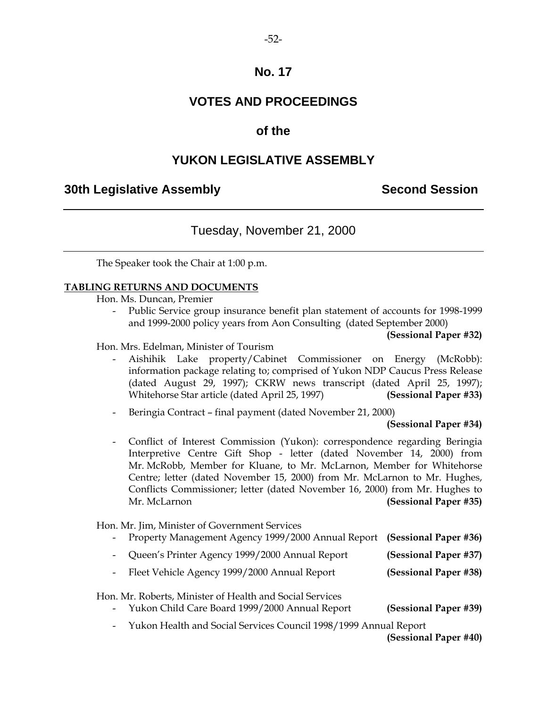# **VOTES AND PROCEEDINGS**

## **of the**

# **YUKON LEGISLATIVE ASSEMBLY**

## **30th Legislative Assembly Second Session**

# Tuesday, November 21, 2000

The Speaker took the Chair at 1:00 p.m.

### **TABLING RETURNS AND DOCUMENTS**

Hon. Ms. Duncan, Premier

Public Service group insurance benefit plan statement of accounts for 1998-1999 and 1999-2000 policy years from Aon Consulting (dated September 2000)

Hon. Mrs. Edelman, Minister of Tourism

- Aishihik Lake property/Cabinet Commissioner on Energy (McRobb): information package relating to; comprised of Yukon NDP Caucus Press Release (dated August 29, 1997); CKRW news transcript (dated April 25, 1997); Whitehorse Star article (dated April 25, 1997) **(Sessional Paper #33)**
- Beringia Contract final payment (dated November 21, 2000)

 **(Sessional Paper #34)** 

- Conflict of Interest Commission (Yukon): correspondence regarding Beringia Interpretive Centre Gift Shop - letter (dated November 14, 2000) from Mr. McRobb, Member for Kluane, to Mr. McLarnon, Member for Whitehorse Centre; letter (dated November 15, 2000) from Mr. McLarnon to Mr. Hughes, Conflicts Commissioner; letter (dated November 16, 2000) from Mr. Hughes to Mr. McLarnon **(Sessional Paper #35)** 

Hon. Mr. Jim, Minister of Government Services

- Property Management Agency 1999/2000 Annual Report **(Sessional Paper #36)**
- Queen's Printer Agency 1999/2000 Annual Report **(Sessional Paper #37)**
- Fleet Vehicle Agency 1999/2000 Annual Report **(Sessional Paper #38)**

Hon. Mr. Roberts, Minister of Health and Social Services

- Yukon Child Care Board 1999/2000 Annual Report **(Sessional Paper #39)**
- Yukon Health and Social Services Council 1998/1999 Annual Report

**(Sessional Paper #40)**

**<sup>(</sup>Sessional Paper #32)**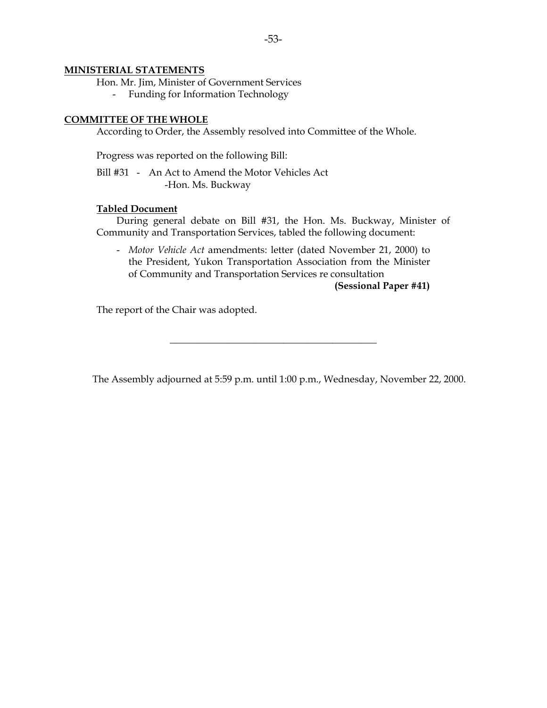#### **MINISTERIAL STATEMENTS**

Hon. Mr. Jim, Minister of Government Services

- Funding for Information Technology

#### **COMMITTEE OF THE WHOLE**

According to Order, the Assembly resolved into Committee of the Whole.

Progress was reported on the following Bill:

 Bill #31 - An Act to Amend the Motor Vehicles Act -Hon. Ms. Buckway

#### **Tabled Document**

 During general debate on Bill #31, the Hon. Ms. Buckway, Minister of Community and Transportation Services, tabled the following document:

 - *Motor Vehicle Act* amendments: letter (dated November 21, 2000) to the President, Yukon Transportation Association from the Minister of Community and Transportation Services re consultation

**(Sessional Paper #41)** 

The report of the Chair was adopted.

The Assembly adjourned at 5:59 p.m. until 1:00 p.m., Wednesday, November 22, 2000.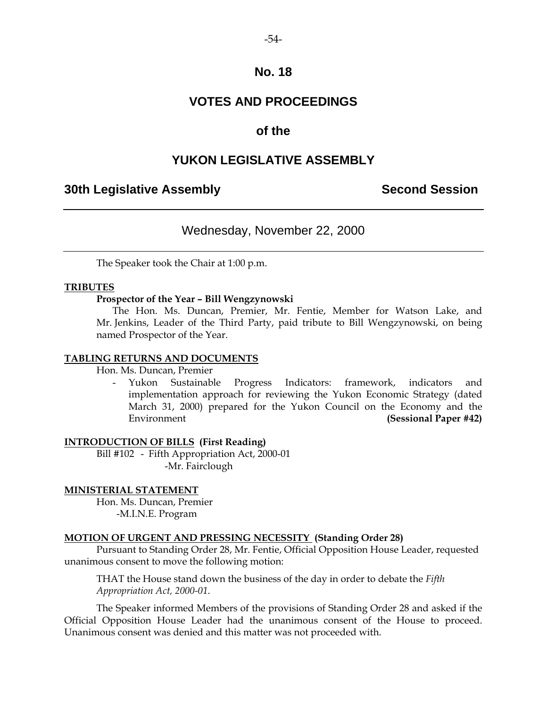# **VOTES AND PROCEEDINGS**

### **of the**

### **YUKON LEGISLATIVE ASSEMBLY**

### **30th Legislative Assembly Second Session**

### Wednesday, November 22, 2000

The Speaker took the Chair at 1:00 p.m.

### **TRIBUTES**

### **Prospector of the Year – Bill Wengzynowski**

 The Hon. Ms. Duncan, Premier, Mr. Fentie, Member for Watson Lake, and Mr. Jenkins, Leader of the Third Party, paid tribute to Bill Wengzynowski, on being named Prospector of the Year.

### **TABLING RETURNS AND DOCUMENTS**

Hon. Ms. Duncan, Premier

 - Yukon Sustainable Progress Indicators: framework, indicators and implementation approach for reviewing the Yukon Economic Strategy (dated March 31, 2000) prepared for the Yukon Council on the Economy and the Environment **(Sessional Paper #42)** 

### **INTRODUCTION OF BILLS (First Reading)**

 Bill #102 - Fifth Appropriation Act, 2000-01 -Mr. Fairclough

#### **MINISTERIAL STATEMENT**

 Hon. Ms. Duncan, Premier -M.I.N.E. Program

### **MOTION OF URGENT AND PRESSING NECESSITY (Standing Order 28)**

 Pursuant to Standing Order 28, Mr. Fentie, Official Opposition House Leader, requested unanimous consent to move the following motion:

 THAT the House stand down the business of the day in order to debate the *Fifth Appropriation Act, 2000-01*.

 The Speaker informed Members of the provisions of Standing Order 28 and asked if the Official Opposition House Leader had the unanimous consent of the House to proceed. Unanimous consent was denied and this matter was not proceeded with.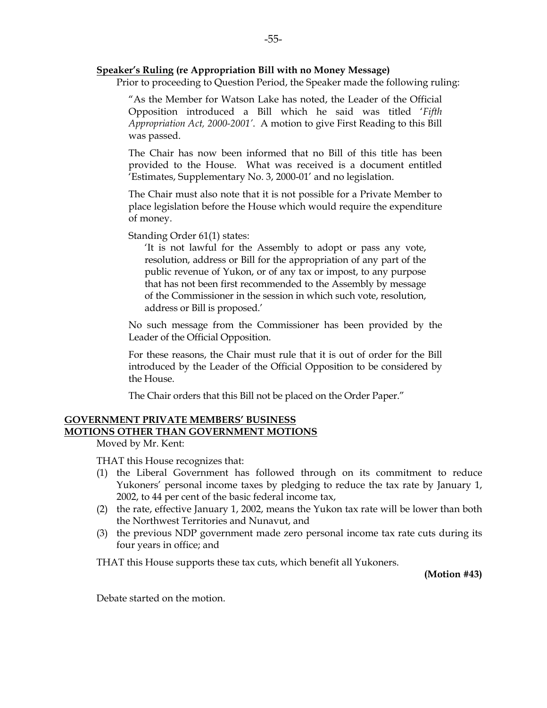#### **Speaker's Ruling (re Appropriation Bill with no Money Message)**

Prior to proceeding to Question Period, the Speaker made the following ruling:

 "As the Member for Watson Lake has noted, the Leader of the Official Opposition introduced a Bill which he said was titled '*Fifth Appropriation Act, 2000-2001'*. A motion to give First Reading to this Bill was passed.

 The Chair has now been informed that no Bill of this title has been provided to the House. What was received is a document entitled 'Estimates, Supplementary No. 3, 2000-01' and no legislation.

 The Chair must also note that it is not possible for a Private Member to place legislation before the House which would require the expenditure of money.

Standing Order 61(1) states:

 'It is not lawful for the Assembly to adopt or pass any vote, resolution, address or Bill for the appropriation of any part of the public revenue of Yukon, or of any tax or impost, to any purpose that has not been first recommended to the Assembly by message of the Commissioner in the session in which such vote, resolution, address or Bill is proposed.'

 No such message from the Commissioner has been provided by the Leader of the Official Opposition.

 For these reasons, the Chair must rule that it is out of order for the Bill introduced by the Leader of the Official Opposition to be considered by the House.

The Chair orders that this Bill not be placed on the Order Paper."

### **GOVERNMENT PRIVATE MEMBERS' BUSINESS MOTIONS OTHER THAN GOVERNMENT MOTIONS**

Moved by Mr. Kent:

THAT this House recognizes that:

- (1) the Liberal Government has followed through on its commitment to reduce Yukoners' personal income taxes by pledging to reduce the tax rate by January 1, 2002, to 44 per cent of the basic federal income tax,
- (2) the rate, effective January 1, 2002, means the Yukon tax rate will be lower than both the Northwest Territories and Nunavut, and
- (3) the previous NDP government made zero personal income tax rate cuts during its four years in office; and

THAT this House supports these tax cuts, which benefit all Yukoners.

**(Motion #43)** 

Debate started on the motion.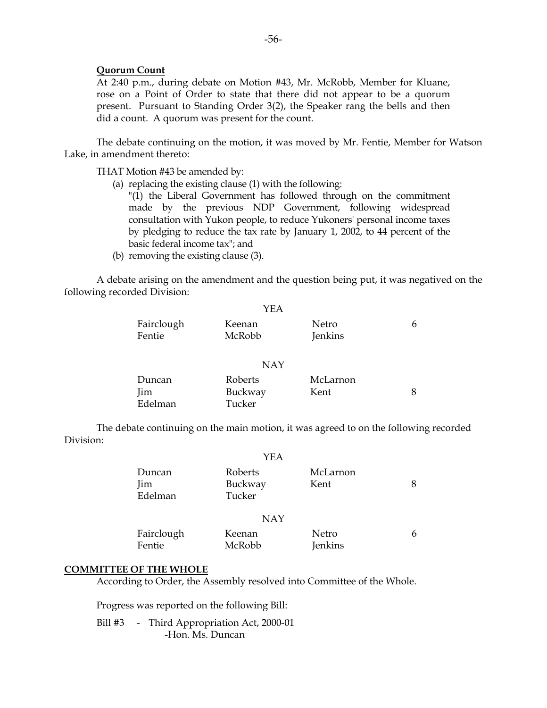#### **Quorum Count**

 At 2:40 p.m., during debate on Motion #43, Mr. McRobb, Member for Kluane, rose on a Point of Order to state that there did not appear to be a quorum present. Pursuant to Standing Order 3(2), the Speaker rang the bells and then did a count. A quorum was present for the count.

 The debate continuing on the motion, it was moved by Mr. Fentie, Member for Watson Lake, in amendment thereto:

THAT Motion #43 be amended by:

- (a) replacing the existing clause (1) with the following:
	- "(1) the Liberal Government has followed through on the commitment made by the previous NDP Government, following widespread consultation with Yukon people, to reduce Yukoners' personal income taxes by pledging to reduce the tax rate by January 1, 2002, to 44 percent of the basic federal income tax"; and
- (b) removing the existing clause (3).

 A debate arising on the amendment and the question being put, it was negatived on the following recorded Division:

|            | YEA        |          |   |
|------------|------------|----------|---|
| Fairclough | Keenan     | Netro    | 6 |
| Fentie     | McRobb     | Jenkins  |   |
|            |            |          |   |
|            | <b>NAY</b> |          |   |
| Duncan     | Roberts    | McLarnon |   |
| <i>lim</i> | Buckway    | Kent     | 8 |
| Edelman    | Tucker     |          |   |

 The debate continuing on the main motion, it was agreed to on the following recorded Division:

|                                 | YEA                          |                         |   |
|---------------------------------|------------------------------|-------------------------|---|
| Duncan<br><i>lim</i><br>Edelman | Roberts<br>Buckway<br>Tucker | McLarnon<br>Kent        | 8 |
|                                 | <b>NAY</b>                   |                         |   |
| Fairclough<br>Fentie            | Keenan<br>McRobb             | Netro<br><b>Jenkins</b> | 6 |

#### **COMMITTEE OF THE WHOLE**

According to Order, the Assembly resolved into Committee of the Whole.

Progress was reported on the following Bill:

Bill #3 - Third Appropriation Act, 2000-01 -Hon. Ms. Duncan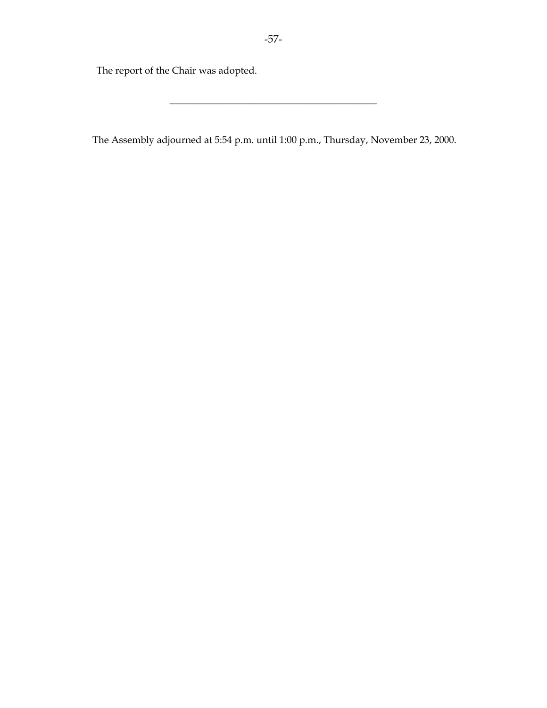The report of the Chair was adopted.

The Assembly adjourned at 5:54 p.m. until 1:00 p.m., Thursday, November 23, 2000.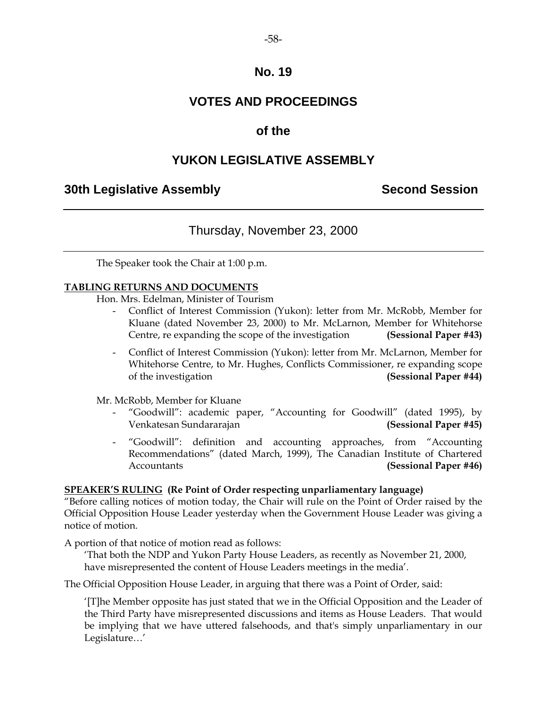# **VOTES AND PROCEEDINGS**

# **of the**

# **YUKON LEGISLATIVE ASSEMBLY**

## **30th Legislative Assembly Second Session**

# Thursday, November 23, 2000

The Speaker took the Chair at 1:00 p.m.

### **TABLING RETURNS AND DOCUMENTS**

Hon. Mrs. Edelman, Minister of Tourism

- Conflict of Interest Commission (Yukon): letter from Mr. McRobb, Member for Kluane (dated November 23, 2000) to Mr. McLarnon, Member for Whitehorse Centre, re expanding the scope of the investigation **(Sessional Paper #43)**
- Conflict of Interest Commission (Yukon): letter from Mr. McLarnon, Member for Whitehorse Centre, to Mr. Hughes, Conflicts Commissioner, re expanding scope of the investigation **(Sessional Paper #44)**

Mr. McRobb, Member for Kluane

- "Goodwill": academic paper, "Accounting for Goodwill" (dated 1995), by Venkatesan Sundararajan **(Sessional Paper #45)**
- "Goodwill": definition and accounting approaches, from "Accounting Recommendations" (dated March, 1999), The Canadian Institute of Chartered Accountants **(Sessional Paper #46)**

### **SPEAKER'S RULING (Re Point of Order respecting unparliamentary language)**

"Before calling notices of motion today, the Chair will rule on the Point of Order raised by the Official Opposition House Leader yesterday when the Government House Leader was giving a notice of motion.

A portion of that notice of motion read as follows:

 'That both the NDP and Yukon Party House Leaders, as recently as November 21, 2000, have misrepresented the content of House Leaders meetings in the media'.

The Official Opposition House Leader, in arguing that there was a Point of Order, said:

 '[T]he Member opposite has just stated that we in the Official Opposition and the Leader of the Third Party have misrepresented discussions and items as House Leaders. That would be implying that we have uttered falsehoods, and that's simply unparliamentary in our Legislature…'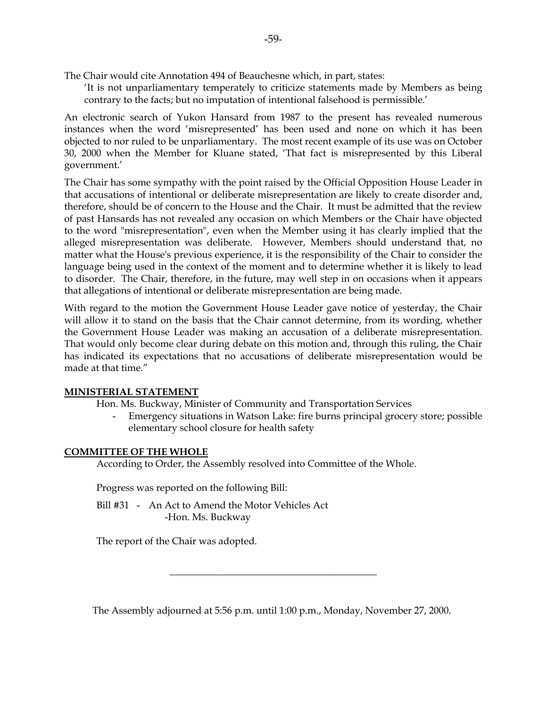The Chair would cite Annotation 494 of Beauchesne which, in part, states:

 'It is not unparliamentary temperately to criticize statements made by Members as being contrary to the facts; but no imputation of intentional falsehood is permissible.'

An electronic search of Yukon Hansard from 1987 to the present has revealed numerous instances when the word 'misrepresented' has been used and none on which it has been objected to nor ruled to be unparliamentary. The most recent example of its use was on October 30, 2000 when the Member for Kluane stated, 'That fact is misrepresented by this Liberal government.'

The Chair has some sympathy with the point raised by the Official Opposition House Leader in that accusations of intentional or deliberate misrepresentation are likely to create disorder and, therefore, should be of concern to the House and the Chair. It must be admitted that the review of past Hansards has not revealed any occasion on which Members or the Chair have objected to the word "misrepresentation", even when the Member using it has clearly implied that the alleged misrepresentation was deliberate. However, Members should understand that, no matter what the House's previous experience, it is the responsibility of the Chair to consider the language being used in the context of the moment and to determine whether it is likely to lead to disorder. The Chair, therefore, in the future, may well step in on occasions when it appears that allegations of intentional or deliberate misrepresentation are being made.

With regard to the motion the Government House Leader gave notice of yesterday, the Chair will allow it to stand on the basis that the Chair cannot determine, from its wording, whether the Government House Leader was making an accusation of a deliberate misrepresentation. That would only become clear during debate on this motion and, through this ruling, the Chair has indicated its expectations that no accusations of deliberate misrepresentation would be made at that time."

### **MINISTERIAL STATEMENT**

Hon. Ms. Buckway, Minister of Community and Transportation Services

 - Emergency situations in Watson Lake: fire burns principal grocery store; possible elementary school closure for health safety

### **COMMITTEE OF THE WHOLE**

According to Order, the Assembly resolved into Committee of the Whole.

Progress was reported on the following Bill:

 Bill #31 - An Act to Amend the Motor Vehicles Act -Hon. Ms. Buckway

The report of the Chair was adopted.

The Assembly adjourned at 5:56 p.m. until 1:00 p.m., Monday, November 27, 2000.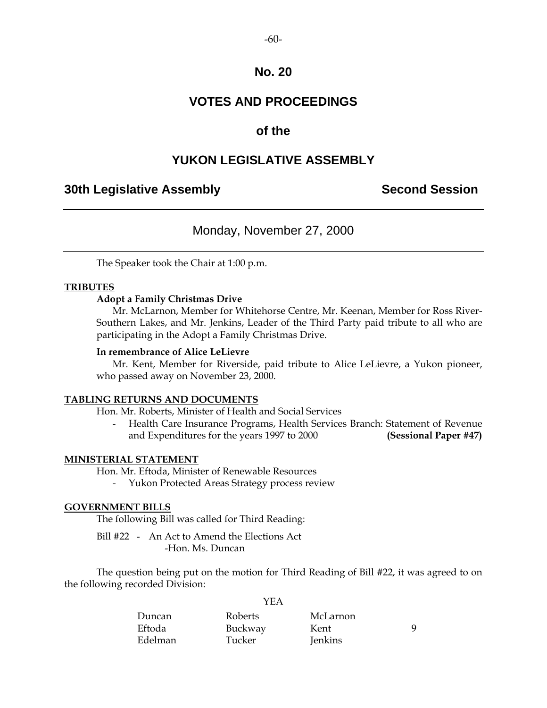# **VOTES AND PROCEEDINGS**

### **of the**

### **YUKON LEGISLATIVE ASSEMBLY**

### **30th Legislative Assembly Second Session**

### Monday, November 27, 2000

The Speaker took the Chair at 1:00 p.m.

### **TRIBUTES**

### **Adopt a Family Christmas Drive**

 Mr. McLarnon, Member for Whitehorse Centre, Mr. Keenan, Member for Ross River-Southern Lakes, and Mr. Jenkins, Leader of the Third Party paid tribute to all who are participating in the Adopt a Family Christmas Drive.

#### **In remembrance of Alice LeLievre**

 Mr. Kent, Member for Riverside, paid tribute to Alice LeLievre, a Yukon pioneer, who passed away on November 23, 2000.

### **TABLING RETURNS AND DOCUMENTS**

Hon. Mr. Roberts, Minister of Health and Social Services

 - Health Care Insurance Programs, Health Services Branch: Statement of Revenue and Expenditures for the years 1997 to 2000 **(Sessional Paper #47)** 

### **MINISTERIAL STATEMENT**

Hon. Mr. Eftoda, Minister of Renewable Resources

- Yukon Protected Areas Strategy process review

### **GOVERNMENT BILLS**

The following Bill was called for Third Reading:

 Bill #22 - An Act to Amend the Elections Act -Hon. Ms. Duncan

 The question being put on the motion for Third Reading of Bill #22, it was agreed to on the following recorded Division:

|         | Y F.A   |          |   |
|---------|---------|----------|---|
| Duncan  | Roberts | McLarnon |   |
| Eftoda  | Buckway | Kent     | Q |
| Edelman | Tucker  | Jenkins  |   |

 $Y<sub>E</sub>$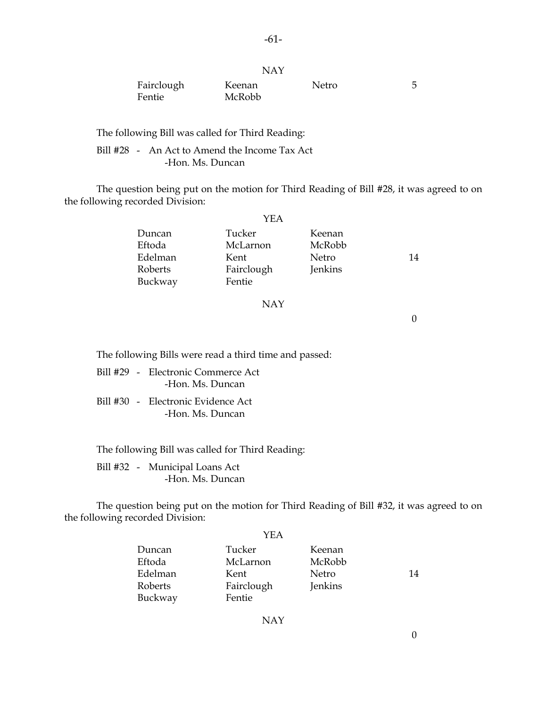| Fairclough | Keenan | Netro |  |
|------------|--------|-------|--|
| Fentie     | McRobb |       |  |

NAY

The following Bill was called for Third Reading:

 Bill #28 - An Act to Amend the Income Tax Act -Hon. Ms. Duncan

 The question being put on the motion for Third Reading of Bill #28, it was agreed to on the following recorded Division:

|         | YEA        |         |    |
|---------|------------|---------|----|
| Duncan  | Tucker     | Keenan  |    |
| Eftoda  | McLarnon   | McRobb  |    |
| Edelman | Kent       | Netro   | 14 |
| Roberts | Fairclough | Jenkins |    |
| Buckway | Fentie     |         |    |

#### NAY

0

The following Bills were read a third time and passed:

- Bill #29 Electronic Commerce Act -Hon. Ms. Duncan
- Bill #30 Electronic Evidence Act -Hon. Ms. Duncan

The following Bill was called for Third Reading:

 Bill #32 - Municipal Loans Act -Hon. Ms. Duncan

 The question being put on the motion for Third Reading of Bill #32, it was agreed to on the following recorded Division:

|         | YEA        |         |    |
|---------|------------|---------|----|
| Duncan  | Tucker     | Keenan  |    |
| Eftoda  | McLarnon   | McRobb  |    |
| Edelman | Kent       | Netro   | 14 |
| Roberts | Fairclough | Jenkins |    |
| Buckway | Fentie     |         |    |

NAY

0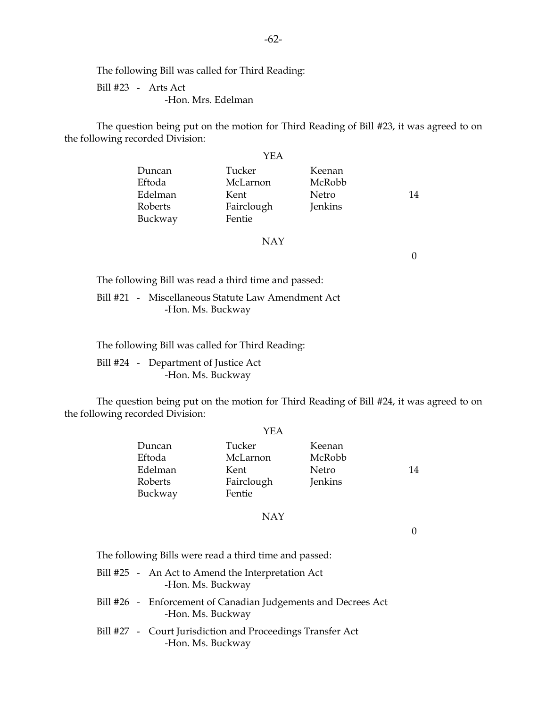The following Bill was called for Third Reading:

 Bill #23 - Arts Act -Hon. Mrs. Edelman

 The question being put on the motion for Third Reading of Bill #23, it was agreed to on the following recorded Division:

|                               | YEA                          |                  |    |
|-------------------------------|------------------------------|------------------|----|
| Duncan<br>Eftoda              | Tucker<br>McLarnon           | Keenan<br>McRobb |    |
| Edelman<br>Roberts<br>Buckway | Kent<br>Fairclough<br>Fentie | Netro<br>Jenkins | 14 |

#### NAY

0

The following Bill was read a third time and passed:

 Bill #21 - Miscellaneous Statute Law Amendment Act -Hon. Ms. Buckway

The following Bill was called for Third Reading:

 Bill #24 - Department of Justice Act -Hon. Ms. Buckway

 The question being put on the motion for Third Reading of Bill #24, it was agreed to on the following recorded Division:

|         | YEA        |         |    |
|---------|------------|---------|----|
| Duncan  | Tucker     | Keenan  |    |
| Eftoda  | McLarnon   | McRobb  |    |
| Edelman | Kent       | Netro   | 14 |
| Roberts | Fairclough | Jenkins |    |
| Buckway | Fentie     |         |    |
|         |            |         |    |

### NAY

0

The following Bills were read a third time and passed:

- Bill #25 An Act to Amend the Interpretation Act -Hon. Ms. Buckway
- Bill #26 Enforcement of Canadian Judgements and Decrees Act -Hon. Ms. Buckway
- Bill #27 Court Jurisdiction and Proceedings Transfer Act -Hon. Ms. Buckway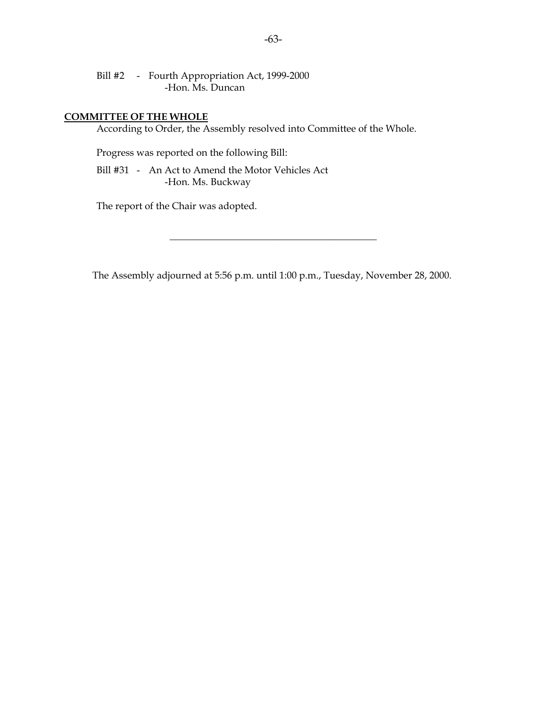Bill #2 - Fourth Appropriation Act, 1999-2000 -Hon. Ms. Duncan

#### **COMMITTEE OF THE WHOLE**

According to Order, the Assembly resolved into Committee of the Whole.

Progress was reported on the following Bill:

 Bill #31 - An Act to Amend the Motor Vehicles Act -Hon. Ms. Buckway

The report of the Chair was adopted.

The Assembly adjourned at 5:56 p.m. until 1:00 p.m., Tuesday, November 28, 2000.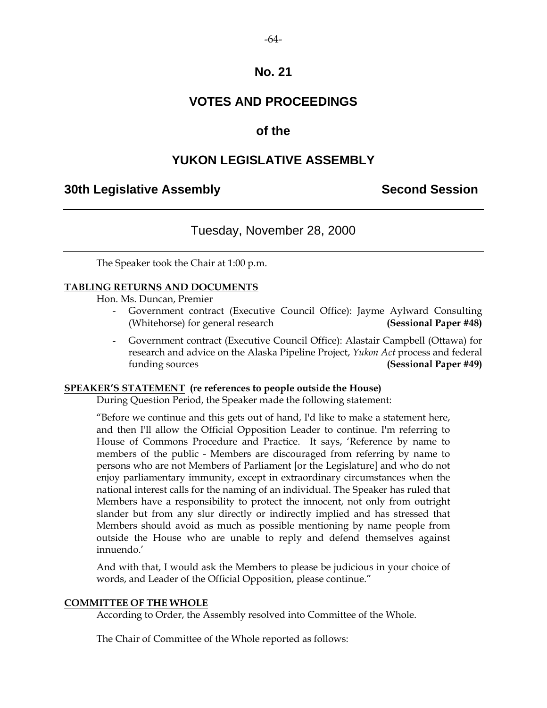# **VOTES AND PROCEEDINGS**

## **of the**

# **YUKON LEGISLATIVE ASSEMBLY**

### **30th Legislative Assembly Second Session**

# Tuesday, November 28, 2000

The Speaker took the Chair at 1:00 p.m.

### **TABLING RETURNS AND DOCUMENTS**

Hon. Ms. Duncan, Premier

- Government contract (Executive Council Office): Jayme Aylward Consulting (Whitehorse) for general research **(Sessional Paper #48)**
- Government contract (Executive Council Office): Alastair Campbell (Ottawa) for research and advice on the Alaska Pipeline Project, *Yukon Act* process and federal funding sources **(Sessional Paper #49)**

### **SPEAKER'S STATEMENT (re references to people outside the House)**

During Question Period, the Speaker made the following statement:

"Before we continue and this gets out of hand, I'd like to make a statement here, and then I'll allow the Official Opposition Leader to continue. I'm referring to House of Commons Procedure and Practice. It says, 'Reference by name to members of the public - Members are discouraged from referring by name to persons who are not Members of Parliament [or the Legislature] and who do not enjoy parliamentary immunity, except in extraordinary circumstances when the national interest calls for the naming of an individual. The Speaker has ruled that Members have a responsibility to protect the innocent, not only from outright slander but from any slur directly or indirectly implied and has stressed that Members should avoid as much as possible mentioning by name people from outside the House who are unable to reply and defend themselves against innuendo.'

And with that, I would ask the Members to please be judicious in your choice of words, and Leader of the Official Opposition, please continue."

### **COMMITTEE OF THE WHOLE**

According to Order, the Assembly resolved into Committee of the Whole.

The Chair of Committee of the Whole reported as follows: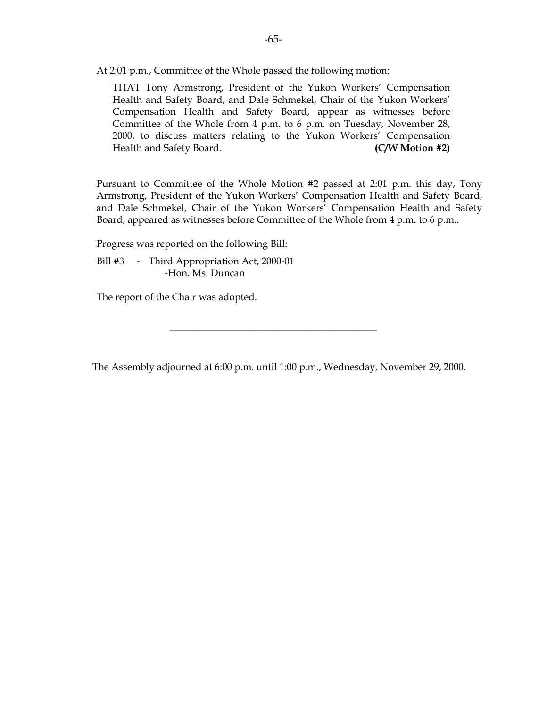At 2:01 p.m., Committee of the Whole passed the following motion:

 THAT Tony Armstrong, President of the Yukon Workers' Compensation Health and Safety Board, and Dale Schmekel, Chair of the Yukon Workers' Compensation Health and Safety Board, appear as witnesses before Committee of the Whole from 4 p.m. to 6 p.m. on Tuesday, November 28, 2000, to discuss matters relating to the Yukon Workers' Compensation Health and Safety Board. **(C/W Motion #2)** 

 Pursuant to Committee of the Whole Motion #2 passed at 2:01 p.m. this day, Tony Armstrong, President of the Yukon Workers' Compensation Health and Safety Board, and Dale Schmekel, Chair of the Yukon Workers' Compensation Health and Safety Board, appeared as witnesses before Committee of the Whole from 4 p.m. to 6 p.m..

Progress was reported on the following Bill:

Bill #3 - Third Appropriation Act, 2000-01 -Hon. Ms. Duncan

The report of the Chair was adopted.

The Assembly adjourned at 6:00 p.m. until 1:00 p.m., Wednesday, November 29, 2000.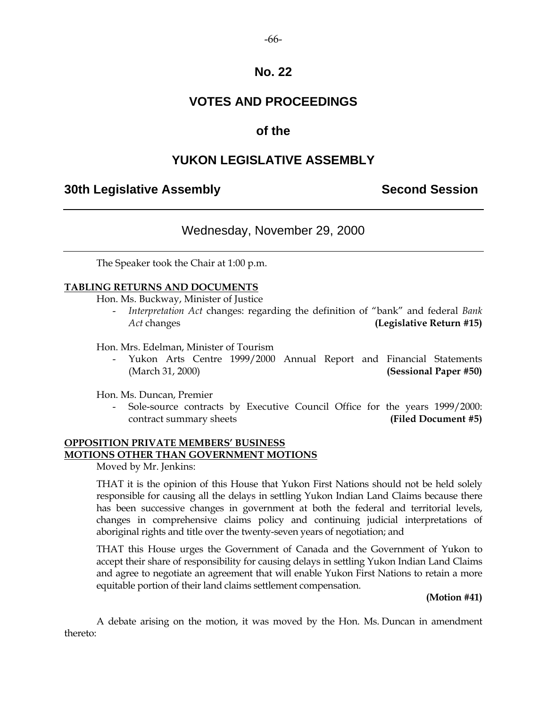# **VOTES AND PROCEEDINGS**

# **of the**

# **YUKON LEGISLATIVE ASSEMBLY**

# **30th Legislative Assembly Second Session**

# Wednesday, November 29, 2000

The Speaker took the Chair at 1:00 p.m.

### **TABLING RETURNS AND DOCUMENTS**

Hon. Ms. Buckway, Minister of Justice

 - *Interpretation Act* changes: regarding the definition of "bank" and federal *Bank Act* changes **(Legislative Return #15)** 

Hon. Mrs. Edelman, Minister of Tourism

Yukon Arts Centre 1999/2000 Annual Report and Financial Statements (March 31, 2000) **(Sessional Paper #50)** 

Hon. Ms. Duncan, Premier

 - Sole-source contracts by Executive Council Office for the years 1999/2000: contract summary sheets **(Filed Document #5)** 

### **OPPOSITION PRIVATE MEMBERS' BUSINESS MOTIONS OTHER THAN GOVERNMENT MOTIONS**

Moved by Mr. Jenkins:

 THAT it is the opinion of this House that Yukon First Nations should not be held solely responsible for causing all the delays in settling Yukon Indian Land Claims because there has been successive changes in government at both the federal and territorial levels, changes in comprehensive claims policy and continuing judicial interpretations of aboriginal rights and title over the twenty-seven years of negotiation; and

 THAT this House urges the Government of Canada and the Government of Yukon to accept their share of responsibility for causing delays in settling Yukon Indian Land Claims and agree to negotiate an agreement that will enable Yukon First Nations to retain a more equitable portion of their land claims settlement compensation.

### **(Motion #41)**

 A debate arising on the motion, it was moved by the Hon. Ms. Duncan in amendment thereto: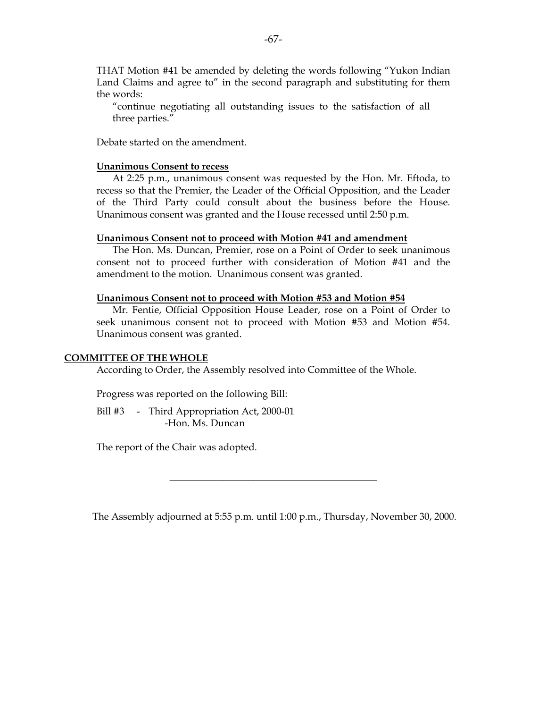THAT Motion #41 be amended by deleting the words following "Yukon Indian Land Claims and agree to" in the second paragraph and substituting for them the words:

 "continue negotiating all outstanding issues to the satisfaction of all three parties."

Debate started on the amendment.

#### **Unanimous Consent to recess**

 At 2:25 p.m., unanimous consent was requested by the Hon. Mr. Eftoda, to recess so that the Premier, the Leader of the Official Opposition, and the Leader of the Third Party could consult about the business before the House. Unanimous consent was granted and the House recessed until 2:50 p.m.

#### **Unanimous Consent not to proceed with Motion #41 and amendment**

 The Hon. Ms. Duncan, Premier, rose on a Point of Order to seek unanimous consent not to proceed further with consideration of Motion #41 and the amendment to the motion. Unanimous consent was granted.

#### **Unanimous Consent not to proceed with Motion #53 and Motion #54**

 Mr. Fentie, Official Opposition House Leader, rose on a Point of Order to seek unanimous consent not to proceed with Motion #53 and Motion #54. Unanimous consent was granted.

#### **COMMITTEE OF THE WHOLE**

According to Order, the Assembly resolved into Committee of the Whole.

Progress was reported on the following Bill:

Bill #3 - Third Appropriation Act, 2000-01 -Hon. Ms. Duncan

The report of the Chair was adopted.

The Assembly adjourned at 5:55 p.m. until 1:00 p.m., Thursday, November 30, 2000.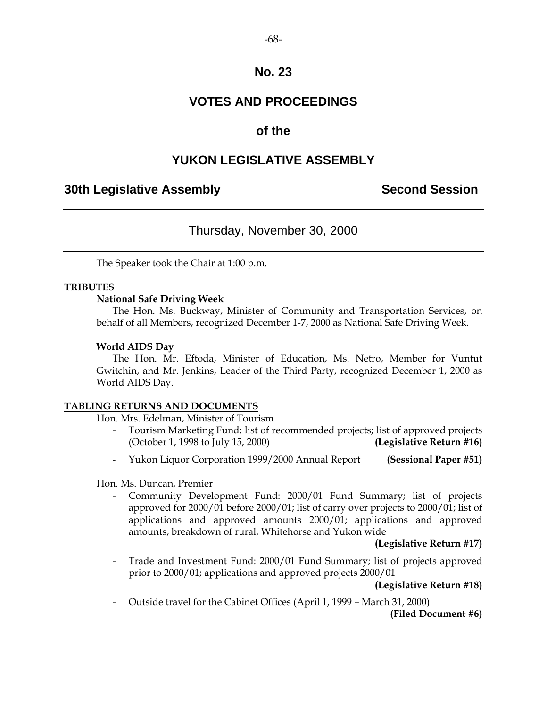# **VOTES AND PROCEEDINGS**

# **of the**

# **YUKON LEGISLATIVE ASSEMBLY**

## **30th Legislative Assembly Second Session**

# Thursday, November 30, 2000

The Speaker took the Chair at 1:00 p.m.

### **TRIBUTES**

### **National Safe Driving Week**

 The Hon. Ms. Buckway, Minister of Community and Transportation Services, on behalf of all Members, recognized December 1-7, 2000 as National Safe Driving Week.

### **World AIDS Day**

 The Hon. Mr. Eftoda, Minister of Education, Ms. Netro, Member for Vuntut Gwitchin, and Mr. Jenkins, Leader of the Third Party, recognized December 1, 2000 as World AIDS Day.

### **TABLING RETURNS AND DOCUMENTS**

Hon. Mrs. Edelman, Minister of Tourism

- Tourism Marketing Fund: list of recommended projects; list of approved projects (October 1, 1998 to July 15, 2000) **(Legislative Return #16)**
- Yukon Liquor Corporation 1999/2000 Annual Report **(Sessional Paper #51)**

Hon. Ms. Duncan, Premier

 - Community Development Fund: 2000/01 Fund Summary; list of projects approved for 2000/01 before 2000/01; list of carry over projects to 2000/01; list of applications and approved amounts 2000/01; applications and approved amounts, breakdown of rural, Whitehorse and Yukon wide

### **(Legislative Return #17)**

 - Trade and Investment Fund: 2000/01 Fund Summary; list of projects approved prior to 2000/01; applications and approved projects 2000/01

**(Legislative Return #18)** 

- Outside travel for the Cabinet Offices (April 1, 1999 – March 31, 2000)

**(Filed Document #6)** 

 $-68-$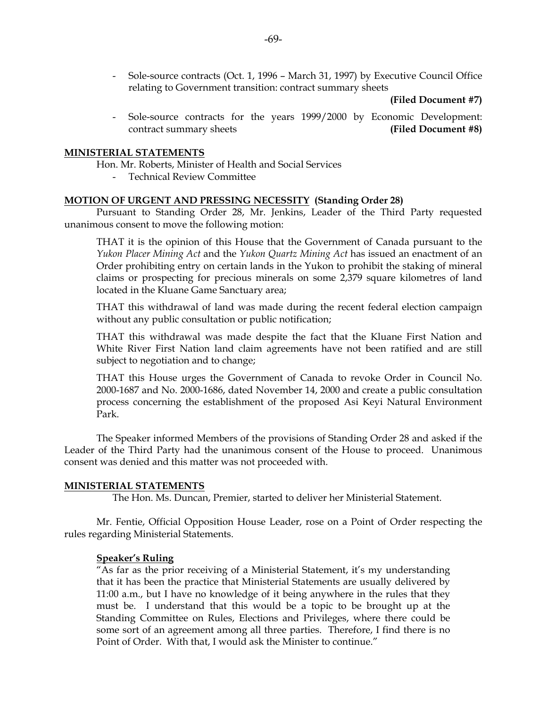- Sole-source contracts (Oct. 1, 1996 – March 31, 1997) by Executive Council Office relating to Government transition: contract summary sheets

**(Filed Document #7)** 

 - Sole-source contracts for the years 1999/2000 by Economic Development: contract summary sheets **(Filed Document #8)**

#### **MINISTERIAL STATEMENTS**

Hon. Mr. Roberts, Minister of Health and Social Services

- Technical Review Committee

### **MOTION OF URGENT AND PRESSING NECESSITY (Standing Order 28)**

 Pursuant to Standing Order 28, Mr. Jenkins, Leader of the Third Party requested unanimous consent to move the following motion:

 THAT it is the opinion of this House that the Government of Canada pursuant to the *Yukon Placer Mining Act* and the *Yukon Quartz Mining Act* has issued an enactment of an Order prohibiting entry on certain lands in the Yukon to prohibit the staking of mineral claims or prospecting for precious minerals on some 2,379 square kilometres of land located in the Kluane Game Sanctuary area;

 THAT this withdrawal of land was made during the recent federal election campaign without any public consultation or public notification;

 THAT this withdrawal was made despite the fact that the Kluane First Nation and White River First Nation land claim agreements have not been ratified and are still subject to negotiation and to change;

 THAT this House urges the Government of Canada to revoke Order in Council No. 2000-1687 and No. 2000-1686, dated November 14, 2000 and create a public consultation process concerning the establishment of the proposed Asi Keyi Natural Environment Park.

 The Speaker informed Members of the provisions of Standing Order 28 and asked if the Leader of the Third Party had the unanimous consent of the House to proceed. Unanimous consent was denied and this matter was not proceeded with.

#### **MINISTERIAL STATEMENTS**

The Hon. Ms. Duncan, Premier, started to deliver her Ministerial Statement.

 Mr. Fentie, Official Opposition House Leader, rose on a Point of Order respecting the rules regarding Ministerial Statements.

#### **Speaker's Ruling**

 "As far as the prior receiving of a Ministerial Statement, it's my understanding that it has been the practice that Ministerial Statements are usually delivered by 11:00 a.m., but I have no knowledge of it being anywhere in the rules that they must be. I understand that this would be a topic to be brought up at the Standing Committee on Rules, Elections and Privileges, where there could be some sort of an agreement among all three parties. Therefore, I find there is no Point of Order. With that, I would ask the Minister to continue."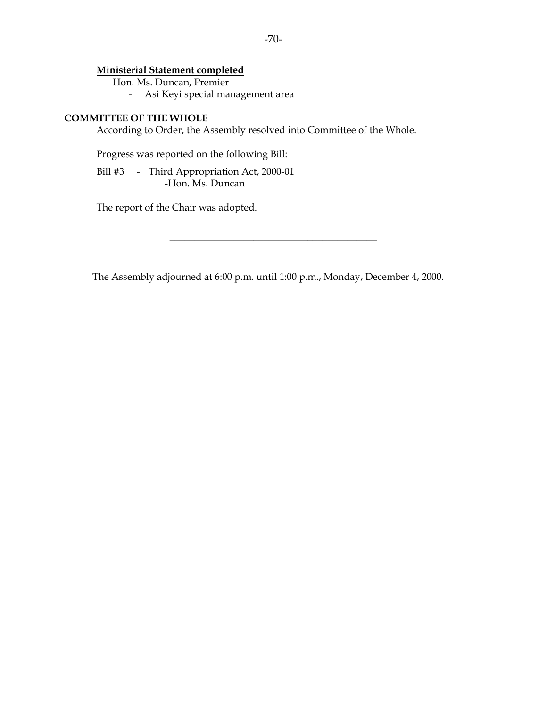### **Ministerial Statement completed**

Hon. Ms. Duncan, Premier

- Asi Keyi special management area

### **COMMITTEE OF THE WHOLE**

According to Order, the Assembly resolved into Committee of the Whole.

Progress was reported on the following Bill:

 Bill #3 - Third Appropriation Act, 2000-01 -Hon. Ms. Duncan

The report of the Chair was adopted.

The Assembly adjourned at 6:00 p.m. until 1:00 p.m., Monday, December 4, 2000.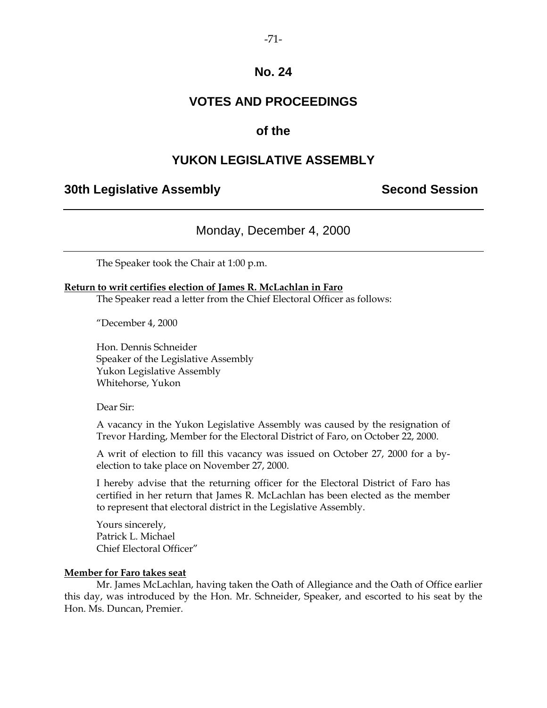# **VOTES AND PROCEEDINGS**

### **of the**

### **YUKON LEGISLATIVE ASSEMBLY**

### **30th Legislative Assembly Second Session**

Monday, December 4, 2000

The Speaker took the Chair at 1:00 p.m.

#### **Return to writ certifies election of James R. McLachlan in Faro**

The Speaker read a letter from the Chief Electoral Officer as follows:

"December 4, 2000

Hon. Dennis Schneider Speaker of the Legislative Assembly Yukon Legislative Assembly Whitehorse, Yukon

Dear Sir:

A vacancy in the Yukon Legislative Assembly was caused by the resignation of Trevor Harding, Member for the Electoral District of Faro, on October 22, 2000.

A writ of election to fill this vacancy was issued on October 27, 2000 for a byelection to take place on November 27, 2000.

I hereby advise that the returning officer for the Electoral District of Faro has certified in her return that James R. McLachlan has been elected as the member to represent that electoral district in the Legislative Assembly.

Yours sincerely, Patrick L. Michael Chief Electoral Officer"

#### **Member for Faro takes seat**

 Mr. James McLachlan, having taken the Oath of Allegiance and the Oath of Office earlier this day, was introduced by the Hon. Mr. Schneider, Speaker, and escorted to his seat by the Hon. Ms. Duncan, Premier.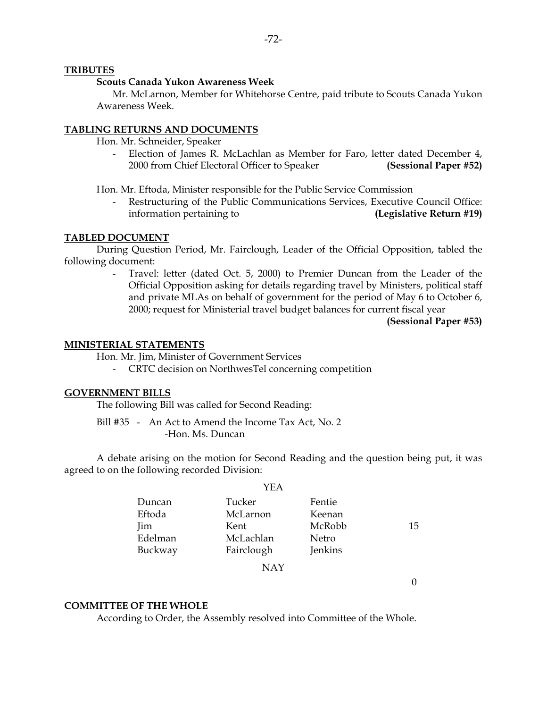#### **TRIBUTES**

#### **Scouts Canada Yukon Awareness Week**

 Mr. McLarnon, Member for Whitehorse Centre, paid tribute to Scouts Canada Yukon Awareness Week.

#### **TABLING RETURNS AND DOCUMENTS**

Hon. Mr. Schneider, Speaker

 - Election of James R. McLachlan as Member for Faro, letter dated December 4, 2000 from Chief Electoral Officer to Speaker **(Sessional Paper #52)**

Hon. Mr. Eftoda, Minister responsible for the Public Service Commission

Restructuring of the Public Communications Services, Executive Council Office: information pertaining to **(Legislative Return #19)** 

#### **TABLED DOCUMENT**

 During Question Period, Mr. Fairclough, Leader of the Official Opposition, tabled the following document:

> Travel: letter (dated Oct. 5, 2000) to Premier Duncan from the Leader of the Official Opposition asking for details regarding travel by Ministers, political staff and private MLAs on behalf of government for the period of May 6 to October 6, 2000; request for Ministerial travel budget balances for current fiscal year

> > **(Sessional Paper #53)**

#### **MINISTERIAL STATEMENTS**

Hon. Mr. Jim, Minister of Government Services

- CRTC decision on NorthwesTel concerning competition

#### **GOVERNMENT BILLS**

The following Bill was called for Second Reading:

 Bill #35 - An Act to Amend the Income Tax Act, No. 2 -Hon. Ms. Duncan

 A debate arising on the motion for Second Reading and the question being put, it was agreed to on the following recorded Division:

|         | YEA        |         |    |
|---------|------------|---------|----|
| Duncan  | Tucker     | Fentie  |    |
| Eftoda  | McLarnon   | Keenan  |    |
| Jim     | Kent       | McRobb  | 15 |
| Edelman | McLachlan  | Netro   |    |
| Buckway | Fairclough | Jenkins |    |

NAY

 $\Omega$ 

#### **COMMITTEE OF THE WHOLE**

According to Order, the Assembly resolved into Committee of the Whole.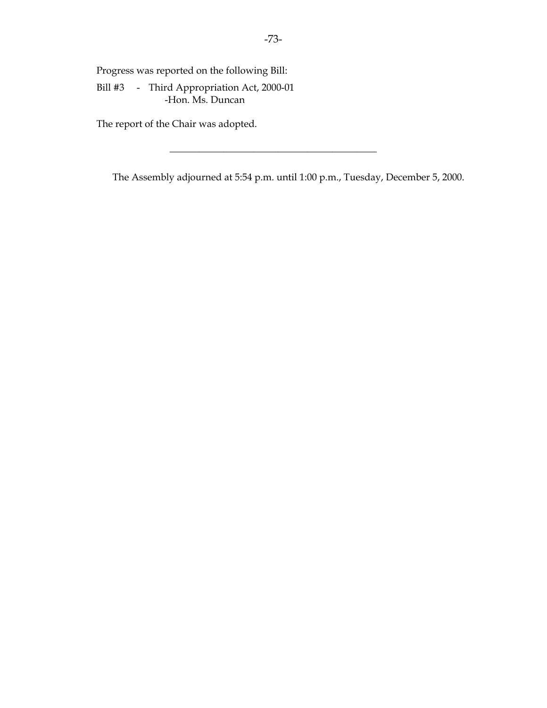Progress was reported on the following Bill:

 Bill #3 - Third Appropriation Act, 2000-01 -Hon. Ms. Duncan

The report of the Chair was adopted.

The Assembly adjourned at 5:54 p.m. until 1:00 p.m., Tuesday, December 5, 2000.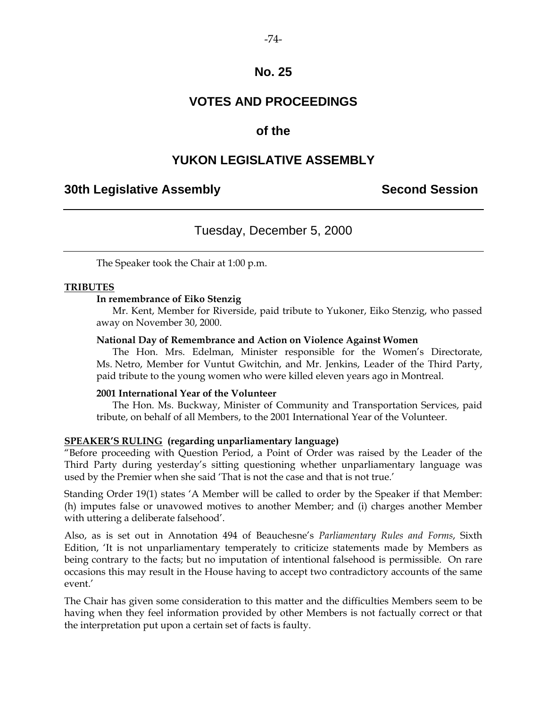## **VOTES AND PROCEEDINGS**

## **of the**

## **YUKON LEGISLATIVE ASSEMBLY**

## **30th Legislative Assembly Second Session**

## Tuesday, December 5, 2000

The Speaker took the Chair at 1:00 p.m.

#### **TRIBUTES**

#### **In remembrance of Eiko Stenzig**

 Mr. Kent, Member for Riverside, paid tribute to Yukoner, Eiko Stenzig, who passed away on November 30, 2000.

#### **National Day of Remembrance and Action on Violence Against Women**

 The Hon. Mrs. Edelman, Minister responsible for the Women's Directorate, Ms. Netro, Member for Vuntut Gwitchin, and Mr. Jenkins, Leader of the Third Party, paid tribute to the young women who were killed eleven years ago in Montreal.

#### **2001 International Year of the Volunteer**

 The Hon. Ms. Buckway, Minister of Community and Transportation Services, paid tribute, on behalf of all Members, to the 2001 International Year of the Volunteer.

#### **SPEAKER'S RULING (regarding unparliamentary language)**

"Before proceeding with Question Period, a Point of Order was raised by the Leader of the Third Party during yesterday's sitting questioning whether unparliamentary language was used by the Premier when she said 'That is not the case and that is not true.'

Standing Order 19(1) states 'A Member will be called to order by the Speaker if that Member: (h) imputes false or unavowed motives to another Member; and (i) charges another Member with uttering a deliberate falsehood'.

Also, as is set out in Annotation 494 of Beauchesne's *Parliamentary Rules and Forms*, Sixth Edition, 'It is not unparliamentary temperately to criticize statements made by Members as being contrary to the facts; but no imputation of intentional falsehood is permissible. On rare occasions this may result in the House having to accept two contradictory accounts of the same event.'

The Chair has given some consideration to this matter and the difficulties Members seem to be having when they feel information provided by other Members is not factually correct or that the interpretation put upon a certain set of facts is faulty.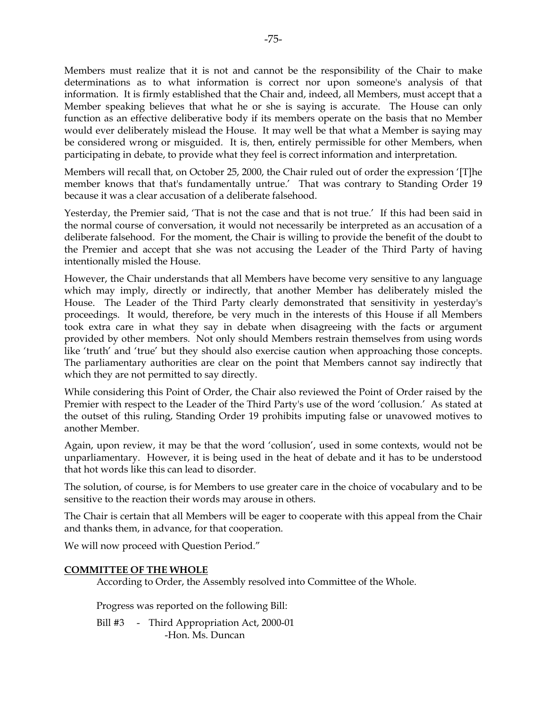Members must realize that it is not and cannot be the responsibility of the Chair to make determinations as to what information is correct nor upon someone's analysis of that information. It is firmly established that the Chair and, indeed, all Members, must accept that a Member speaking believes that what he or she is saying is accurate. The House can only function as an effective deliberative body if its members operate on the basis that no Member would ever deliberately mislead the House. It may well be that what a Member is saying may be considered wrong or misguided. It is, then, entirely permissible for other Members, when participating in debate, to provide what they feel is correct information and interpretation.

Members will recall that, on October 25, 2000, the Chair ruled out of order the expression '[T]he member knows that that's fundamentally untrue.' That was contrary to Standing Order 19 because it was a clear accusation of a deliberate falsehood.

Yesterday, the Premier said, 'That is not the case and that is not true.' If this had been said in the normal course of conversation, it would not necessarily be interpreted as an accusation of a deliberate falsehood. For the moment, the Chair is willing to provide the benefit of the doubt to the Premier and accept that she was not accusing the Leader of the Third Party of having intentionally misled the House.

However, the Chair understands that all Members have become very sensitive to any language which may imply, directly or indirectly, that another Member has deliberately misled the House. The Leader of the Third Party clearly demonstrated that sensitivity in yesterday's proceedings. It would, therefore, be very much in the interests of this House if all Members took extra care in what they say in debate when disagreeing with the facts or argument provided by other members. Not only should Members restrain themselves from using words like 'truth' and 'true' but they should also exercise caution when approaching those concepts. The parliamentary authorities are clear on the point that Members cannot say indirectly that which they are not permitted to say directly.

While considering this Point of Order, the Chair also reviewed the Point of Order raised by the Premier with respect to the Leader of the Third Party's use of the word 'collusion.' As stated at the outset of this ruling, Standing Order 19 prohibits imputing false or unavowed motives to another Member.

Again, upon review, it may be that the word 'collusion', used in some contexts, would not be unparliamentary. However, it is being used in the heat of debate and it has to be understood that hot words like this can lead to disorder.

The solution, of course, is for Members to use greater care in the choice of vocabulary and to be sensitive to the reaction their words may arouse in others.

The Chair is certain that all Members will be eager to cooperate with this appeal from the Chair and thanks them, in advance, for that cooperation.

We will now proceed with Question Period."

#### **COMMITTEE OF THE WHOLE**

According to Order, the Assembly resolved into Committee of the Whole.

Progress was reported on the following Bill:

Bill #3 - Third Appropriation Act, 2000-01 -Hon. Ms. Duncan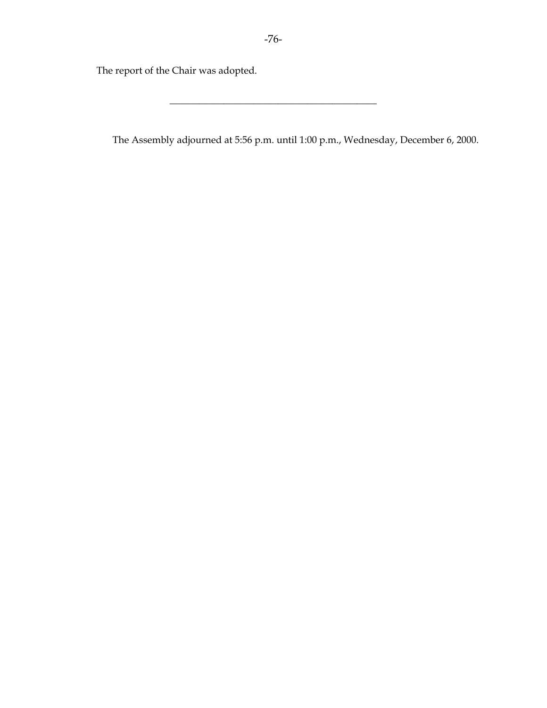The report of the Chair was adopted.

The Assembly adjourned at 5:56 p.m. until 1:00 p.m., Wednesday, December 6, 2000.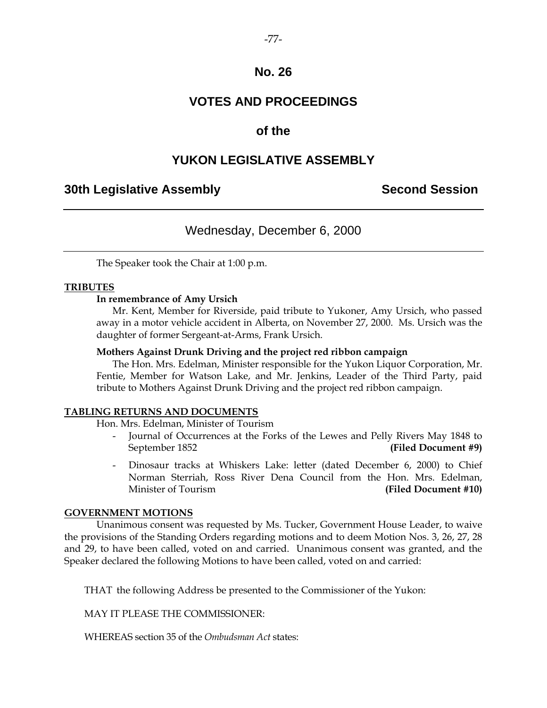## **VOTES AND PROCEEDINGS**

## **of the**

## **YUKON LEGISLATIVE ASSEMBLY**

## **30th Legislative Assembly Second Session**

## Wednesday, December 6, 2000

The Speaker took the Chair at 1:00 p.m.

#### **TRIBUTES**

#### **In remembrance of Amy Ursich**

 Mr. Kent, Member for Riverside, paid tribute to Yukoner, Amy Ursich, who passed away in a motor vehicle accident in Alberta, on November 27, 2000. Ms. Ursich was the daughter of former Sergeant-at-Arms, Frank Ursich.

#### **Mothers Against Drunk Driving and the project red ribbon campaign**

 The Hon. Mrs. Edelman, Minister responsible for the Yukon Liquor Corporation, Mr. Fentie, Member for Watson Lake, and Mr. Jenkins, Leader of the Third Party, paid tribute to Mothers Against Drunk Driving and the project red ribbon campaign.

#### **TABLING RETURNS AND DOCUMENTS**

Hon. Mrs. Edelman, Minister of Tourism

- Journal of Occurrences at the Forks of the Lewes and Pelly Rivers May 1848 to September 1852 **(Filed Document #9)**
- Dinosaur tracks at Whiskers Lake: letter (dated December 6, 2000) to Chief Norman Sterriah, Ross River Dena Council from the Hon. Mrs. Edelman, Minister of Tourism **(Filed Document #10)**

#### **GOVERNMENT MOTIONS**

 Unanimous consent was requested by Ms. Tucker, Government House Leader, to waive the provisions of the Standing Orders regarding motions and to deem Motion Nos. 3, 26, 27, 28 and 29, to have been called, voted on and carried. Unanimous consent was granted, and the Speaker declared the following Motions to have been called, voted on and carried:

THAT the following Address be presented to the Commissioner of the Yukon:

MAY IT PLEASE THE COMMISSIONER:

WHEREAS section 35 of the *Ombudsman Act* states: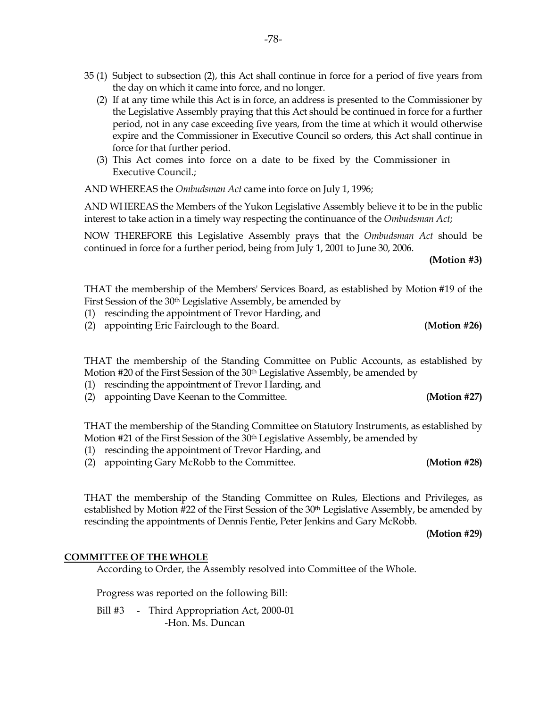- (2) If at any time while this Act is in force, an address is presented to the Commissioner by the Legislative Assembly praying that this Act should be continued in force for a further period, not in any case exceeding five years, from the time at which it would otherwise expire and the Commissioner in Executive Council so orders, this Act shall continue in force for that further period.
- (3) This Act comes into force on a date to be fixed by the Commissioner in Executive Council.;

AND WHEREAS the *Ombudsman Act* came into force on July 1, 1996;

 AND WHEREAS the Members of the Yukon Legislative Assembly believe it to be in the public interest to take action in a timely way respecting the continuance of the *Ombudsman Act*;

 NOW THEREFORE this Legislative Assembly prays that the *Ombudsman Act* should be continued in force for a further period, being from July 1, 2001 to June 30, 2006.

**(Motion #3)** 

 THAT the membership of the Members' Services Board, as established by Motion #19 of the First Session of the 30th Legislative Assembly, be amended by

- (1) rescinding the appointment of Trevor Harding, and
- (2) appointing Eric Fairclough to the Board. **(Motion #26)**

 THAT the membership of the Standing Committee on Public Accounts, as established by Motion #20 of the First Session of the 30th Legislative Assembly, be amended by

- (1) rescinding the appointment of Trevor Harding, and
- (2) appointing Dave Keenan to the Committee. **(Motion #27)**

 THAT the membership of the Standing Committee on Statutory Instruments, as established by Motion #21 of the First Session of the 30th Legislative Assembly, be amended by

- (1) rescinding the appointment of Trevor Harding, and
- (2) appointing Gary McRobb to the Committee. **(Motion #28)**

 THAT the membership of the Standing Committee on Rules, Elections and Privileges, as established by Motion #22 of the First Session of the  $30<sup>th</sup>$  Legislative Assembly, be amended by rescinding the appointments of Dennis Fentie, Peter Jenkins and Gary McRobb.

**(Motion #29)** 

#### **COMMITTEE OF THE WHOLE**

According to Order, the Assembly resolved into Committee of the Whole.

Progress was reported on the following Bill:

Bill #3 - Third Appropriation Act, 2000-01 -Hon. Ms. Duncan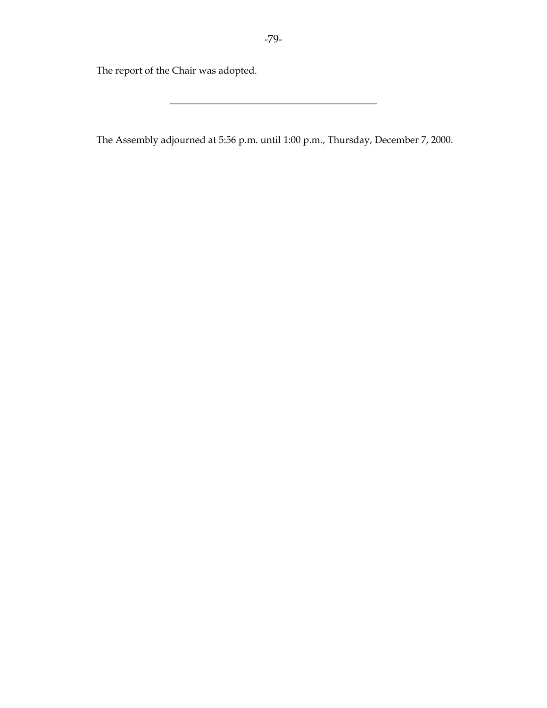The report of the Chair was adopted.

The Assembly adjourned at 5:56 p.m. until 1:00 p.m., Thursday, December 7, 2000.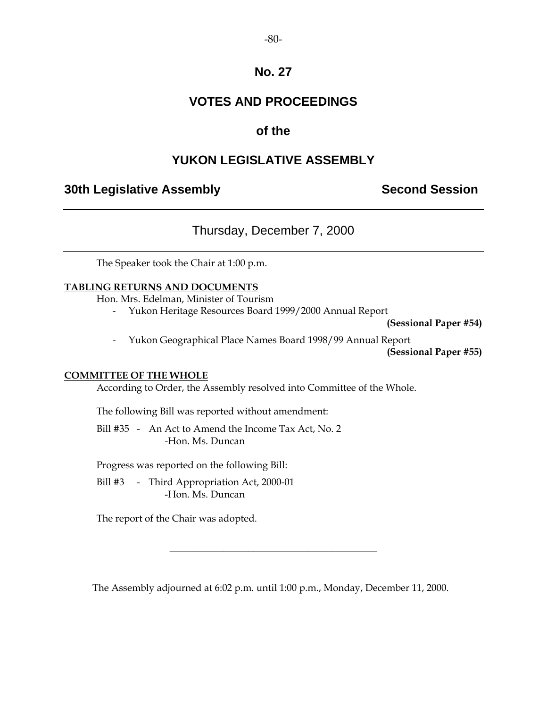## **VOTES AND PROCEEDINGS**

## **of the**

## **YUKON LEGISLATIVE ASSEMBLY**

## **30th Legislative Assembly Second Session**

## Thursday, December 7, 2000

The Speaker took the Chair at 1:00 p.m.

### **TABLING RETURNS AND DOCUMENTS**

Hon. Mrs. Edelman, Minister of Tourism

- Yukon Heritage Resources Board 1999/2000 Annual Report

**(Sessional Paper #54)** 

- Yukon Geographical Place Names Board 1998/99 Annual Report

**(Sessional Paper #55)** 

#### **COMMITTEE OF THE WHOLE**

According to Order, the Assembly resolved into Committee of the Whole.

The following Bill was reported without amendment:

 Bill #35 - An Act to Amend the Income Tax Act, No. 2 -Hon. Ms. Duncan

Progress was reported on the following Bill:

 Bill #3 - Third Appropriation Act, 2000-01 -Hon. Ms. Duncan

The report of the Chair was adopted.

The Assembly adjourned at 6:02 p.m. until 1:00 p.m., Monday, December 11, 2000.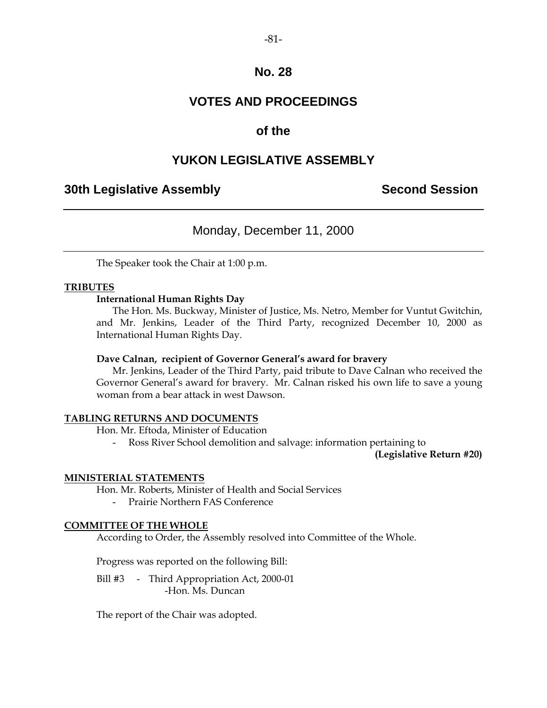## **VOTES AND PROCEEDINGS**

## **of the**

## **YUKON LEGISLATIVE ASSEMBLY**

## **30th Legislative Assembly Second Session**

## Monday, December 11, 2000

The Speaker took the Chair at 1:00 p.m.

#### **TRIBUTES**

#### **International Human Rights Day**

The Hon. Ms. Buckway, Minister of Justice, Ms. Netro, Member for Vuntut Gwitchin, and Mr. Jenkins, Leader of the Third Party, recognized December 10, 2000 as International Human Rights Day.

#### **Dave Calnan, recipient of Governor General's award for bravery**

 Mr. Jenkins, Leader of the Third Party, paid tribute to Dave Calnan who received the Governor General's award for bravery. Mr. Calnan risked his own life to save a young woman from a bear attack in west Dawson.

#### **TABLING RETURNS AND DOCUMENTS**

Hon. Mr. Eftoda, Minister of Education

Ross River School demolition and salvage: information pertaining to

**(Legislative Return #20)** 

#### **MINISTERIAL STATEMENTS**

Hon. Mr. Roberts, Minister of Health and Social Services

- Prairie Northern FAS Conference

#### **COMMITTEE OF THE WHOLE**

According to Order, the Assembly resolved into Committee of the Whole.

Progress was reported on the following Bill:

Bill #3 - Third Appropriation Act, 2000-01 -Hon. Ms. Duncan

The report of the Chair was adopted.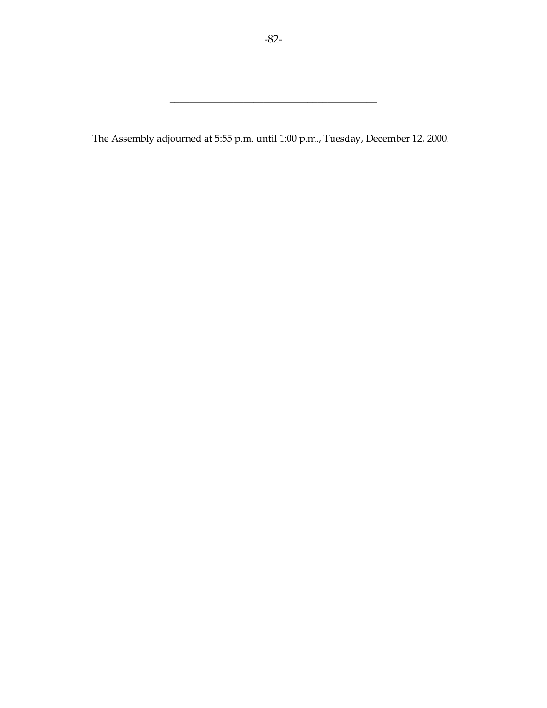The Assembly adjourned at 5:55 p.m. until 1:00 p.m., Tuesday, December 12, 2000.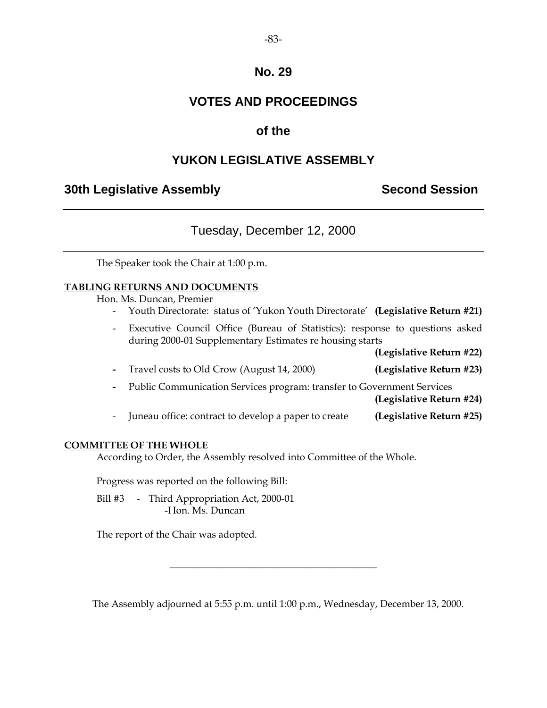## **VOTES AND PROCEEDINGS**

## **of the**

## **YUKON LEGISLATIVE ASSEMBLY**

## **30th Legislative Assembly Second Session**

## Tuesday, December 12, 2000

The Speaker took the Chair at 1:00 p.m.

#### **TABLING RETURNS AND DOCUMENTS**

Hon. Ms. Duncan, Premier

- Youth Directorate: status of 'Yukon Youth Directorate' **(Legislative Return #21)**
- Executive Council Office (Bureau of Statistics): response to questions asked during 2000-01 Supplementary Estimates re housing starts

**(Legislative Return #22)** 

- Travel costs to Old Crow (August 14, 2000) **(Legislative Return #23)**
- Public Communication Services program: transfer to Government Services

**(Legislative Return #24)** 

- Juneau office: contract to develop a paper to create **(Legislative Return #25)**

#### **COMMITTEE OF THE WHOLE**

According to Order, the Assembly resolved into Committee of the Whole.

Progress was reported on the following Bill:

Bill #3 - Third Appropriation Act, 2000-01 -Hon. Ms. Duncan

The report of the Chair was adopted.

The Assembly adjourned at 5:55 p.m. until 1:00 p.m., Wednesday, December 13, 2000.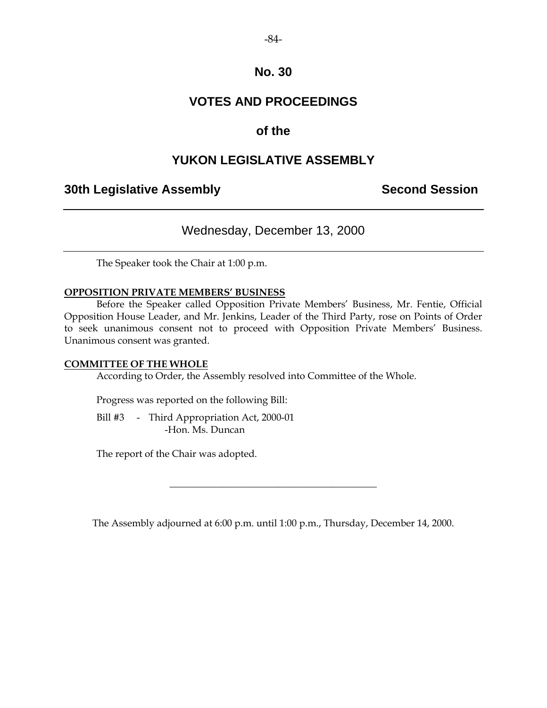## **VOTES AND PROCEEDINGS**

## **of the**

## **YUKON LEGISLATIVE ASSEMBLY**

## **30th Legislative Assembly Second Session**

## Wednesday, December 13, 2000

The Speaker took the Chair at 1:00 p.m.

#### **OPPOSITION PRIVATE MEMBERS' BUSINESS**

 Before the Speaker called Opposition Private Members' Business, Mr. Fentie, Official Opposition House Leader, and Mr. Jenkins, Leader of the Third Party, rose on Points of Order to seek unanimous consent not to proceed with Opposition Private Members' Business. Unanimous consent was granted.

#### **COMMITTEE OF THE WHOLE**

According to Order, the Assembly resolved into Committee of the Whole.

Progress was reported on the following Bill:

 Bill #3 - Third Appropriation Act, 2000-01 -Hon. Ms. Duncan

The report of the Chair was adopted.

The Assembly adjourned at 6:00 p.m. until 1:00 p.m., Thursday, December 14, 2000.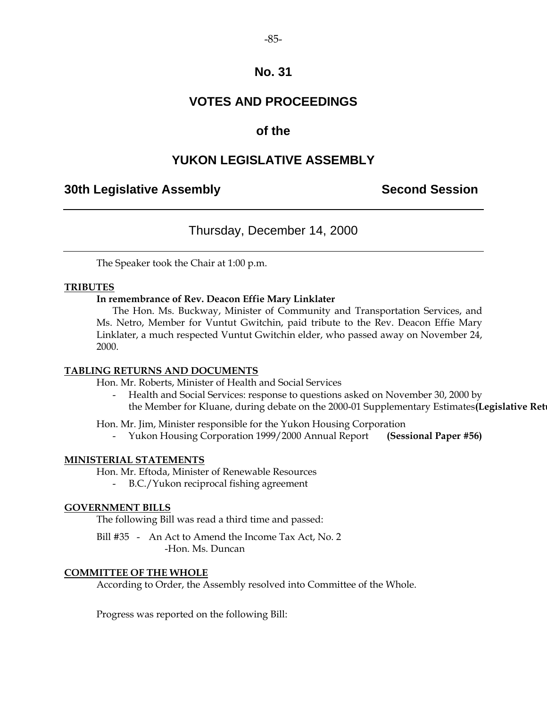## **VOTES AND PROCEEDINGS**

## **of the**

## **YUKON LEGISLATIVE ASSEMBLY**

## **30th Legislative Assembly Second Session**

## Thursday, December 14, 2000

The Speaker took the Chair at 1:00 p.m.

#### **TRIBUTES**

#### **In remembrance of Rev. Deacon Effie Mary Linklater**

 The Hon. Ms. Buckway, Minister of Community and Transportation Services, and Ms. Netro, Member for Vuntut Gwitchin, paid tribute to the Rev. Deacon Effie Mary Linklater, a much respected Vuntut Gwitchin elder, who passed away on November 24, 2000.

#### **TABLING RETURNS AND DOCUMENTS**

Hon. Mr. Roberts, Minister of Health and Social Services

Health and Social Services: response to questions asked on November 30, 2000 by the Member for Kluane, during debate on the 2000-01 Supplementary Estimates(Legislative Ret

Hon. Mr. Jim, Minister responsible for the Yukon Housing Corporation

- Yukon Housing Corporation 1999/2000 Annual Report **(Sessional Paper #56)** 

#### **MINISTERIAL STATEMENTS**

Hon. Mr. Eftoda, Minister of Renewable Resources

- B.C./Yukon reciprocal fishing agreement

#### **GOVERNMENT BILLS**

The following Bill was read a third time and passed:

 Bill #35 - An Act to Amend the Income Tax Act, No. 2 -Hon. Ms. Duncan

#### **COMMITTEE OF THE WHOLE**

According to Order, the Assembly resolved into Committee of the Whole.

Progress was reported on the following Bill: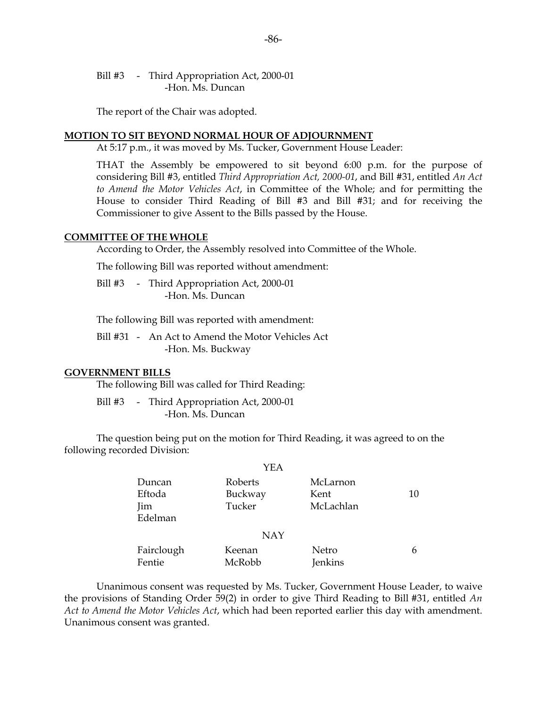Bill #3 - Third Appropriation Act, 2000-01 -Hon. Ms. Duncan

The report of the Chair was adopted.

#### **MOTION TO SIT BEYOND NORMAL HOUR OF ADJOURNMENT**

At 5:17 p.m., it was moved by Ms. Tucker, Government House Leader:

 THAT the Assembly be empowered to sit beyond 6:00 p.m. for the purpose of considering Bill #3, entitled *Third Appropriation Act, 2000-01*, and Bill #31, entitled *An Act to Amend the Motor Vehicles Act*, in Committee of the Whole; and for permitting the House to consider Third Reading of Bill #3 and Bill #31; and for receiving the Commissioner to give Assent to the Bills passed by the House.

#### **COMMITTEE OF THE WHOLE**

According to Order, the Assembly resolved into Committee of the Whole.

The following Bill was reported without amendment:

Bill #3 - Third Appropriation Act, 2000-01 -Hon. Ms. Duncan

The following Bill was reported with amendment:

 Bill #31 - An Act to Amend the Motor Vehicles Act -Hon. Ms. Buckway

#### **GOVERNMENT BILLS**

The following Bill was called for Third Reading:

Bill #3 - Third Appropriation Act, 2000-01 -Hon. Ms. Duncan

 The question being put on the motion for Third Reading, it was agreed to on the following recorded Division:

|                                    | YEA                          |                               |    |
|------------------------------------|------------------------------|-------------------------------|----|
| Duncan<br>Eftoda<br>Jim<br>Edelman | Roberts<br>Buckway<br>Tucker | McLarnon<br>Kent<br>McLachlan | 10 |
|                                    | <b>NAY</b>                   |                               |    |
| Fairclough<br>Fentie               | Keenan<br>McRobb             | Netro<br><b>Jenkins</b>       | 6  |

 Unanimous consent was requested by Ms. Tucker, Government House Leader, to waive the provisions of Standing Order 59(2) in order to give Third Reading to Bill #31, entitled *An Act to Amend the Motor Vehicles Act*, which had been reported earlier this day with amendment. Unanimous consent was granted.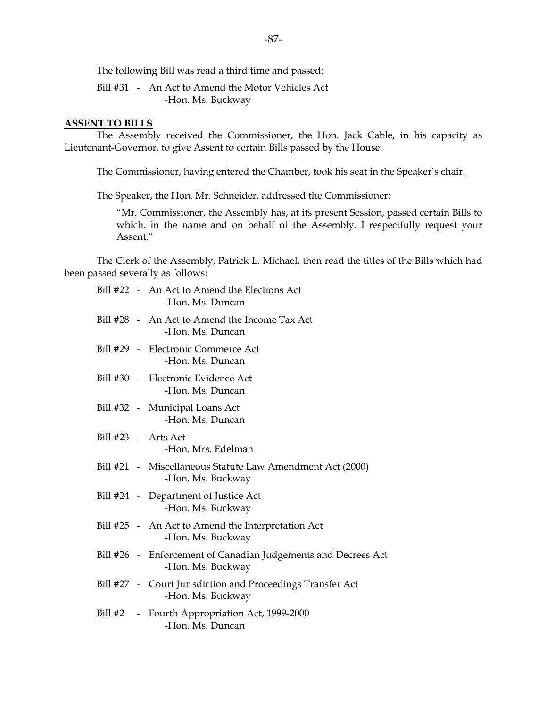The following Bill was read a third time and passed:

 Bill #31 - An Act to Amend the Motor Vehicles Act -Hon. Ms. Buckway

#### **ASSENT TO BILLS**

 The Assembly received the Commissioner, the Hon. Jack Cable, in his capacity as Lieutenant-Governor, to give Assent to certain Bills passed by the House.

The Commissioner, having entered the Chamber, took his seat in the Speaker's chair.

The Speaker, the Hon. Mr. Schneider, addressed the Commissioner:

 "Mr. Commissioner, the Assembly has, at its present Session, passed certain Bills to which, in the name and on behalf of the Assembly, I respectfully request your Assent."

 The Clerk of the Assembly, Patrick L. Michael, then read the titles of the Bills which had been passed severally as follows:

|                     | Bill #22 - An Act to Amend the Elections Act<br>-Hon. Ms. Duncan                   |
|---------------------|------------------------------------------------------------------------------------|
|                     | Bill #28 - An Act to Amend the Income Tax Act<br>-Hon. Ms. Duncan                  |
|                     | Bill #29 - Electronic Commerce Act<br>-Hon. Ms. Duncan                             |
|                     | Bill #30 - Electronic Evidence Act<br>-Hon. Ms. Duncan                             |
|                     | Bill #32 - Municipal Loans Act<br>-Hon. Ms. Duncan                                 |
| Bill #23 - Arts Act | -Hon. Mrs. Edelman                                                                 |
|                     | Bill #21 - Miscellaneous Statute Law Amendment Act (2000)<br>-Hon. Ms. Buckway     |
|                     | Bill #24 - Department of Justice Act<br>-Hon. Ms. Buckway                          |
|                     | Bill #25 - An Act to Amend the Interpretation Act<br>-Hon. Ms. Buckway             |
|                     | Bill #26 - Enforcement of Canadian Judgements and Decrees Act<br>-Hon. Ms. Buckway |
|                     | Bill #27 - Court Jurisdiction and Proceedings Transfer Act<br>-Hon. Ms. Buckway    |
| Bill #2             | - Fourth Appropriation Act, 1999-2000<br>-Hon. Ms. Duncan                          |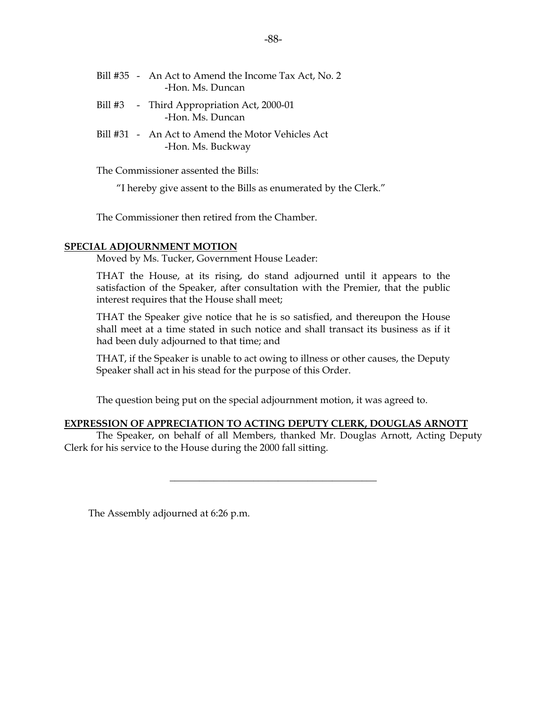|  | Bill #35 - An Act to Amend the Income Tax Act, No. 2<br>-Hon. Ms. Duncan |
|--|--------------------------------------------------------------------------|
|  | Bill #3 - Third Appropriation Act, 2000-01<br>-Hon. Ms. Duncan           |
|  | Bill #31 - An Act to Amend the Motor Vehicles Act<br>-Hon. Ms. Buckway   |

The Commissioner assented the Bills:

"I hereby give assent to the Bills as enumerated by the Clerk."

The Commissioner then retired from the Chamber.

#### **SPECIAL ADJOURNMENT MOTION**

Moved by Ms. Tucker, Government House Leader:

 THAT the House, at its rising, do stand adjourned until it appears to the satisfaction of the Speaker, after consultation with the Premier, that the public interest requires that the House shall meet;

 THAT the Speaker give notice that he is so satisfied, and thereupon the House shall meet at a time stated in such notice and shall transact its business as if it had been duly adjourned to that time; and

 THAT, if the Speaker is unable to act owing to illness or other causes, the Deputy Speaker shall act in his stead for the purpose of this Order.

The question being put on the special adjournment motion, it was agreed to.

#### **EXPRESSION OF APPRECIATION TO ACTING DEPUTY CLERK, DOUGLAS ARNOTT**

 The Speaker, on behalf of all Members, thanked Mr. Douglas Arnott, Acting Deputy Clerk for his service to the House during the 2000 fall sitting.

\_\_\_\_\_\_\_\_\_\_\_\_\_\_\_\_\_\_\_\_\_\_\_\_\_\_\_\_\_\_\_\_\_\_\_\_\_\_\_\_\_\_

The Assembly adjourned at 6:26 p.m.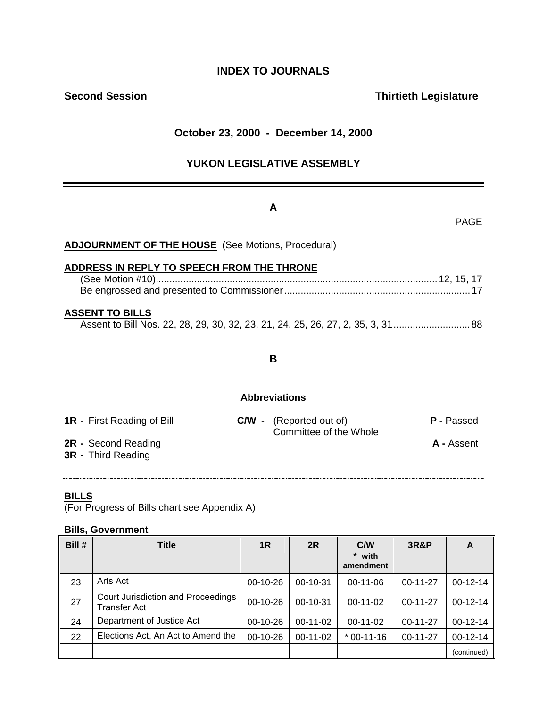## **INDEX TO JOURNALS**

## **Second Session Contract Contract Contract Contract Contract Contract Contract Contract Contract Contract Contract Contract Contract Contract Contract Contract Contract Contract Contract Contract Contract Contract Contract**

## **October 23, 2000 - December 14, 2000**

## **YUKON LEGISLATIVE ASSEMBLY**

## **A**

#### PAGE

| B |                                                                                                                                                                                             |
|---|---------------------------------------------------------------------------------------------------------------------------------------------------------------------------------------------|
|   |                                                                                                                                                                                             |
|   | <b>P</b> - Passed                                                                                                                                                                           |
|   | A - Assent                                                                                                                                                                                  |
|   | <b>ADJOURNMENT OF THE HOUSE</b> (See Motions, Procedural)<br>ADDRESS IN REPLY TO SPEECH FROM THE THRONE<br><b>Abbreviations</b><br><b>C/W</b> - (Reported out of)<br>Committee of the Whole |

#### **BILLS**

(For Progress of Bills chart see Appendix A)

#### **Bills, Government**

| Bill # | <b>Title</b>                                       | 1R         | 2R         | C/W<br>* with<br>amendment | <b>3R&amp;P</b> | A           |
|--------|----------------------------------------------------|------------|------------|----------------------------|-----------------|-------------|
| 23     | Arts Act                                           | $00-10-26$ | 00-10-31   | $00-11-06$                 | $00-11-27$      | $00-12-14$  |
| 27     | Court Jurisdiction and Proceedings<br>Transfer Act | $00-10-26$ | $00-10-31$ | $00-11-02$                 | $00-11-27$      | $00-12-14$  |
| 24     | Department of Justice Act                          | $00-10-26$ | $00-11-02$ | $00-11-02$                 | $00-11-27$      | $00-12-14$  |
| 22     | Elections Act, An Act to Amend the                 | 00-10-26   | 00-11-02   | $*$ 00-11-16               | $00-11-27$      | $00-12-14$  |
|        |                                                    |            |            |                            |                 | (continued) |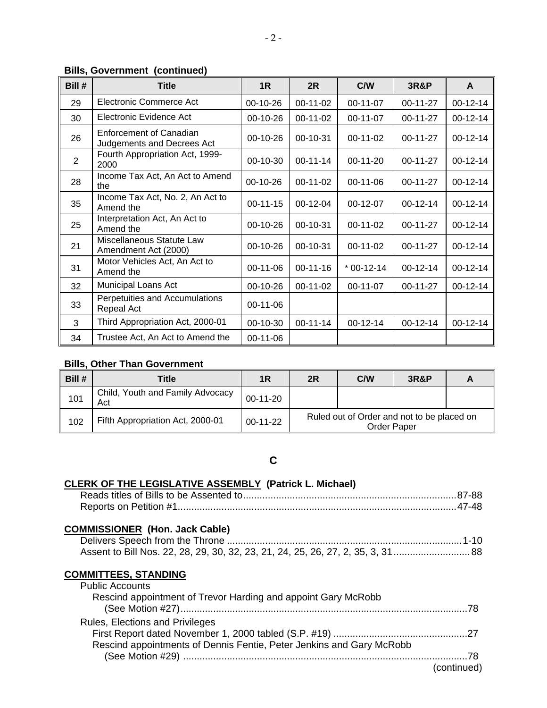## **Bills, Government (continued)**

| Bill # | <b>Title</b>                                          | 1R         | 2R         | C/W          | <b>3R&amp;P</b> | A          |
|--------|-------------------------------------------------------|------------|------------|--------------|-----------------|------------|
| 29     | Electronic Commerce Act                               | 00-10-26   | 00-11-02   | 00-11-07     | 00-11-27        | $00-12-14$ |
| 30     | Electronic Evidence Act                               | 00-10-26   | 00-11-02   | 00-11-07     | 00-11-27        | $00-12-14$ |
| 26     | Enforcement of Canadian<br>Judgements and Decrees Act | 00-10-26   | 00-10-31   | $00-11-02$   | $00-11-27$      | $00-12-14$ |
| 2      | Fourth Appropriation Act, 1999-<br>2000               | 00-10-30   | $00-11-14$ | $00-11-20$   | $00-11-27$      | $00-12-14$ |
| 28     | Income Tax Act, An Act to Amend<br>the                | 00-10-26   | $00-11-02$ | $00-11-06$   | $00-11-27$      | $00-12-14$ |
| 35     | Income Tax Act, No. 2, An Act to<br>Amend the         | $00-11-15$ | $00-12-04$ | $00-12-07$   | $00-12-14$      | $00-12-14$ |
| 25     | Interpretation Act, An Act to<br>Amend the            | 00-10-26   | 00-10-31   | $00-11-02$   | 00-11-27        | $00-12-14$ |
| 21     | Miscellaneous Statute Law<br>Amendment Act (2000)     | 00-10-26   | 00-10-31   | $00-11-02$   | 00-11-27        | $00-12-14$ |
| 31     | Motor Vehicles Act, An Act to<br>Amend the            | $00-11-06$ | $00-11-16$ | $*$ 00-12-14 | $00-12-14$      | $00-12-14$ |
| 32     | Municipal Loans Act                                   | 00-10-26   | 00-11-02   | 00-11-07     | 00-11-27        | $00-12-14$ |
| 33     | Perpetuities and Accumulations<br>Repeal Act          | $00-11-06$ |            |              |                 |            |
| 3      | Third Appropriation Act, 2000-01                      | 00-10-30   | $00-11-14$ | $00-12-14$   | $00-12-14$      | 00-12-14   |
| 34     | Trustee Act, An Act to Amend the                      | 00-11-06   |            |              |                 |            |

#### **Bills, Other Than Government**

| Bill # | Title                                   | 1R         | 2R                                                               | <b>C/W</b> | <b>3R&amp;P</b> |  |
|--------|-----------------------------------------|------------|------------------------------------------------------------------|------------|-----------------|--|
| 101    | Child, Youth and Family Advocacy<br>Act | $00-11-20$ |                                                                  |            |                 |  |
| 102    | Fifth Appropriation Act, 2000-01        | $00-11-22$ | Ruled out of Order and not to be placed on<br><b>Order Paper</b> |            |                 |  |

## **C**

## **CLERK OF THE LEGISLATIVE ASSEMBLY (Patrick L. Michael)**

## **COMMISSIONER (Hon. Jack Cable)**

#### **COMMITTEES, STANDING** Public Accounts

| <b>PUDIIC ACCOUTILS</b>                                              |             |
|----------------------------------------------------------------------|-------------|
| Rescind appointment of Trevor Harding and appoint Gary McRobb        | - 78        |
| Rules, Elections and Privileges                                      |             |
| Rescind appointments of Dennis Fentie, Peter Jenkins and Gary McRobb |             |
|                                                                      | (continued) |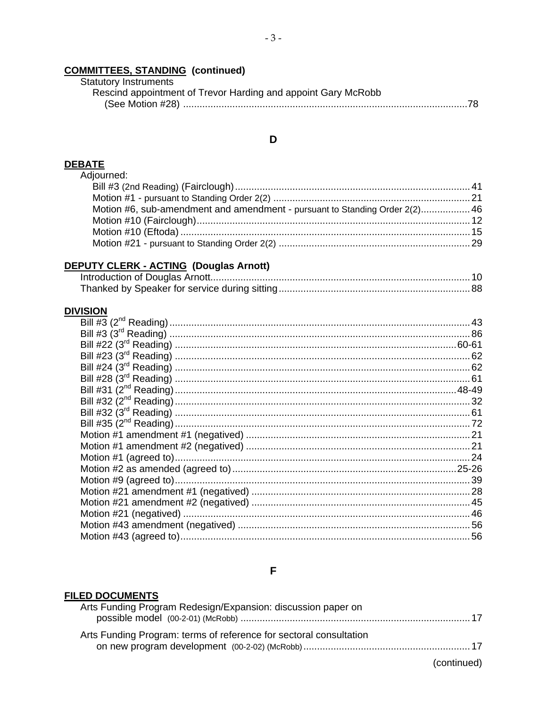# **COMMITTEES, STANDING (continued)**<br>Statutory Instruments

| Statutory Instruments                                         |
|---------------------------------------------------------------|
| Rescind appointment of Trevor Harding and appoint Gary McRobb |
|                                                               |

## $\mathbf D$

# DEBATE<br>Adjourned:

| Aujourrieu.                                                                 |  |
|-----------------------------------------------------------------------------|--|
|                                                                             |  |
|                                                                             |  |
| Motion #6. sub-amendment and amendment - pursuant to Standing Order 2(2) 46 |  |
|                                                                             |  |
|                                                                             |  |
|                                                                             |  |
|                                                                             |  |

## DEPUTY CLERK - ACTING (Douglas Arnott)

## **DIVISION**

#### $\overline{F}$

#### **FILED DOCUMENTS**

|             | Arts Funding Program Redesign/Expansion: discussion paper on       |
|-------------|--------------------------------------------------------------------|
|             | Arts Funding Program: terms of reference for sectoral consultation |
| (continued) |                                                                    |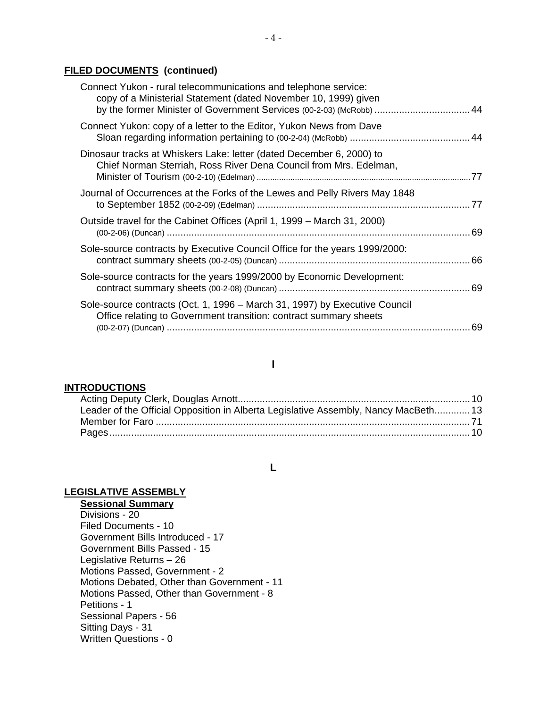#### **FILED DOCUMENTS (continued)**

| Connect Yukon - rural telecommunications and telephone service:<br>copy of a Ministerial Statement (dated November 10, 1999) given<br>by the former Minister of Government Services (00-2-03) (McRobb)  44 |    |
|------------------------------------------------------------------------------------------------------------------------------------------------------------------------------------------------------------|----|
| Connect Yukon: copy of a letter to the Editor, Yukon News from Dave                                                                                                                                        |    |
| Dinosaur tracks at Whiskers Lake: letter (dated December 6, 2000) to<br>Chief Norman Sterriah, Ross River Dena Council from Mrs. Edelman,                                                                  |    |
| Journal of Occurrences at the Forks of the Lewes and Pelly Rivers May 1848                                                                                                                                 |    |
| Outside travel for the Cabinet Offices (April 1, 1999 – March 31, 2000)                                                                                                                                    |    |
| Sole-source contracts by Executive Council Office for the years 1999/2000:                                                                                                                                 |    |
| Sole-source contracts for the years 1999/2000 by Economic Development:                                                                                                                                     |    |
| Sole-source contracts (Oct. 1, 1996 – March 31, 1997) by Executive Council<br>Office relating to Government transition: contract summary sheets                                                            | 69 |
|                                                                                                                                                                                                            |    |

#### **I**

#### **INTRODUCTIONS**

| Leader of the Official Opposition in Alberta Legislative Assembly, Nancy MacBeth 13 |  |
|-------------------------------------------------------------------------------------|--|
|                                                                                     |  |
|                                                                                     |  |

#### **L**

### **LEGISLATIVE ASSEMBLY**

**Sessional Summary** Divisions - 20 Filed Documents - 10 Government Bills Introduced - 17 Government Bills Passed - 15 Legislative Returns – 26 Motions Passed, Government - 2 Motions Debated, Other than Government - 11 Motions Passed, Other than Government - 8 Petitions - 1 Sessional Papers - 56 Sitting Days - 31 Written Questions - 0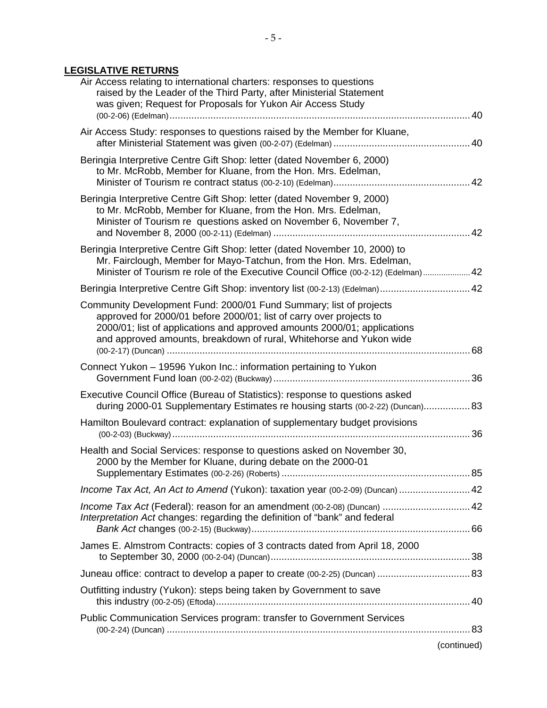## **LEGISLATIVE RETURNS**

| Air Access relating to international charters: responses to questions<br>raised by the Leader of the Third Party, after Ministerial Statement<br>was given; Request for Proposals for Yukon Air Access Study                                                                                 |             |
|----------------------------------------------------------------------------------------------------------------------------------------------------------------------------------------------------------------------------------------------------------------------------------------------|-------------|
| Air Access Study: responses to questions raised by the Member for Kluane,                                                                                                                                                                                                                    |             |
| Beringia Interpretive Centre Gift Shop: letter (dated November 6, 2000)<br>to Mr. McRobb, Member for Kluane, from the Hon. Mrs. Edelman,                                                                                                                                                     |             |
| Beringia Interpretive Centre Gift Shop: letter (dated November 9, 2000)<br>to Mr. McRobb, Member for Kluane, from the Hon. Mrs. Edelman,<br>Minister of Tourism re questions asked on November 6, November 7,                                                                                |             |
| Beringia Interpretive Centre Gift Shop: letter (dated November 10, 2000) to<br>Mr. Fairclough, Member for Mayo-Tatchun, from the Hon. Mrs. Edelman,<br>Minister of Tourism re role of the Executive Council Office (00-2-12) (Edelman) 42                                                    |             |
| Beringia Interpretive Centre Gift Shop: inventory list (00-2-13) (Edelman) 42                                                                                                                                                                                                                |             |
| Community Development Fund: 2000/01 Fund Summary; list of projects<br>approved for 2000/01 before 2000/01; list of carry over projects to<br>2000/01; list of applications and approved amounts 2000/01; applications<br>and approved amounts, breakdown of rural, Whitehorse and Yukon wide |             |
| Connect Yukon - 19596 Yukon Inc.: information pertaining to Yukon                                                                                                                                                                                                                            |             |
|                                                                                                                                                                                                                                                                                              |             |
| Executive Council Office (Bureau of Statistics): response to questions asked<br>during 2000-01 Supplementary Estimates re housing starts (00-2-22) (Duncan) 83                                                                                                                               |             |
| Hamilton Boulevard contract: explanation of supplementary budget provisions                                                                                                                                                                                                                  |             |
| Health and Social Services: response to questions asked on November 30,<br>2000 by the Member for Kluane, during debate on the 2000-01                                                                                                                                                       |             |
|                                                                                                                                                                                                                                                                                              |             |
| Income Tax Act, An Act to Amend (Yukon): taxation year (00-2-09) (Duncan)  42                                                                                                                                                                                                                |             |
| Income Tax Act (Federal): reason for an amendment (00-2-08) (Duncan)  42<br>Interpretation Act changes: regarding the definition of "bank" and federal                                                                                                                                       |             |
| James E. Almstrom Contracts: copies of 3 contracts dated from April 18, 2000                                                                                                                                                                                                                 |             |
|                                                                                                                                                                                                                                                                                              |             |
| Outfitting industry (Yukon): steps being taken by Government to save                                                                                                                                                                                                                         |             |
| Public Communication Services program: transfer to Government Services                                                                                                                                                                                                                       |             |
|                                                                                                                                                                                                                                                                                              | (continued) |
|                                                                                                                                                                                                                                                                                              |             |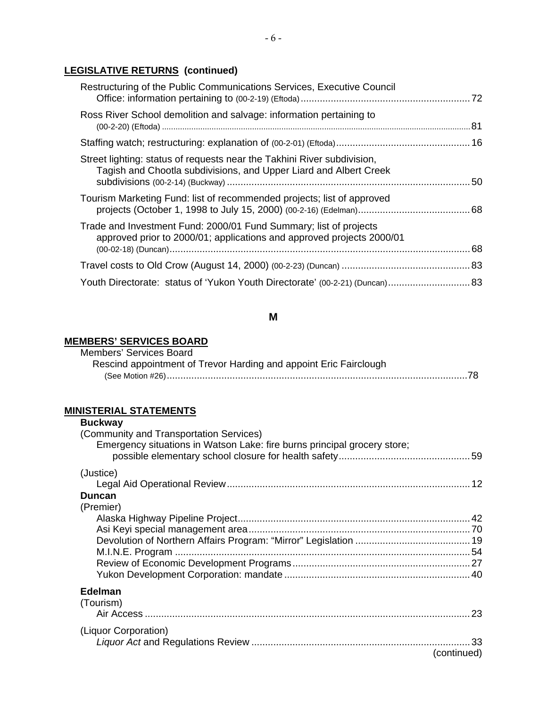## **LEGISLATIVE RETURNS (continued)**

| Restructuring of the Public Communications Services, Executive Council                                                                       |  |
|----------------------------------------------------------------------------------------------------------------------------------------------|--|
| Ross River School demolition and salvage: information pertaining to                                                                          |  |
|                                                                                                                                              |  |
| Street lighting: status of requests near the Takhini River subdivision,<br>Tagish and Chootla subdivisions, and Upper Liard and Albert Creek |  |
| Tourism Marketing Fund: list of recommended projects; list of approved                                                                       |  |
| Trade and Investment Fund: 2000/01 Fund Summary; list of projects<br>approved prior to 2000/01; applications and approved projects 2000/01   |  |
|                                                                                                                                              |  |
| Youth Directorate: status of 'Yukon Youth Directorate' (00-2-21) (Duncan) 83                                                                 |  |

## **M**

#### **MEMBERS' SERVICES BOARD**

| Members' Services Board |                                                                   |
|-------------------------|-------------------------------------------------------------------|
|                         | Rescind appointment of Trevor Harding and appoint Eric Fairclough |
|                         |                                                                   |

## **MINISTERIAL STATEMENTS**

| <b>Buckway</b><br>(Community and Transportation Services)                |    |
|--------------------------------------------------------------------------|----|
| Emergency situations in Watson Lake: fire burns principal grocery store; |    |
| (Justice)                                                                | 12 |
| Duncan<br>(Premier)                                                      |    |
|                                                                          |    |
|                                                                          |    |
|                                                                          |    |
|                                                                          |    |
|                                                                          |    |
|                                                                          |    |
| <b>Edelman</b><br>(Tourism)                                              | 23 |
|                                                                          |    |
| (Liquor Corporation)<br>(continued)                                      |    |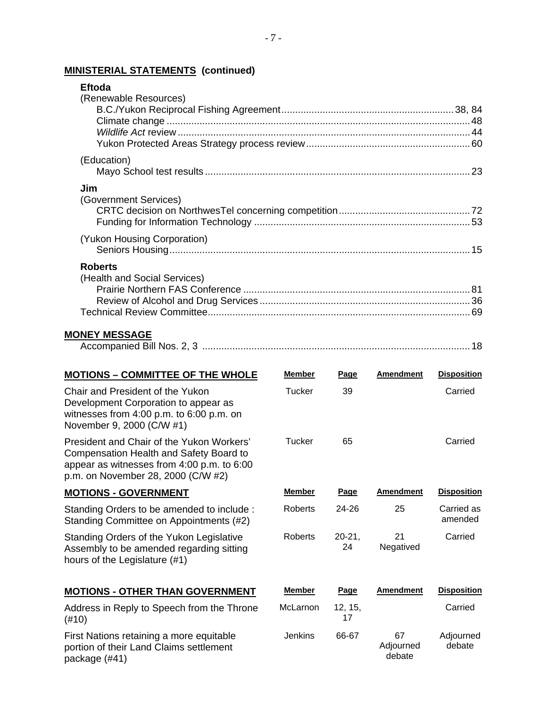## **MINISTERIAL STATEMENTS (continued)**

| <b>Eftoda</b>                |      |
|------------------------------|------|
| (Renewable Resources)        |      |
|                              |      |
|                              |      |
|                              |      |
|                              |      |
| (Education)                  |      |
|                              |      |
| Jim                          |      |
| (Government Services)        |      |
|                              |      |
|                              |      |
| (Yukon Housing Corporation)  |      |
|                              |      |
| <b>Roberts</b>               |      |
| (Health and Social Services) |      |
|                              |      |
|                              |      |
|                              | . 69 |
|                              |      |

#### **MONEY MESSAGE**

| mpanied Bill<br>' Nos. |  |  |
|------------------------|--|--|
|------------------------|--|--|

| <b>MOTIONS - COMMITTEE OF THE WHOLE</b>                                                                                                                                  | <b>Member</b>  | Page             | <b>Amendment</b>          | <b>Disposition</b>    |
|--------------------------------------------------------------------------------------------------------------------------------------------------------------------------|----------------|------------------|---------------------------|-----------------------|
| Chair and President of the Yukon<br>Development Corporation to appear as<br>witnesses from $4:00$ p.m. to $6:00$ p.m. on<br>November 9, 2000 (C/W #1)                    | Tucker         | 39               |                           | Carried               |
| President and Chair of the Yukon Workers'<br>Compensation Health and Safety Board to<br>appear as witnesses from 4:00 p.m. to 6:00<br>p.m. on November 28, 2000 (C/W #2) | Tucker         | 65               |                           | Carried               |
| <b>MOTIONS - GOVERNMENT</b>                                                                                                                                              | <b>Member</b>  | Page             | <b>Amendment</b>          | <b>Disposition</b>    |
| Standing Orders to be amended to include:<br>Standing Committee on Appointments (#2)                                                                                     | Roberts        | $24 - 26$        | 25                        | Carried as<br>amended |
| Standing Orders of the Yukon Legislative<br>Assembly to be amended regarding sitting<br>hours of the Legislature (#1)                                                    | Roberts        | $20 - 21.$<br>24 | 21<br>Negatived           | Carried               |
| <b>MOTIONS - OTHER THAN GOVERNMENT</b>                                                                                                                                   | <b>Member</b>  | Page             | <b>Amendment</b>          | <b>Disposition</b>    |
| Address in Reply to Speech from the Throne<br>$(\#10)$                                                                                                                   | McLarnon       | 12, 15,<br>17    |                           | Carried               |
| First Nations retaining a more equitable<br>portion of their Land Claims settlement<br>nackaga (#11)                                                                     | <b>Jenkins</b> | 66-67            | 67<br>Adjourned<br>debate | Adjourned<br>debate   |

package (#41)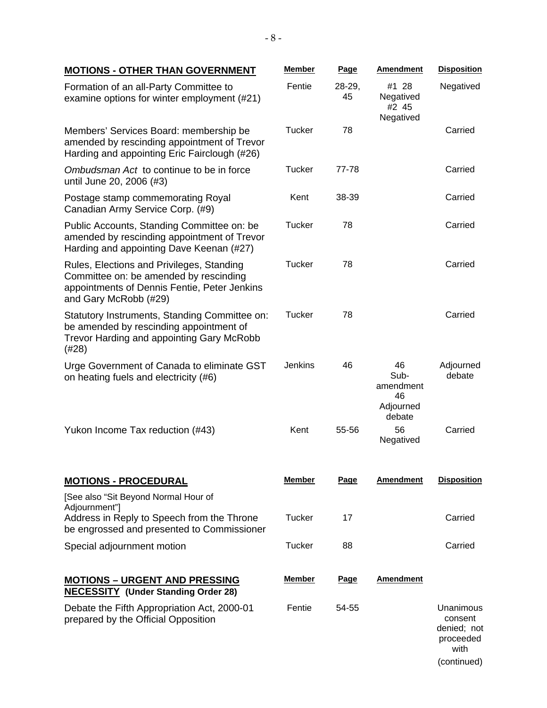| <b>MOTIONS - OTHER THAN GOVERNMENT</b>                                                                                                                       | <b>Member</b> | <b>Page</b>    | <b>Amendment</b>                                     | <b>Disposition</b>                                       |
|--------------------------------------------------------------------------------------------------------------------------------------------------------------|---------------|----------------|------------------------------------------------------|----------------------------------------------------------|
| Formation of an all-Party Committee to<br>examine options for winter employment (#21)                                                                        | Fentie        | $28-29,$<br>45 | #1 28<br>Negatived<br>#2 45<br>Negatived             | Negatived                                                |
| Members' Services Board: membership be<br>amended by rescinding appointment of Trevor<br>Harding and appointing Eric Fairclough (#26)                        | <b>Tucker</b> | 78             |                                                      | Carried                                                  |
| Ombudsman Act to continue to be in force<br>until June 20, 2006 (#3)                                                                                         | <b>Tucker</b> | 77-78          |                                                      | Carried                                                  |
| Postage stamp commemorating Royal<br>Canadian Army Service Corp. (#9)                                                                                        | Kent          | 38-39          |                                                      | Carried                                                  |
| Public Accounts, Standing Committee on: be<br>amended by rescinding appointment of Trevor<br>Harding and appointing Dave Keenan (#27)                        | Tucker        | 78             |                                                      | Carried                                                  |
| Rules, Elections and Privileges, Standing<br>Committee on: be amended by rescinding<br>appointments of Dennis Fentie, Peter Jenkins<br>and Gary McRobb (#29) | <b>Tucker</b> | 78             |                                                      | Carried                                                  |
| Statutory Instruments, Standing Committee on:<br>be amended by rescinding appointment of<br>Trevor Harding and appointing Gary McRobb<br>(#28)               | Tucker        | 78             |                                                      | Carried                                                  |
| Urge Government of Canada to eliminate GST<br>on heating fuels and electricity (#6)                                                                          | Jenkins       | 46             | 46<br>Sub-<br>amendment<br>46<br>Adjourned<br>debate | Adjourned<br>debate                                      |
| Yukon Income Tax reduction (#43)                                                                                                                             | Kent          | 55-56          | 56<br>Negatived                                      | Carried                                                  |
| <b>MOTIONS - PROCEDURAL</b><br>[See also "Sit Beyond Normal Hour of                                                                                          | <b>Member</b> | Page           | <b>Amendment</b>                                     | <b>Disposition</b>                                       |
| Adjournment"]<br>Address in Reply to Speech from the Throne<br>be engrossed and presented to Commissioner                                                    | <b>Tucker</b> | 17             |                                                      | Carried                                                  |
| Special adjournment motion                                                                                                                                   | <b>Tucker</b> | 88             |                                                      | Carried                                                  |
| <b>MOTIONS – URGENT AND PRESSING</b><br><b>NECESSITY (Under Standing Order 28)</b>                                                                           | <u>Member</u> | Page           | <b>Amendment</b>                                     |                                                          |
| Debate the Fifth Appropriation Act, 2000-01<br>prepared by the Official Opposition                                                                           | Fentie        | 54-55          |                                                      | Unanimous<br>consent<br>denied; not<br>proceeded<br>with |

(continued)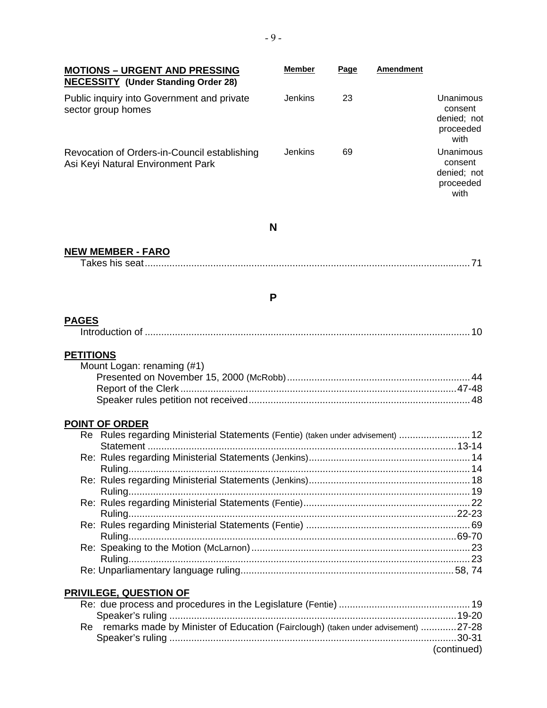| <b>MOTIONS - URGENT AND PRESSING</b>                                                 | <b>Member</b>  | Page | <b>Amendment</b> |                                                          |
|--------------------------------------------------------------------------------------|----------------|------|------------------|----------------------------------------------------------|
| <b>NECESSITY</b> (Under Standing Order 28)                                           |                |      |                  |                                                          |
| Public inquiry into Government and private<br>sector group homes                     | <b>Jenkins</b> | 23   |                  | Unanimous<br>consent<br>denied; not<br>proceeded<br>with |
| Revocation of Orders-in-Council establishing<br>Asi Keyi Natural Environment Park    | <b>Jenkins</b> | 69   |                  | Unanimous<br>consent<br>denied; not<br>proceeded<br>with |
|                                                                                      | N              |      |                  |                                                          |
| <b>NEW MEMBER - FARO</b>                                                             |                |      |                  |                                                          |
|                                                                                      |                |      |                  |                                                          |
|                                                                                      |                |      |                  |                                                          |
|                                                                                      |                |      |                  |                                                          |
|                                                                                      | P              |      |                  |                                                          |
| <b>PAGES</b>                                                                         |                |      |                  |                                                          |
| <b>PETITIONS</b>                                                                     |                |      |                  |                                                          |
| Mount Logan: renaming (#1)                                                           |                |      |                  |                                                          |
|                                                                                      |                |      |                  |                                                          |
|                                                                                      |                |      |                  |                                                          |
|                                                                                      |                |      |                  |                                                          |
| <b>POINT OF ORDER</b>                                                                |                |      |                  |                                                          |
| Re Rules regarding Ministerial Statements (Fentie) (taken under advisement)  12      |                |      |                  |                                                          |
|                                                                                      |                |      |                  |                                                          |
|                                                                                      |                |      |                  |                                                          |
|                                                                                      |                |      |                  |                                                          |
|                                                                                      |                |      |                  |                                                          |
|                                                                                      |                |      |                  |                                                          |
|                                                                                      |                |      |                  |                                                          |
|                                                                                      |                |      |                  |                                                          |
|                                                                                      |                |      |                  |                                                          |
|                                                                                      |                |      |                  |                                                          |
|                                                                                      |                |      |                  |                                                          |
|                                                                                      |                |      |                  |                                                          |
| <b>PRIVILEGE, QUESTION OF</b>                                                        |                |      |                  |                                                          |
|                                                                                      |                |      |                  |                                                          |
| Re remarks made by Minister of Education (Fairclough) (taken under advisement) 27-28 |                |      |                  |                                                          |
|                                                                                      |                |      |                  |                                                          |
|                                                                                      |                |      |                  | (continued)                                              |
|                                                                                      |                |      |                  |                                                          |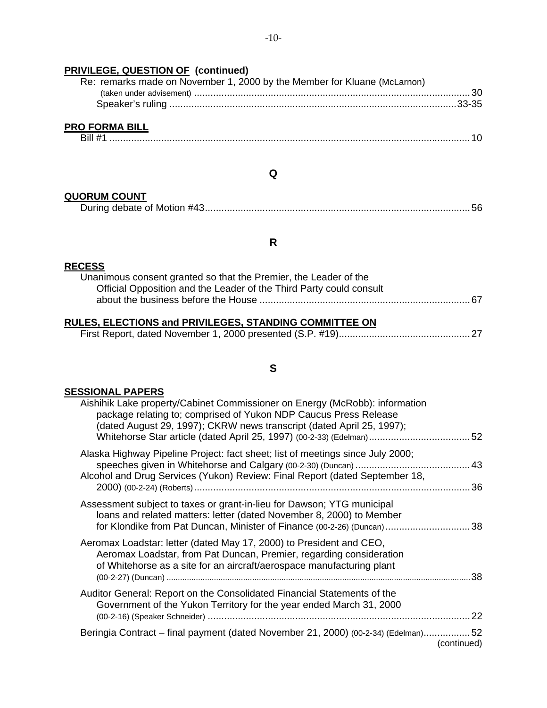## **PRIVILEGE, QUESTION OF (continued)**

| Re: remarks made on November 1, 2000 by the Member for Kluane (McLarnon) |  |
|--------------------------------------------------------------------------|--|
|                                                                          |  |
|                                                                          |  |
| <b>PRO FORMA BILL</b>                                                    |  |

### **Q**

#### **QUORUM COUNT**

|--|--|

### **R**

## **RECESS**

| Unanimous consent granted so that the Premier, the Leader of the    |  |
|---------------------------------------------------------------------|--|
| Official Opposition and the Leader of the Third Party could consult |  |
|                                                                     |  |

## **RULES, ELECTIONS and PRIVILEGES, STANDING COMMITTEE ON**

|--|--|--|

## **S**

## **SESSIONAL PAPERS**

|             | Aishihik Lake property/Cabinet Commissioner on Energy (McRobb): information<br>package relating to; comprised of Yukon NDP Caucus Press Release<br>(dated August 29, 1997); CKRW news transcript (dated April 25, 1997);  |
|-------------|---------------------------------------------------------------------------------------------------------------------------------------------------------------------------------------------------------------------------|
| 36          | Alaska Highway Pipeline Project: fact sheet; list of meetings since July 2000;<br>Alcohol and Drug Services (Yukon) Review: Final Report (dated September 18,                                                             |
|             | Assessment subject to taxes or grant-in-lieu for Dawson; YTG municipal<br>loans and related matters: letter (dated November 8, 2000) to Member<br>for Klondike from Pat Duncan, Minister of Finance (00-2-26) (Duncan) 38 |
|             | Aeromax Loadstar: letter (dated May 17, 2000) to President and CEO,<br>Aeromax Loadstar, from Pat Duncan, Premier, regarding consideration<br>of Whitehorse as a site for an aircraft/aerospace manufacturing plant       |
| 22          | Auditor General: Report on the Consolidated Financial Statements of the<br>Government of the Yukon Territory for the year ended March 31, 2000                                                                            |
| (continued) | Beringia Contract – final payment (dated November 21, 2000) (00-2-34) (Edelman)52                                                                                                                                         |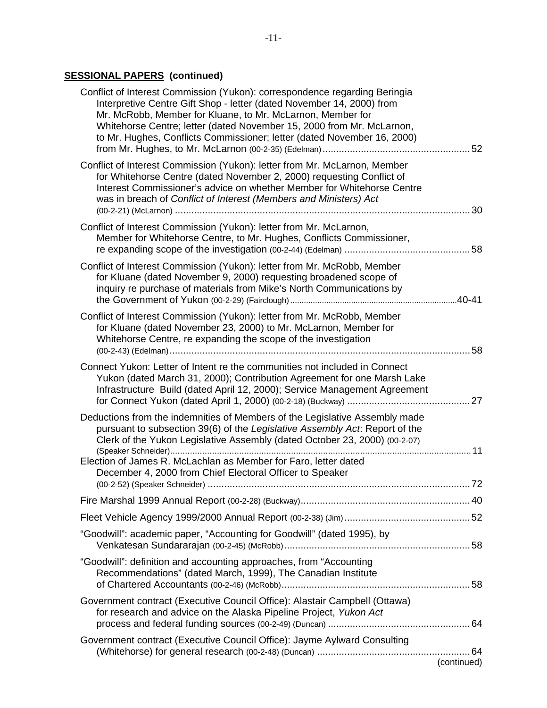## **SESSIONAL PAPERS (continued)**

| Conflict of Interest Commission (Yukon): correspondence regarding Beringia<br>Interpretive Centre Gift Shop - letter (dated November 14, 2000) from<br>Mr. McRobb, Member for Kluane, to Mr. McLarnon, Member for<br>Whitehorse Centre; letter (dated November 15, 2000 from Mr. McLarnon,<br>to Mr. Hughes, Conflicts Commissioner; letter (dated November 16, 2000) |             |
|-----------------------------------------------------------------------------------------------------------------------------------------------------------------------------------------------------------------------------------------------------------------------------------------------------------------------------------------------------------------------|-------------|
| Conflict of Interest Commission (Yukon): letter from Mr. McLarnon, Member<br>for Whitehorse Centre (dated November 2, 2000) requesting Conflict of<br>Interest Commissioner's advice on whether Member for Whitehorse Centre<br>was in breach of Conflict of Interest (Members and Ministers) Act                                                                     |             |
| Conflict of Interest Commission (Yukon): letter from Mr. McLarnon,<br>Member for Whitehorse Centre, to Mr. Hughes, Conflicts Commissioner,                                                                                                                                                                                                                            |             |
| Conflict of Interest Commission (Yukon): letter from Mr. McRobb, Member<br>for Kluane (dated November 9, 2000) requesting broadened scope of<br>inquiry re purchase of materials from Mike's North Communications by                                                                                                                                                  |             |
| Conflict of Interest Commission (Yukon): letter from Mr. McRobb, Member<br>for Kluane (dated November 23, 2000) to Mr. McLarnon, Member for<br>Whitehorse Centre, re expanding the scope of the investigation                                                                                                                                                         |             |
| Connect Yukon: Letter of Intent re the communities not included in Connect<br>Yukon (dated March 31, 2000); Contribution Agreement for one Marsh Lake<br>Infrastructure Build (dated April 12, 2000); Service Management Agreement                                                                                                                                    |             |
| Deductions from the indemnities of Members of the Legislative Assembly made<br>pursuant to subsection 39(6) of the Legislative Assembly Act. Report of the<br>Clerk of the Yukon Legislative Assembly (dated October 23, 2000) (00-2-07)                                                                                                                              |             |
| Election of James R. McLachlan as Member for Faro, letter dated<br>December 4, 2000 from Chief Electoral Officer to Speaker                                                                                                                                                                                                                                           |             |
|                                                                                                                                                                                                                                                                                                                                                                       |             |
|                                                                                                                                                                                                                                                                                                                                                                       |             |
| "Goodwill": academic paper, "Accounting for Goodwill" (dated 1995), by                                                                                                                                                                                                                                                                                                |             |
| "Goodwill": definition and accounting approaches, from "Accounting<br>Recommendations" (dated March, 1999), The Canadian Institute                                                                                                                                                                                                                                    |             |
| Government contract (Executive Council Office): Alastair Campbell (Ottawa)<br>for research and advice on the Alaska Pipeline Project, Yukon Act                                                                                                                                                                                                                       |             |
| Government contract (Executive Council Office): Jayme Aylward Consulting                                                                                                                                                                                                                                                                                              | (continued) |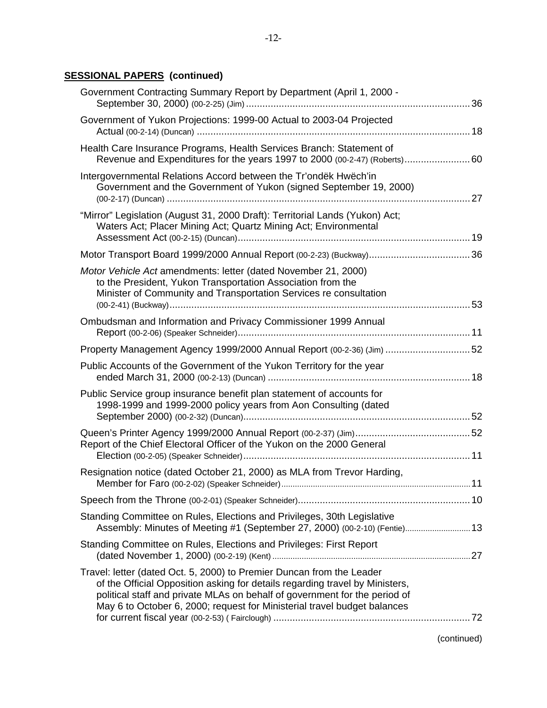## **SESSIONAL PAPERS (continued)**

| Government Contracting Summary Report by Department (April 1, 2000 -                                                                                                                                                                                                                                            |  |
|-----------------------------------------------------------------------------------------------------------------------------------------------------------------------------------------------------------------------------------------------------------------------------------------------------------------|--|
| Government of Yukon Projections: 1999-00 Actual to 2003-04 Projected                                                                                                                                                                                                                                            |  |
| Health Care Insurance Programs, Health Services Branch: Statement of<br>Revenue and Expenditures for the years 1997 to 2000 (00-2-47) (Roberts) 60                                                                                                                                                              |  |
| Intergovernmental Relations Accord between the Tr'ondëk Hwëch'in<br>Government and the Government of Yukon (signed September 19, 2000)                                                                                                                                                                          |  |
| "Mirror" Legislation (August 31, 2000 Draft): Territorial Lands (Yukon) Act;<br>Waters Act; Placer Mining Act; Quartz Mining Act; Environmental                                                                                                                                                                 |  |
|                                                                                                                                                                                                                                                                                                                 |  |
| Motor Vehicle Act amendments: letter (dated November 21, 2000)<br>to the President, Yukon Transportation Association from the<br>Minister of Community and Transportation Services re consultation                                                                                                              |  |
| Ombudsman and Information and Privacy Commissioner 1999 Annual                                                                                                                                                                                                                                                  |  |
|                                                                                                                                                                                                                                                                                                                 |  |
| Property Management Agency 1999/2000 Annual Report (00-2-36) (Jim) 52                                                                                                                                                                                                                                           |  |
| Public Accounts of the Government of the Yukon Territory for the year                                                                                                                                                                                                                                           |  |
| Public Service group insurance benefit plan statement of accounts for<br>1998-1999 and 1999-2000 policy years from Aon Consulting (dated                                                                                                                                                                        |  |
| Report of the Chief Electoral Officer of the Yukon on the 2000 General                                                                                                                                                                                                                                          |  |
| Resignation notice (dated October 21, 2000) as MLA from Trevor Harding,                                                                                                                                                                                                                                         |  |
|                                                                                                                                                                                                                                                                                                                 |  |
| Standing Committee on Rules, Elections and Privileges, 30th Legislative<br>Assembly: Minutes of Meeting #1 (September 27, 2000) (00-2-10) (Fentie) 13                                                                                                                                                           |  |
| Standing Committee on Rules, Elections and Privileges: First Report                                                                                                                                                                                                                                             |  |
| Travel: letter (dated Oct. 5, 2000) to Premier Duncan from the Leader<br>of the Official Opposition asking for details regarding travel by Ministers,<br>political staff and private MLAs on behalf of government for the period of<br>May 6 to October 6, 2000; request for Ministerial travel budget balances |  |
|                                                                                                                                                                                                                                                                                                                 |  |

(continued)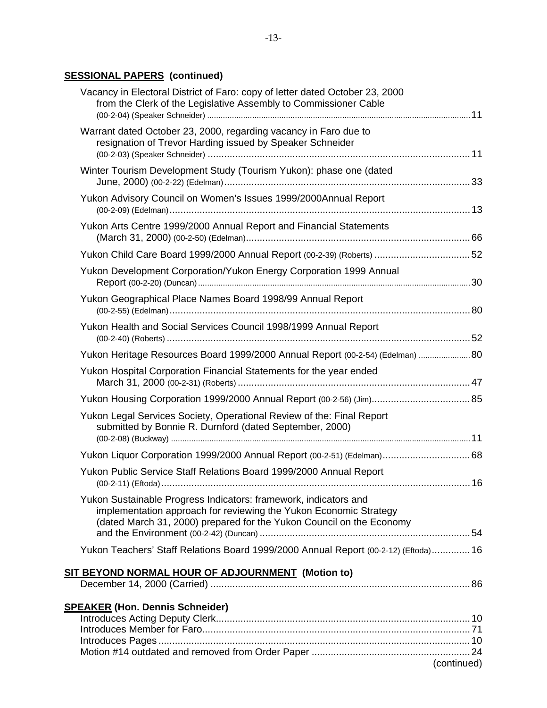## **SESSIONAL PAPERS (continued)**

| Vacancy in Electoral District of Faro: copy of letter dated October 23, 2000<br>from the Clerk of the Legislative Assembly to Commissioner Cable                                                              |    |
|---------------------------------------------------------------------------------------------------------------------------------------------------------------------------------------------------------------|----|
| Warrant dated October 23, 2000, regarding vacancy in Faro due to<br>resignation of Trevor Harding issued by Speaker Schneider                                                                                 |    |
| Winter Tourism Development Study (Tourism Yukon): phase one (dated                                                                                                                                            |    |
| Yukon Advisory Council on Women's Issues 1999/2000Annual Report                                                                                                                                               |    |
| Yukon Arts Centre 1999/2000 Annual Report and Financial Statements                                                                                                                                            |    |
|                                                                                                                                                                                                               |    |
| Yukon Development Corporation/Yukon Energy Corporation 1999 Annual                                                                                                                                            |    |
| Yukon Geographical Place Names Board 1998/99 Annual Report                                                                                                                                                    |    |
| Yukon Health and Social Services Council 1998/1999 Annual Report                                                                                                                                              |    |
| Yukon Heritage Resources Board 1999/2000 Annual Report (00-2-54) (Edelman) 80                                                                                                                                 |    |
| Yukon Hospital Corporation Financial Statements for the year ended                                                                                                                                            |    |
|                                                                                                                                                                                                               |    |
| Yukon Legal Services Society, Operational Review of the: Final Report<br>submitted by Bonnie R. Durnford (dated September, 2000)                                                                              |    |
|                                                                                                                                                                                                               |    |
| Yukon Public Service Staff Relations Board 1999/2000 Annual Report                                                                                                                                            | 16 |
| Yukon Sustainable Progress Indicators: framework, indicators and<br>implementation approach for reviewing the Yukon Economic Strategy<br>(dated March 31, 2000) prepared for the Yukon Council on the Economy |    |
| Yukon Teachers' Staff Relations Board 1999/2000 Annual Report (00-2-12) (Eftoda) 16                                                                                                                           |    |
|                                                                                                                                                                                                               |    |
|                                                                                                                                                                                                               |    |
| <b>SPEAKER (Hon. Dennis Schneider)</b>                                                                                                                                                                        |    |
|                                                                                                                                                                                                               |    |
| (continued)                                                                                                                                                                                                   |    |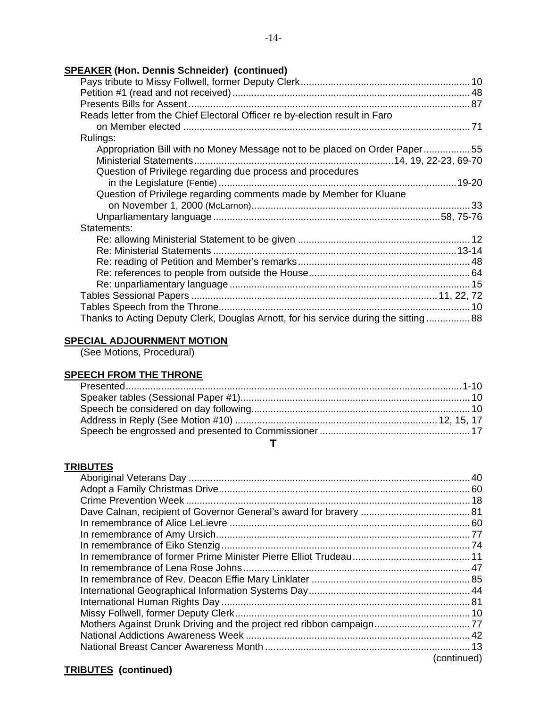## **SPEAKER (Hon. Dennis Schneider) (continued)**

| Reads letter from the Chief Electoral Officer re by-election result in Faro           |  |
|---------------------------------------------------------------------------------------|--|
|                                                                                       |  |
| Rulings:                                                                              |  |
| Appropriation Bill with no Money Message not to be placed on Order Paper55            |  |
|                                                                                       |  |
| Question of Privilege regarding due process and procedures                            |  |
|                                                                                       |  |
| Question of Privilege regarding comments made by Member for Kluane                    |  |
|                                                                                       |  |
|                                                                                       |  |
| Statements:                                                                           |  |
|                                                                                       |  |
|                                                                                       |  |
|                                                                                       |  |
|                                                                                       |  |
|                                                                                       |  |
|                                                                                       |  |
|                                                                                       |  |
| Thanks to Acting Deputy Clerk, Douglas Arnott, for his service during the sitting  88 |  |

## **SPECIAL ADJOURNMENT MOTION**

(See Motions, Procedural)

## **SPEECH FROM THE THRONE**

#### **T**

#### **TRIBUTES**

|  | (continued) |
|--|-------------|
|  |             |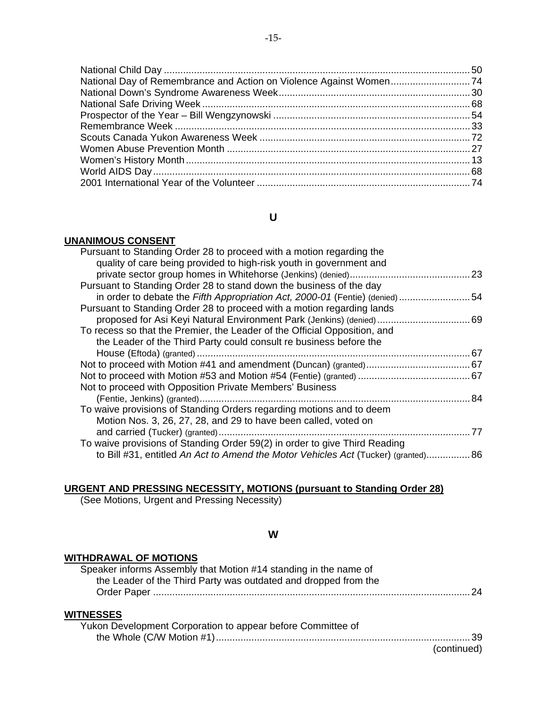| National Day of Remembrance and Action on Violence Against Women74 |  |
|--------------------------------------------------------------------|--|
|                                                                    |  |
|                                                                    |  |
|                                                                    |  |
|                                                                    |  |
|                                                                    |  |
|                                                                    |  |
|                                                                    |  |
|                                                                    |  |
|                                                                    |  |
|                                                                    |  |

## **U**

#### **UNANIMOUS CONSENT**

| Pursuant to Standing Order 28 to proceed with a motion regarding the               |    |
|------------------------------------------------------------------------------------|----|
| quality of care being provided to high-risk youth in government and                |    |
|                                                                                    |    |
| Pursuant to Standing Order 28 to stand down the business of the day                |    |
| in order to debate the Fifth Appropriation Act, 2000-01 (Fentie) (denied) 54       |    |
| Pursuant to Standing Order 28 to proceed with a motion regarding lands             |    |
| proposed for Asi Keyi Natural Environment Park (Jenkins) (denied)  69              |    |
| To recess so that the Premier, the Leader of the Official Opposition, and          |    |
| the Leader of the Third Party could consult re business before the                 |    |
|                                                                                    |    |
|                                                                                    |    |
|                                                                                    |    |
| Not to proceed with Opposition Private Members' Business                           |    |
|                                                                                    |    |
| To waive provisions of Standing Orders regarding motions and to deem               |    |
| Motion Nos. 3, 26, 27, 28, and 29 to have been called, voted on                    |    |
|                                                                                    | 77 |
| To waive provisions of Standing Order 59(2) in order to give Third Reading         |    |
| to Bill #31, entitled An Act to Amend the Motor Vehicles Act (Tucker) (granted) 86 |    |
|                                                                                    |    |

## **URGENT AND PRESSING NECESSITY, MOTIONS (pursuant to Standing Order 28)**

(See Motions, Urgent and Pressing Necessity)

#### **W**

#### **WITHDRAWAL OF MOTIONS**

| Speaker informs Assembly that Motion #14 standing in the name of |  |
|------------------------------------------------------------------|--|
| the Leader of the Third Party was outdated and dropped from the  |  |
|                                                                  |  |
| <b>WITNESSES</b>                                                 |  |
|                                                                  |  |
| Yukon Development Corporation to appear before Committee of      |  |

#### the Whole (C/W Motion #1).............................................................................................39 (continued)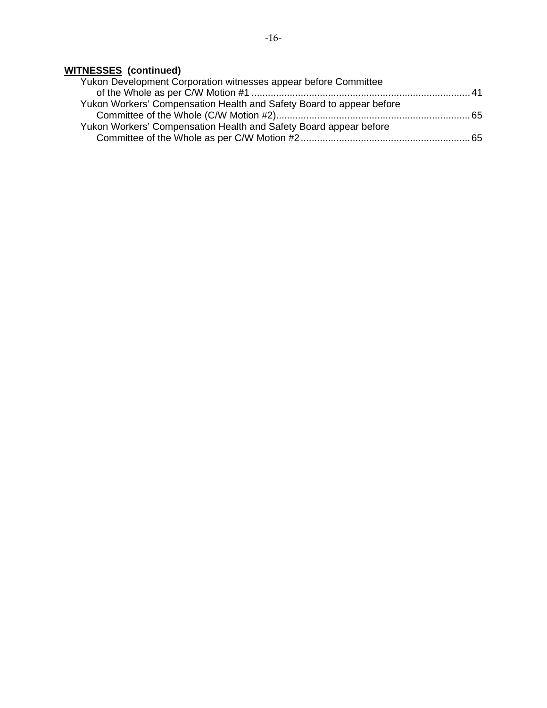## **WITNESSES (continued)**

| Yukon Development Corporation witnesses appear before Committee      |  |
|----------------------------------------------------------------------|--|
|                                                                      |  |
| Yukon Workers' Compensation Health and Safety Board to appear before |  |
|                                                                      |  |
| Yukon Workers' Compensation Health and Safety Board appear before    |  |
|                                                                      |  |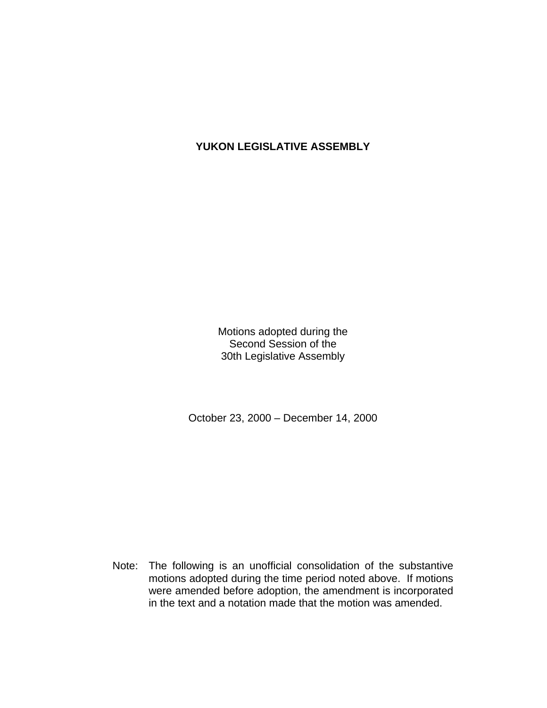## **YUKON LEGISLATIVE ASSEMBLY**

Motions adopted during the Second Session of the 30th Legislative Assembly

October 23, 2000 – December 14, 2000

 Note: The following is an unofficial consolidation of the substantive motions adopted during the time period noted above. If motions were amended before adoption, the amendment is incorporated in the text and a notation made that the motion was amended.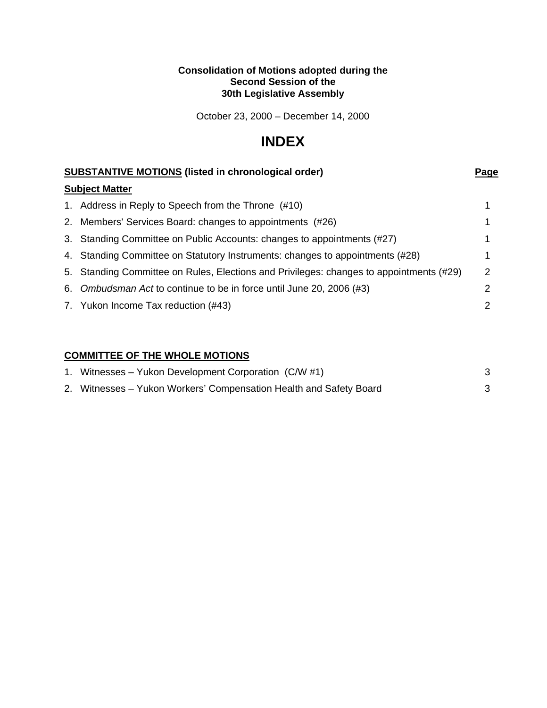#### **Consolidation of Motions adopted during the Second Session of the 30th Legislative Assembly**

October 23, 2000 – December 14, 2000

## **INDEX**

| <b>SUBSTANTIVE MOTIONS (listed in chronological order)</b>                              | Page |
|-----------------------------------------------------------------------------------------|------|
| <b>Subject Matter</b>                                                                   |      |
| 1. Address in Reply to Speech from the Throne (#10)                                     |      |
| 2. Members' Services Board: changes to appointments (#26)                               |      |
| 3. Standing Committee on Public Accounts: changes to appointments (#27)                 |      |
| 4. Standing Committee on Statutory Instruments: changes to appointments (#28)           |      |
| 5. Standing Committee on Rules, Elections and Privileges: changes to appointments (#29) | 2    |
| 6. Ombudsman Act to continue to be in force until June 20, 2006 (#3)                    |      |
| 7. Yukon Income Tax reduction (#43)                                                     | 2    |

## **COMMITTEE OF THE WHOLE MOTIONS**

| 1. Witnesses – Yukon Development Corporation (C/W #1)              |  |
|--------------------------------------------------------------------|--|
| 2. Witnesses – Yukon Workers' Compensation Health and Safety Board |  |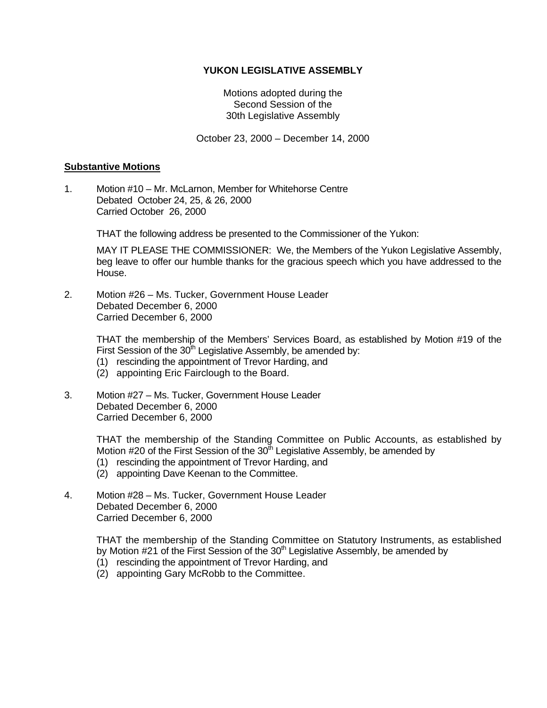#### **YUKON LEGISLATIVE ASSEMBLY**

Motions adopted during the Second Session of the 30th Legislative Assembly

October 23, 2000 – December 14, 2000

#### **Substantive Motions**

1. Motion #10 – Mr. McLarnon, Member for Whitehorse Centre Debated October 24, 25, & 26, 2000 Carried October 26, 2000

THAT the following address be presented to the Commissioner of the Yukon:

 MAY IT PLEASE THE COMMISSIONER: We, the Members of the Yukon Legislative Assembly, beg leave to offer our humble thanks for the gracious speech which you have addressed to the House.

2. Motion #26 – Ms. Tucker, Government House Leader Debated December 6, 2000 Carried December 6, 2000

> THAT the membership of the Members' Services Board, as established by Motion #19 of the First Session of the  $30<sup>th</sup>$  Legislative Assembly, be amended by:

- (1) rescinding the appointment of Trevor Harding, and
- (2) appointing Eric Fairclough to the Board.
- 3. Motion #27 Ms. Tucker, Government House Leader Debated December 6, 2000 Carried December 6, 2000

 THAT the membership of the Standing Committee on Public Accounts, as established by Motion #20 of the First Session of the  $30<sup>th</sup>$  Legislative Assembly, be amended by

- (1) rescinding the appointment of Trevor Harding, and
- (2) appointing Dave Keenan to the Committee.
- 4. Motion #28 Ms. Tucker, Government House Leader Debated December 6, 2000 Carried December 6, 2000

 THAT the membership of the Standing Committee on Statutory Instruments, as established by Motion #21 of the First Session of the 30<sup>th</sup> Legislative Assembly, be amended by

- (1) rescinding the appointment of Trevor Harding, and
- (2) appointing Gary McRobb to the Committee.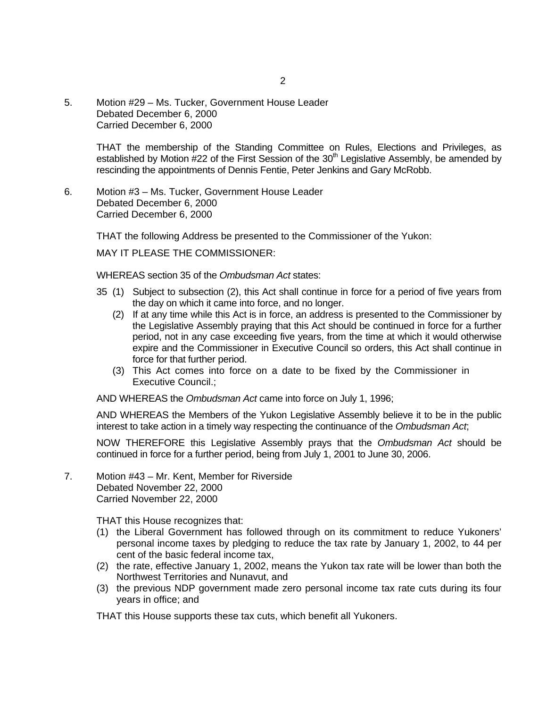5. Motion #29 – Ms. Tucker, Government House Leader Debated December 6, 2000 Carried December 6, 2000

> THAT the membership of the Standing Committee on Rules, Elections and Privileges, as established by Motion  $#22$  of the First Session of the  $30<sup>th</sup>$  Legislative Assembly, be amended by rescinding the appointments of Dennis Fentie, Peter Jenkins and Gary McRobb.

6. Motion #3 – Ms. Tucker, Government House Leader Debated December 6, 2000 Carried December 6, 2000

THAT the following Address be presented to the Commissioner of the Yukon:

MAY IT PLEASE THE COMMISSIONER:

WHEREAS section 35 of the *Ombudsman Act* states:

- 35 (1) Subject to subsection (2), this Act shall continue in force for a period of five years from the day on which it came into force, and no longer.
	- (2) If at any time while this Act is in force, an address is presented to the Commissioner by the Legislative Assembly praying that this Act should be continued in force for a further period, not in any case exceeding five years, from the time at which it would otherwise expire and the Commissioner in Executive Council so orders, this Act shall continue in force for that further period.
	- (3) This Act comes into force on a date to be fixed by the Commissioner in Executive Council.;

AND WHEREAS the *Ombudsman Act* came into force on July 1, 1996;

 AND WHEREAS the Members of the Yukon Legislative Assembly believe it to be in the public interest to take action in a timely way respecting the continuance of the *Ombudsman Act*;

 NOW THEREFORE this Legislative Assembly prays that the *Ombudsman Act* should be continued in force for a further period, being from July 1, 2001 to June 30, 2006.

7. Motion #43 – Mr. Kent, Member for Riverside Debated November 22, 2000 Carried November 22, 2000

THAT this House recognizes that:

- (1) the Liberal Government has followed through on its commitment to reduce Yukoners' personal income taxes by pledging to reduce the tax rate by January 1, 2002, to 44 per cent of the basic federal income tax,
- (2) the rate, effective January 1, 2002, means the Yukon tax rate will be lower than both the Northwest Territories and Nunavut, and
- (3) the previous NDP government made zero personal income tax rate cuts during its four years in office; and

THAT this House supports these tax cuts, which benefit all Yukoners.